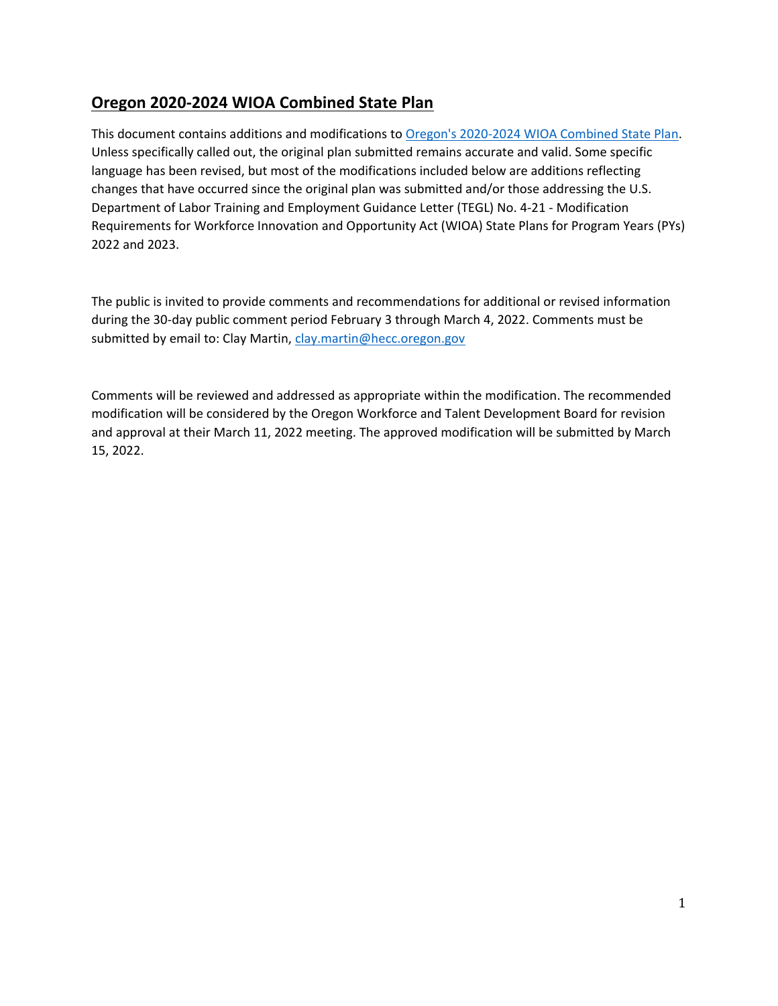# **Oregon 2020-2024 WIOA Combined State Plan**

This document contains additions and modifications to [Oregon's 2020-2024 WIOA Combined State Plan.](https://wioaplans.ed.gov/node/3631) Unless specifically called out, the original plan submitted remains accurate and valid. Some specific language has been revised, but most of the modifications included below are additions reflecting changes that have occurred since the original plan was submitted and/or those addressing the U.S. Department of Labor Training and Employment Guidance Letter (TEGL) No. 4-21 - Modification Requirements for Workforce Innovation and Opportunity Act (WIOA) State Plans for Program Years (PYs) 2022 and 2023.

The public is invited to provide comments and recommendations for additional or revised information during the 30-day public comment period February 3 through March 4, 2022. Comments must be submitted by email to: Clay Martin, [clay.martin@hecc.oregon.gov](mailto:clay.martin@hecc.oregon.gov)

Comments will be reviewed and addressed as appropriate within the modification. The recommended modification will be considered by the Oregon Workforce and Talent Development Board for revision and approval at their March 11, 2022 meeting. The approved modification will be submitted by March 15, 2022.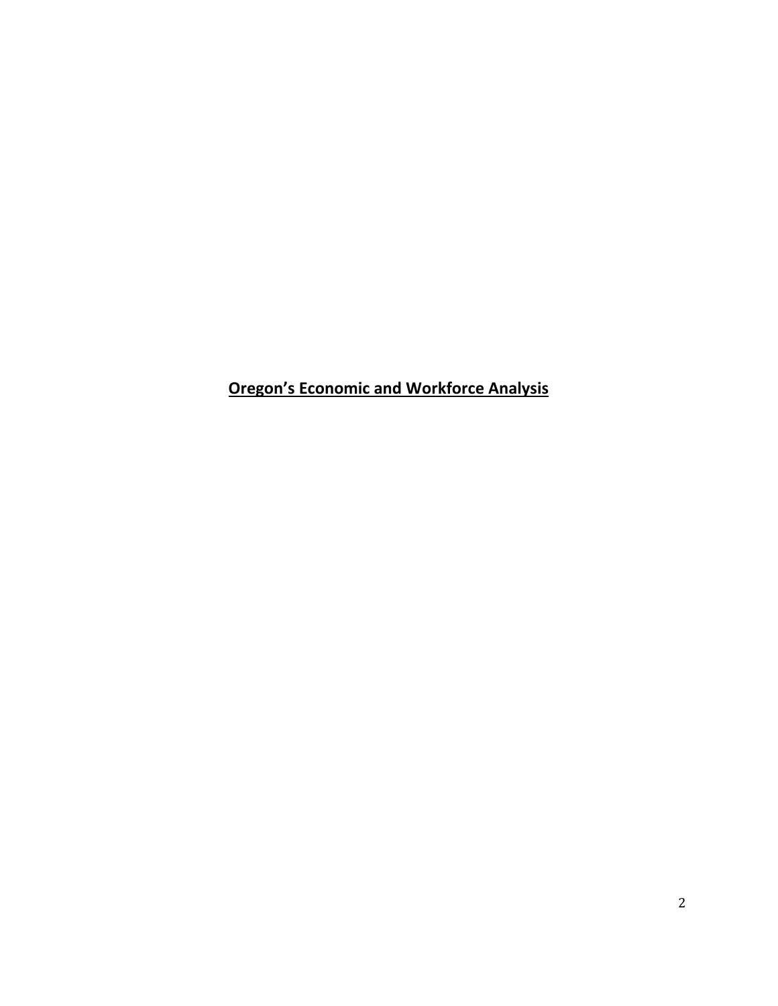**Oregon's Economic and Workforce Analysis**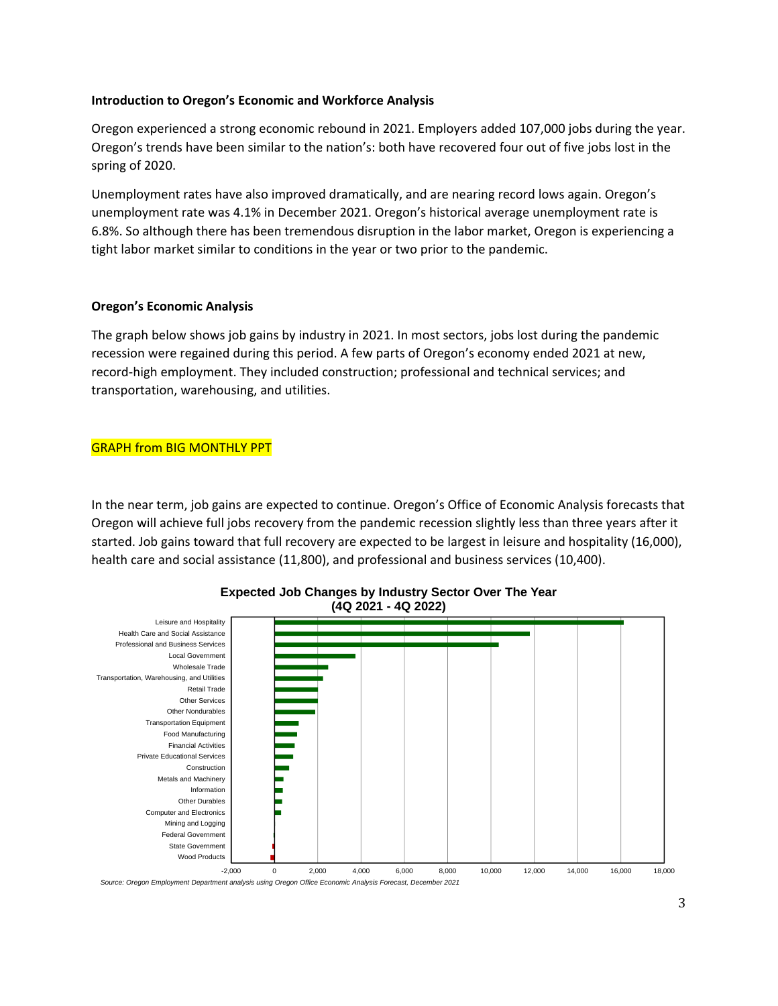#### **Introduction to Oregon's Economic and Workforce Analysis**

Oregon experienced a strong economic rebound in 2021. Employers added 107,000 jobs during the year. Oregon's trends have been similar to the nation's: both have recovered four out of five jobs lost in the spring of 2020.

Unemployment rates have also improved dramatically, and are nearing record lows again. Oregon's unemployment rate was 4.1% in December 2021. Oregon's historical average unemployment rate is 6.8%. So although there has been tremendous disruption in the labor market, Oregon is experiencing a tight labor market similar to conditions in the year or two prior to the pandemic.

#### **Oregon's Economic Analysis**

The graph below shows job gains by industry in 2021. In most sectors, jobs lost during the pandemic recession were regained during this period. A few parts of Oregon's economy ended 2021 at new, record-high employment. They included construction; professional and technical services; and transportation, warehousing, and utilities.

#### GRAPH from BIG MONTHLY PPT

In the near term, job gains are expected to continue. Oregon's Office of Economic Analysis forecasts that Oregon will achieve full jobs recovery from the pandemic recession slightly less than three years after it started. Job gains toward that full recovery are expected to be largest in leisure and hospitality (16,000), health care and social assistance (11,800), and professional and business services (10,400).



#### **Expected Job Changes by Industry Sector Over The Year (4Q 2021 - 4Q 2022)**

*Source: Oregon Employment Department analysis using Oregon Office Economic Analysis Forecast, December 2021*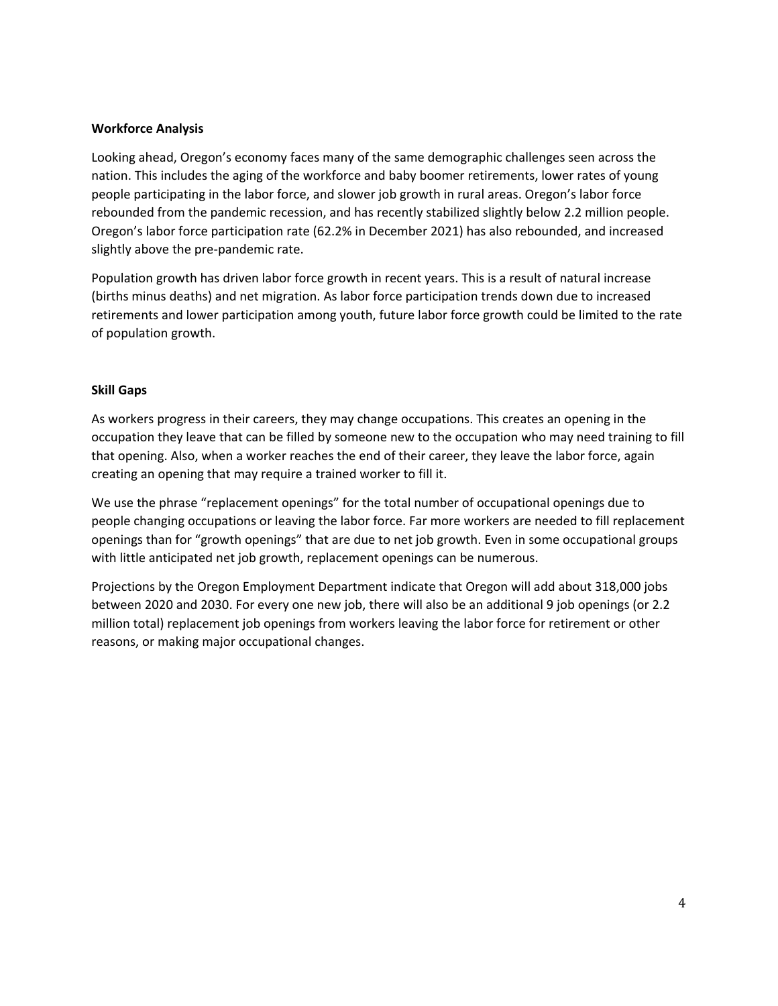#### **Workforce Analysis**

Looking ahead, Oregon's economy faces many of the same demographic challenges seen across the nation. This includes the aging of the workforce and baby boomer retirements, lower rates of young people participating in the labor force, and slower job growth in rural areas. Oregon's labor force rebounded from the pandemic recession, and has recently stabilized slightly below 2.2 million people. Oregon's labor force participation rate (62.2% in December 2021) has also rebounded, and increased slightly above the pre-pandemic rate.

Population growth has driven labor force growth in recent years. This is a result of natural increase (births minus deaths) and net migration. As labor force participation trends down due to increased retirements and lower participation among youth, future labor force growth could be limited to the rate of population growth.

#### **Skill Gaps**

As workers progress in their careers, they may change occupations. This creates an opening in the occupation they leave that can be filled by someone new to the occupation who may need training to fill that opening. Also, when a worker reaches the end of their career, they leave the labor force, again creating an opening that may require a trained worker to fill it.

We use the phrase "replacement openings" for the total number of occupational openings due to people changing occupations or leaving the labor force. Far more workers are needed to fill replacement openings than for "growth openings" that are due to net job growth. Even in some occupational groups with little anticipated net job growth, replacement openings can be numerous.

Projections by the Oregon Employment Department indicate that Oregon will add about 318,000 jobs between 2020 and 2030. For every one new job, there will also be an additional 9 job openings (or 2.2 million total) replacement job openings from workers leaving the labor force for retirement or other reasons, or making major occupational changes.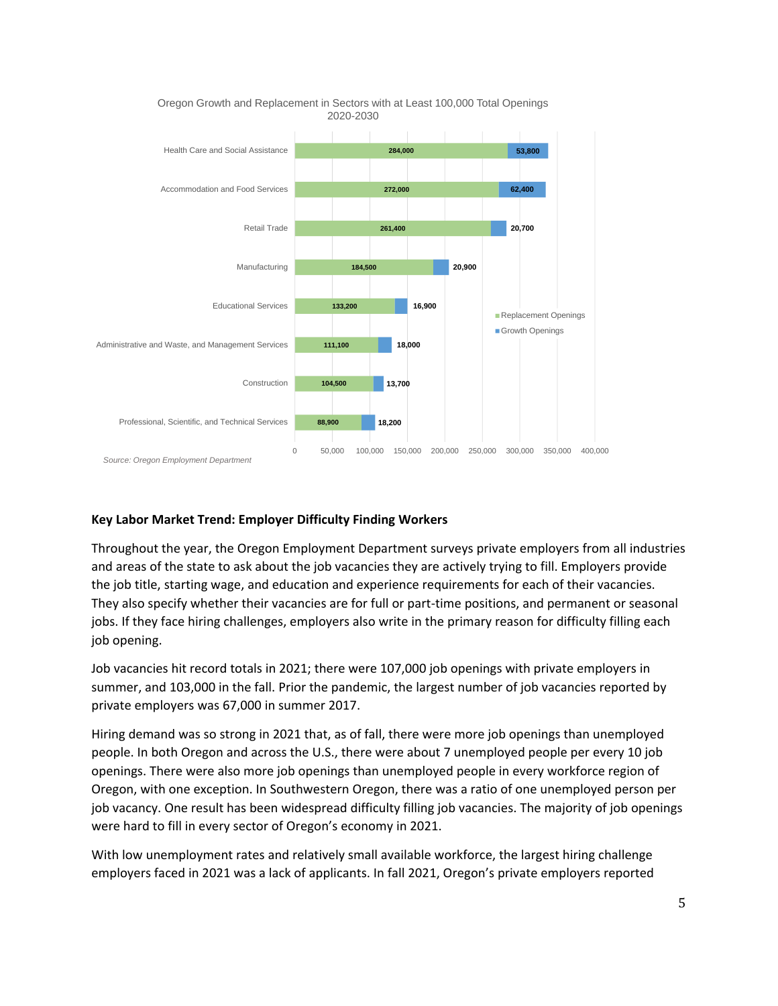

#### **Key Labor Market Trend: Employer Difficulty Finding Workers**

Throughout the year, the Oregon Employment Department surveys private employers from all industries and areas of the state to ask about the job vacancies they are actively trying to fill. Employers provide the job title, starting wage, and education and experience requirements for each of their vacancies. They also specify whether their vacancies are for full or part-time positions, and permanent or seasonal jobs. If they face hiring challenges, employers also write in the primary reason for difficulty filling each job opening.

Job vacancies hit record totals in 2021; there were 107,000 job openings with private employers in summer, and 103,000 in the fall. Prior the pandemic, the largest number of job vacancies reported by private employers was 67,000 in summer 2017.

Hiring demand was so strong in 2021 that, as of fall, there were more job openings than unemployed people. In both Oregon and across the U.S., there were about 7 unemployed people per every 10 job openings. There were also more job openings than unemployed people in every workforce region of Oregon, with one exception. In Southwestern Oregon, there was a ratio of one unemployed person per job vacancy. One result has been widespread difficulty filling job vacancies. The majority of job openings were hard to fill in every sector of Oregon's economy in 2021.

With low unemployment rates and relatively small available workforce, the largest hiring challenge employers faced in 2021 was a lack of applicants. In fall 2021, Oregon's private employers reported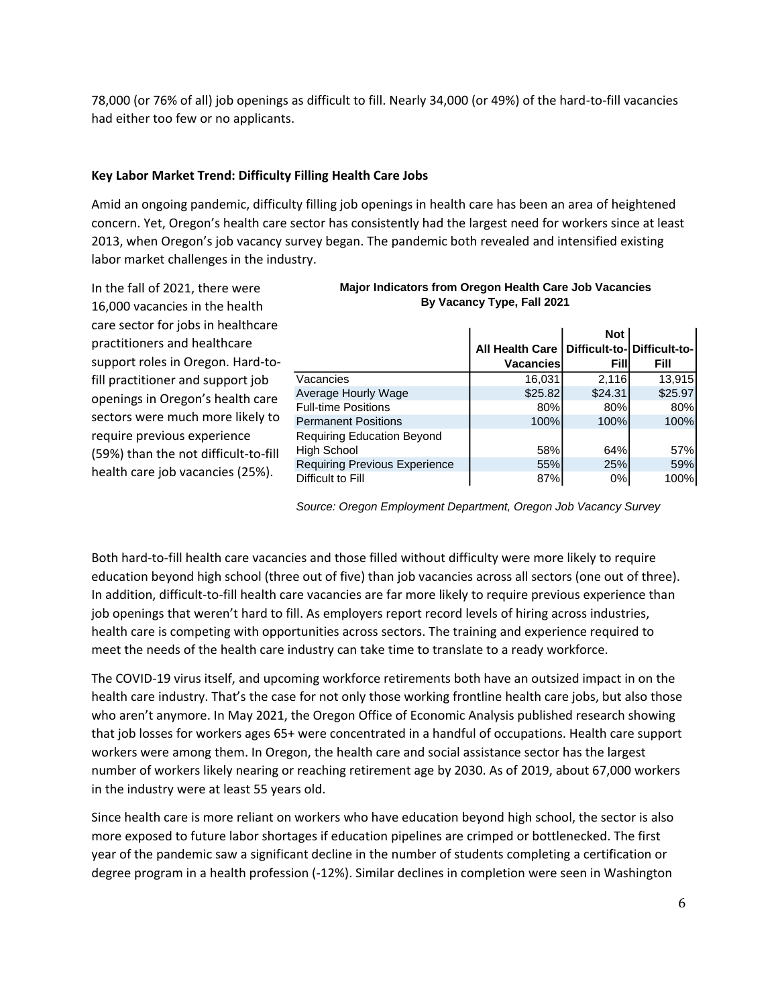78,000 (or 76% of all) job openings as difficult to fill. Nearly 34,000 (or 49%) of the hard-to-fill vacancies had either too few or no applicants.

#### **Key Labor Market Trend: Difficulty Filling Health Care Jobs**

Amid an ongoing pandemic, difficulty filling job openings in health care has been an area of heightened concern. Yet, Oregon's health care sector has consistently had the largest need for workers since at least 2013, when Oregon's job vacancy survey began. The pandemic both revealed and intensified existing labor market challenges in the industry.

In the fall of 2021, there were 16,000 vacancies in the health care sector for jobs in healthcare practitioners and healthcare support roles in Oregon. Hard-tofill practitioner and support job openings in Oregon's health care sectors were much more likely to require previous experience (59%) than the not difficult-to-fill health care job vacancies (25%).

|                                      |                   | <b>Not</b> |                            |
|--------------------------------------|-------------------|------------|----------------------------|
|                                      | All Health Care I |            | Difficult-to-Difficult-to- |
|                                      | Vacancies         | Fill       | Fill                       |
| Vacancies                            | 16,031            | 2,116      | 13,915                     |
| Average Hourly Wage                  | \$25.82           | \$24.31    | \$25.97                    |
| <b>Full-time Positions</b>           | 80%               | 80%        | 80%                        |
| <b>Permanent Positions</b>           | 100%              | 100%       | 100%                       |
| <b>Requiring Education Beyond</b>    |                   |            |                            |
| High School                          | 58%               | 64%        | 57%                        |
| <b>Requiring Previous Experience</b> | 55%               | 25%        | 59%                        |
| Difficult to Fill                    | 87%               | 0%         | 100%                       |

#### **Major Indicators from Oregon Health Care Job Vacancies By Vacancy Type, Fall 2021**

*Source: Oregon Employment Department, Oregon Job Vacancy Survey*

Both hard-to-fill health care vacancies and those filled without difficulty were more likely to require education beyond high school (three out of five) than job vacancies across all sectors (one out of three). In addition, difficult-to-fill health care vacancies are far more likely to require previous experience than job openings that weren't hard to fill. As employers report record levels of hiring across industries, health care is competing with opportunities across sectors. The training and experience required to meet the needs of the health care industry can take time to translate to a ready workforce.

The COVID-19 virus itself, and upcoming workforce retirements both have an outsized impact in on the health care industry. That's the case for not only those working frontline health care jobs, but also those who aren't anymore. In May 2021, the Oregon Office of Economic Analysis published research showing that job losses for workers ages 65+ were concentrated in a handful of occupations. Health care support workers were among them. In Oregon, the health care and social assistance sector has the largest number of workers likely nearing or reaching retirement age by 2030. As of 2019, about 67,000 workers in the industry were at least 55 years old.

Since health care is more reliant on workers who have education beyond high school, the sector is also more exposed to future labor shortages if education pipelines are crimped or bottlenecked. The first year of the pandemic saw a significant decline in the number of students completing a certification or degree program in a health profession (-12%). Similar declines in completion were seen in Washington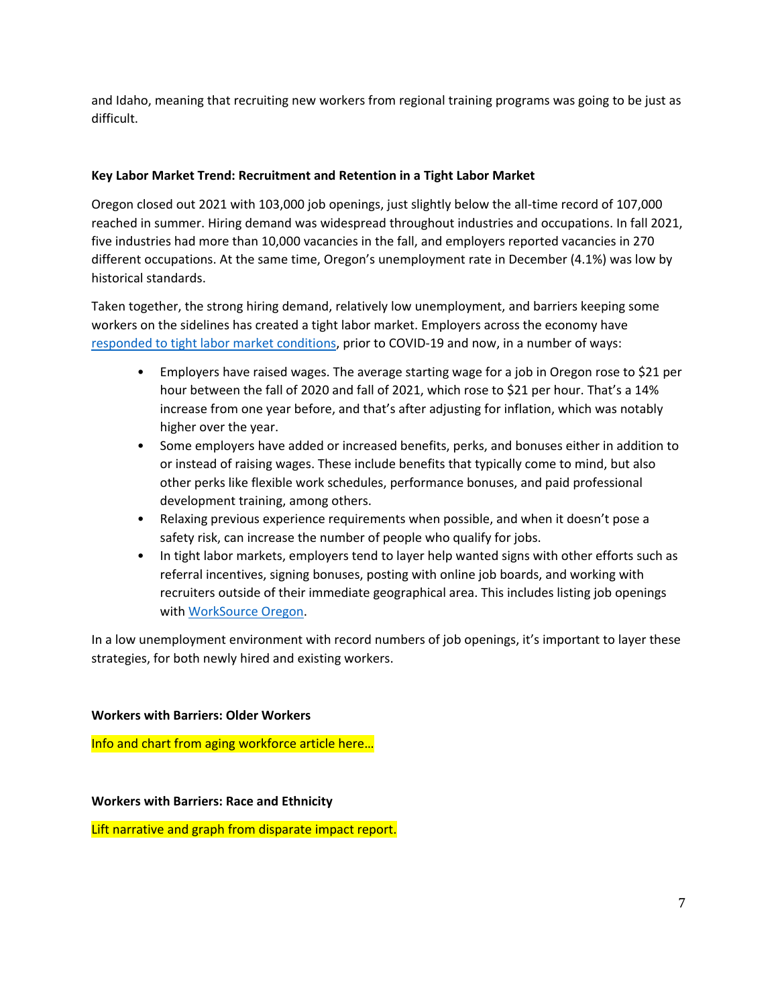and Idaho, meaning that recruiting new workers from regional training programs was going to be just as difficult.

#### **Key Labor Market Trend: Recruitment and Retention in a Tight Labor Market**

Oregon closed out 2021 with 103,000 job openings, just slightly below the all-time record of 107,000 reached in summer. Hiring demand was widespread throughout industries and occupations. In fall 2021, five industries had more than 10,000 vacancies in the fall, and employers reported vacancies in 270 different occupations. At the same time, Oregon's unemployment rate in December (4.1%) was low by historical standards.

Taken together, the strong hiring demand, relatively low unemployment, and barriers keeping some workers on the sidelines has created a tight labor market. Employers across the economy have [responded to tight labor market conditions,](https://www.qualityinfo.org/-/recruitment-and-retention-in-a-tight-labor-market) prior to COVID-19 and now, in a number of ways:

- Employers have raised wages. The average starting wage for a job in Oregon rose to \$21 per hour between the fall of 2020 and fall of 2021, which rose to \$21 per hour. That's a 14% increase from one year before, and that's after adjusting for inflation, which was notably higher over the year.
- Some employers have added or increased benefits, perks, and bonuses either in addition to or instead of raising wages. These include benefits that typically come to mind, but also other perks like flexible work schedules, performance bonuses, and paid professional development training, among others.
- Relaxing previous experience requirements when possible, and when it doesn't pose a safety risk, can increase the number of people who qualify for jobs.
- In tight labor markets, employers tend to layer help wanted signs with other efforts such as referral incentives, signing bonuses, posting with online job boards, and working with recruiters outside of their immediate geographical area. This includes listing job openings with [WorkSource Oregon.](https://worksourceoregon.org/)

In a low unemployment environment with record numbers of job openings, it's important to layer these strategies, for both newly hired and existing workers.

#### **Workers with Barriers: Older Workers**

Info and chart from aging workforce article here…

**Workers with Barriers: Race and Ethnicity**

Lift narrative and graph from disparate impact report.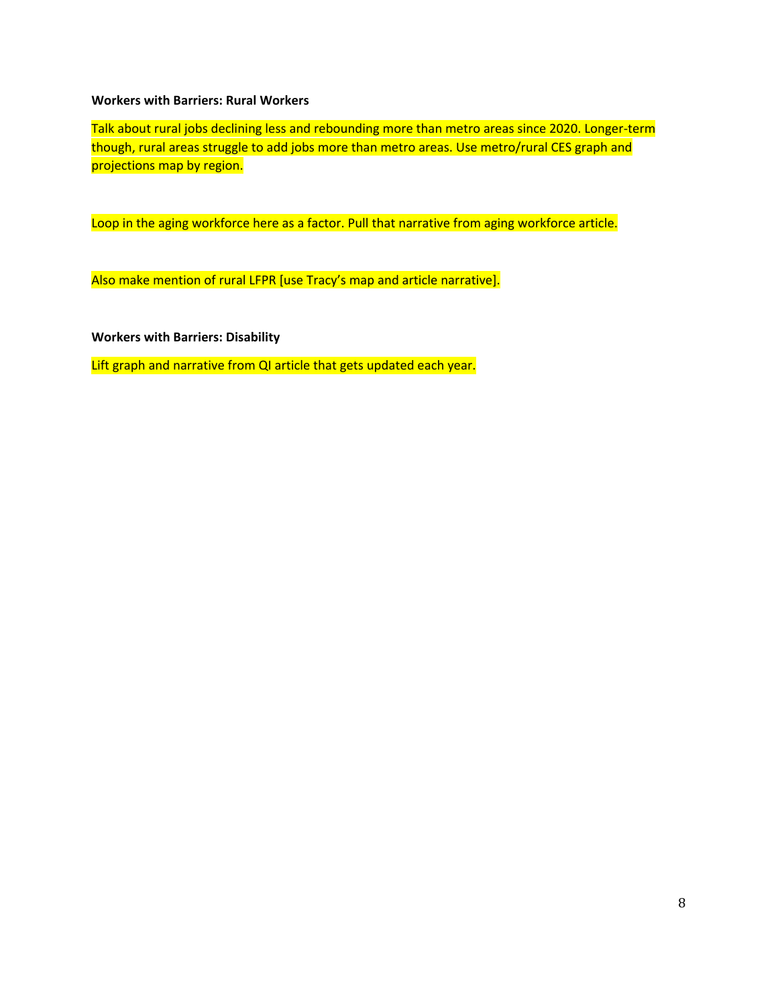#### **Workers with Barriers: Rural Workers**

Talk about rural jobs declining less and rebounding more than metro areas since 2020. Longer-term though, rural areas struggle to add jobs more than metro areas. Use metro/rural CES graph and projections map by region.

Loop in the aging workforce here as a factor. Pull that narrative from aging workforce article.

Also make mention of rural LFPR [use Tracy's map and article narrative].

**Workers with Barriers: Disability**

Lift graph and narrative from QI article that gets updated each year.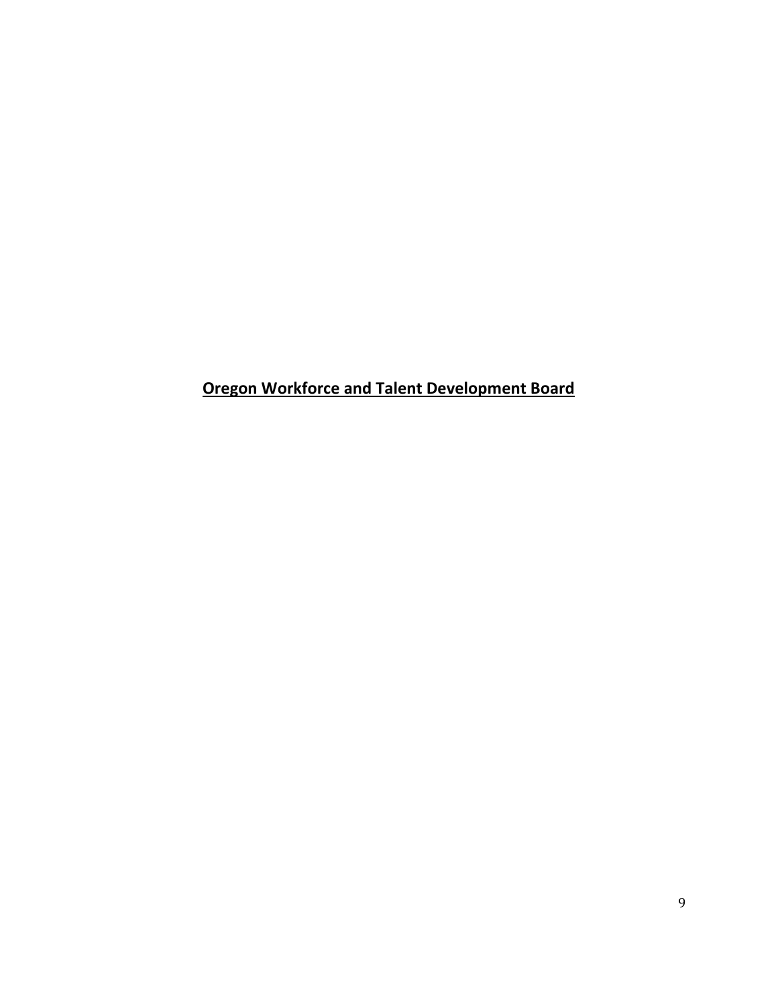**Oregon Workforce and Talent Development Board**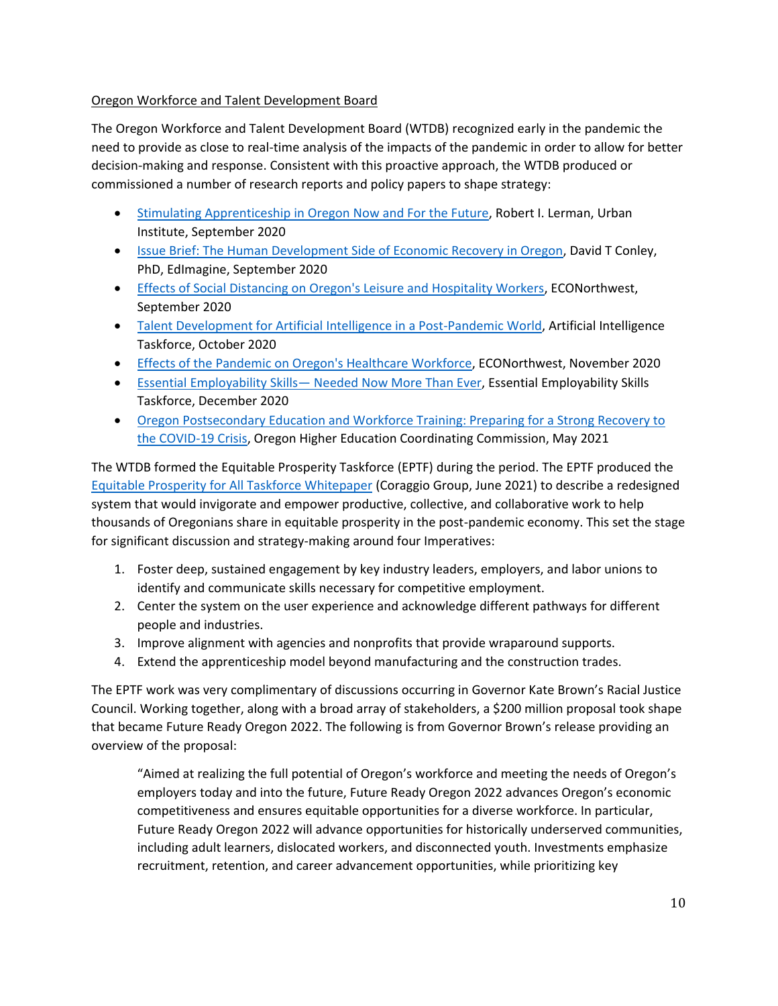## Oregon Workforce and Talent Development Board

The Oregon Workforce and Talent Development Board (WTDB) recognized early in the pandemic the need to provide as close to real-time analysis of the impacts of the pandemic in order to allow for better decision-making and response. Consistent with this proactive approach, the WTDB produced or commissioned a number of research reports and policy papers to shape strategy:

- [Stimulating Apprenticeship in Oregon Now and For the Future,](https://www.oregon.gov/workforceboard/Talent%20Documents/201019%20-%20Stimulating%20apprenticeships%20in%20Oregon.pdf) Robert I. Lerman, Urban Institute, September 2020
- [Issue Brief: The Human Development Side of Economic Recovery in Oregon,](https://www.oregon.gov/workforceboard/Talent%20Documents/Conley_Issue%20brief-v2-final.pdf) David T Conley, PhD, EdImagine, September 2020
- [Effects of Social Distancing on Oregon's Leisure and Hospitality Workers,](https://www.oregon.gov/workforceboard/Talent%20Documents/Social%20Distancing%20Effects%20Report_09_09_2020.pdf) ECONorthwest, September 2020
- [Talent Development for Artificial Intelligence in a Post-Pandemic World,](https://www.oregon.gov/workforceboard/data-and-reports/Documents/AI-Task-Force-Report-FINAL-Nov-2020.pdf) Artificial Intelligence Taskforce, October 2020
- [Effects of the Pandemic on Oregon's Healthcare Workforce,](https://www.oregon.gov/workforceboard/Talent%20Documents/Health%20Industry%20Workforce%20Report%2011-13-2020.pdf) ECONorthwest, November 2020
- [Essential Employability Skills](https://www.oregon.gov/workforceboard/data-and-reports/Documents/WTDB-Essential-Employability-Skills-Report-FINAL.pdf) Needed Now More Than Ever, Essential Employability Skills Taskforce, December 2020
- [Oregon Postsecondary Education and Workforce Training: Preparing for a Strong Recovery to](https://www.oregon.gov/workforceboard/Talent%20Documents/2021%20HECC%20COVID%20Brief.pdf)  [the COVID-19 Crisis,](https://www.oregon.gov/workforceboard/Talent%20Documents/2021%20HECC%20COVID%20Brief.pdf) Oregon Higher Education Coordinating Commission, May 2021

The WTDB formed the Equitable Prosperity Taskforce (EPTF) during the period. The EPTF produced the [Equitable Prosperity for All Taskforce Whitepaper](https://www.oregon.gov/workforceboard/data-and-reports/Documents/Equitable-Prosperity-Task-Force-Whitepaper-June-2021.pdf) (Coraggio Group, June 2021) to describe a redesigned system that would invigorate and empower productive, collective, and collaborative work to help thousands of Oregonians share in equitable prosperity in the post-pandemic economy. This set the stage for significant discussion and strategy-making around four Imperatives:

- 1. Foster deep, sustained engagement by key industry leaders, employers, and labor unions to identify and communicate skills necessary for competitive employment.
- 2. Center the system on the user experience and acknowledge different pathways for different people and industries.
- 3. Improve alignment with agencies and nonprofits that provide wraparound supports.
- 4. Extend the apprenticeship model beyond manufacturing and the construction trades.

The EPTF work was very complimentary of discussions occurring in Governor Kate Brown's Racial Justice Council. Working together, along with a broad array of stakeholders, a \$200 million proposal took shape that became Future Ready Oregon 2022. The following is from Governor Brown's release providing an overview of the proposal:

"Aimed at realizing the full potential of Oregon's workforce and meeting the needs of Oregon's employers today and into the future, Future Ready Oregon 2022 advances Oregon's economic competitiveness and ensures equitable opportunities for a diverse workforce. In particular, Future Ready Oregon 2022 will advance opportunities for historically underserved communities, including adult learners, dislocated workers, and disconnected youth. Investments emphasize recruitment, retention, and career advancement opportunities, while prioritizing key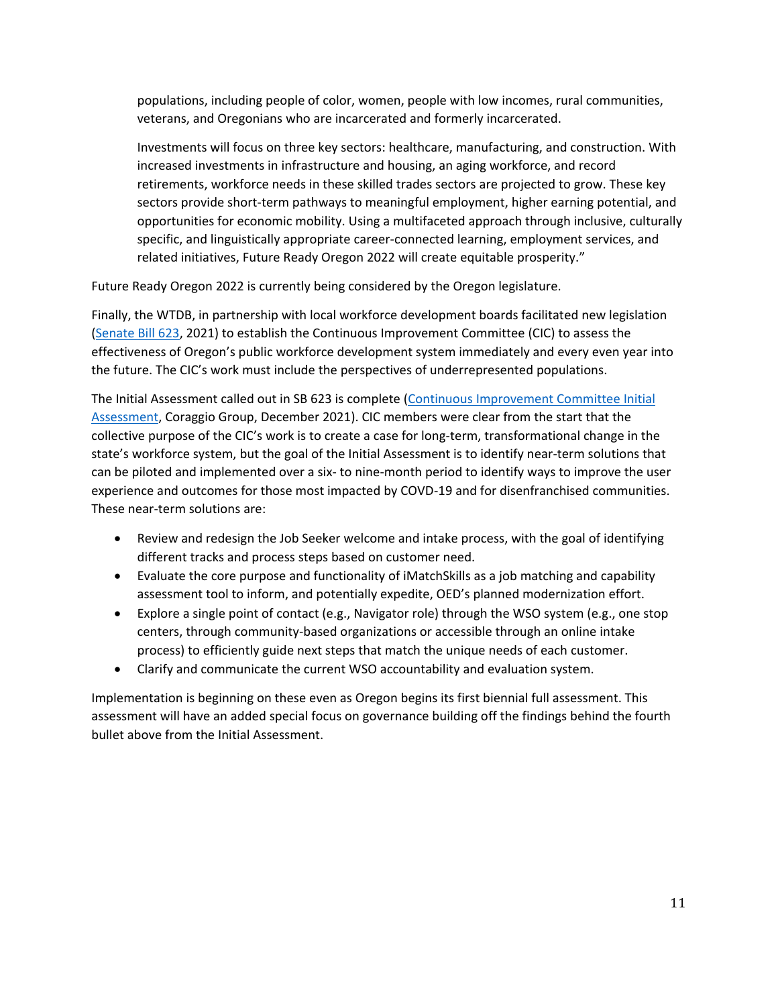populations, including people of color, women, people with low incomes, rural communities, veterans, and Oregonians who are incarcerated and formerly incarcerated.

Investments will focus on three key sectors: healthcare, manufacturing, and construction. With increased investments in infrastructure and housing, an aging workforce, and record retirements, workforce needs in these skilled trades sectors are projected to grow. These key sectors provide short-term pathways to meaningful employment, higher earning potential, and opportunities for economic mobility. Using a multifaceted approach through inclusive, culturally specific, and linguistically appropriate career-connected learning, employment services, and related initiatives, Future Ready Oregon 2022 will create equitable prosperity."

Future Ready Oregon 2022 is currently being considered by the Oregon legislature.

Finally, the WTDB, in partnership with local workforce development boards facilitated new legislation [\(Senate Bill 623,](https://olis.oregonlegislature.gov/liz/2021R1/Downloads/MeasureDocument/SB623/Enrolled) 2021) to establish the Continuous Improvement Committee (CIC) to assess the effectiveness of Oregon's public workforce development system immediately and every even year into the future. The CIC's work must include the perspectives of underrepresented populations.

The Initial Assessment called out in SB 623 is complete [\(Continuous Improvement Committee Initial](https://www.oregon.gov/workforceboard/data-and-reports/Documents/211231%20-%20CIC%20Initial%20Assessment%20Report_Single%20Version%20-%20FINAL.pdf)  [Assessment,](https://www.oregon.gov/workforceboard/data-and-reports/Documents/211231%20-%20CIC%20Initial%20Assessment%20Report_Single%20Version%20-%20FINAL.pdf) Coraggio Group, December 2021). CIC members were clear from the start that the collective purpose of the CIC's work is to create a case for long-term, transformational change in the state's workforce system, but the goal of the Initial Assessment is to identify near-term solutions that can be piloted and implemented over a six- to nine-month period to identify ways to improve the user experience and outcomes for those most impacted by COVD-19 and for disenfranchised communities. These near-term solutions are:

- Review and redesign the Job Seeker welcome and intake process, with the goal of identifying different tracks and process steps based on customer need.
- Evaluate the core purpose and functionality of iMatchSkills as a job matching and capability assessment tool to inform, and potentially expedite, OED's planned modernization effort.
- Explore a single point of contact (e.g., Navigator role) through the WSO system (e.g., one stop centers, through community-based organizations or accessible through an online intake process) to efficiently guide next steps that match the unique needs of each customer.
- Clarify and communicate the current WSO accountability and evaluation system.

Implementation is beginning on these even as Oregon begins its first biennial full assessment. This assessment will have an added special focus on governance building off the findings behind the fourth bullet above from the Initial Assessment.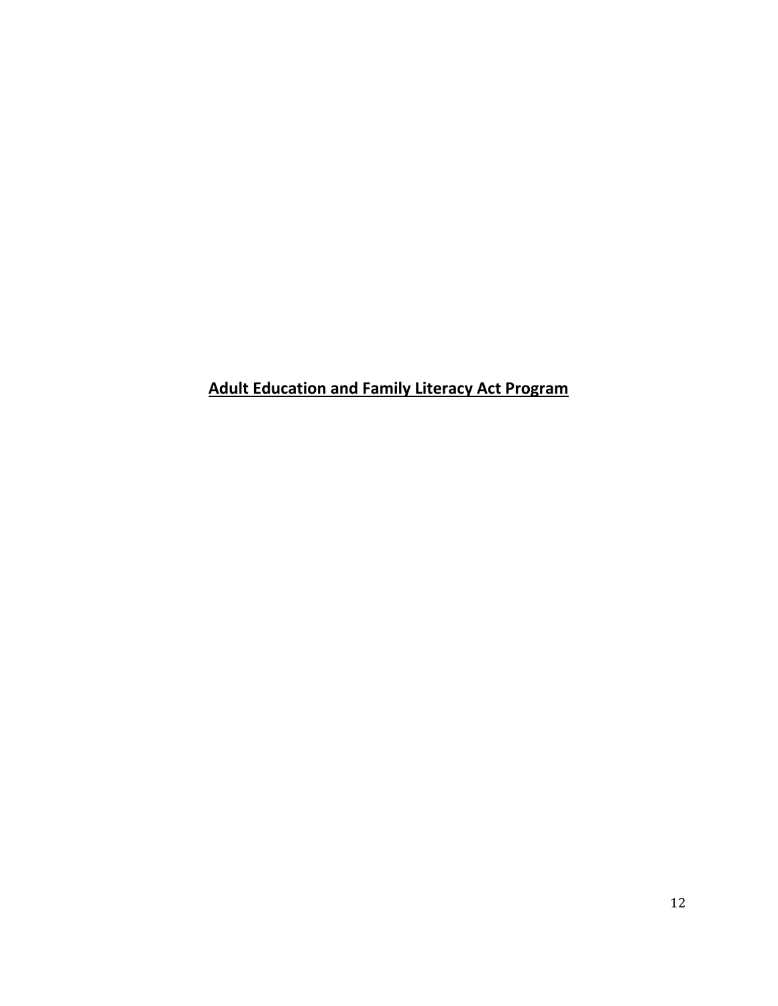**Adult Education and Family Literacy Act Program**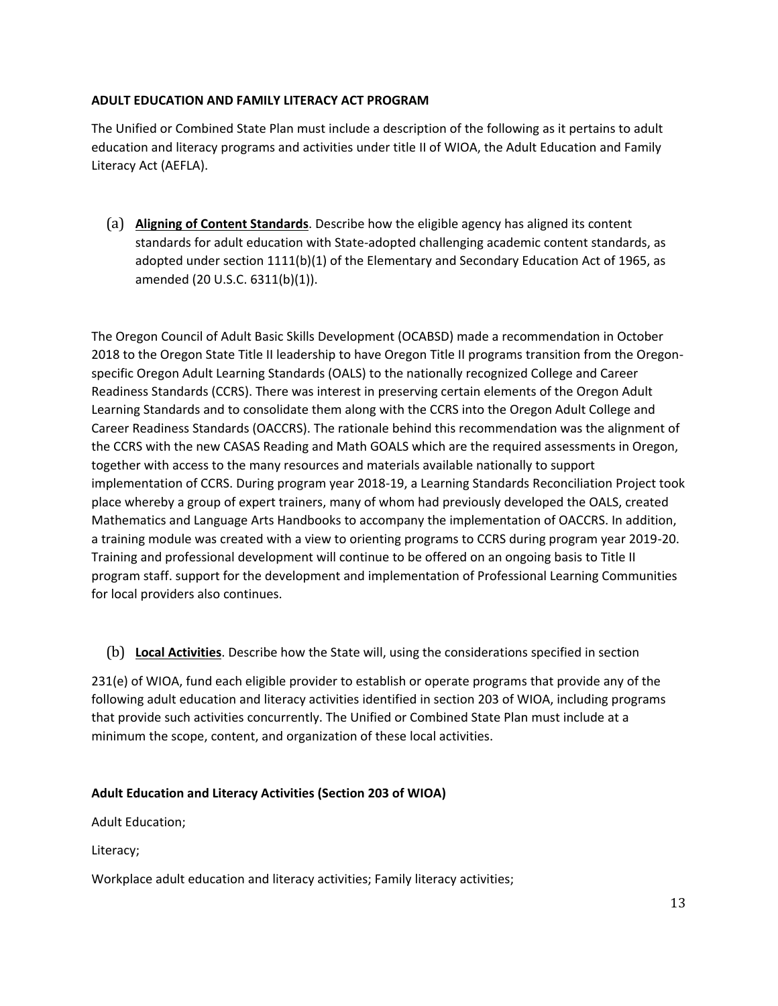## **ADULT EDUCATION AND FAMILY LITERACY ACT PROGRAM**

The Unified or Combined State Plan must include a description of the following as it pertains to adult education and literacy programs and activities under title II of WIOA, the Adult Education and Family Literacy Act (AEFLA).

(a) **Aligning of Content Standards**. Describe how the eligible agency has aligned its content standards for adult education with State-adopted challenging academic content standards, as adopted under section 1111(b)(1) of the Elementary and Secondary Education Act of 1965, as amended (20 U.S.C. 6311(b)(1)).

The Oregon Council of Adult Basic Skills Development (OCABSD) made a recommendation in October 2018 to the Oregon State Title II leadership to have Oregon Title II programs transition from the Oregonspecific Oregon Adult Learning Standards (OALS) to the nationally recognized College and Career Readiness Standards (CCRS). There was interest in preserving certain elements of the Oregon Adult Learning Standards and to consolidate them along with the CCRS into the Oregon Adult College and Career Readiness Standards (OACCRS). The rationale behind this recommendation was the alignment of the CCRS with the new CASAS Reading and Math GOALS which are the required assessments in Oregon, together with access to the many resources and materials available nationally to support implementation of CCRS. During program year 2018-19, a Learning Standards Reconciliation Project took place whereby a group of expert trainers, many of whom had previously developed the OALS, created Mathematics and Language Arts Handbooks to accompany the implementation of OACCRS. In addition, a training module was created with a view to orienting programs to CCRS during program year 2019-20. Training and professional development will continue to be offered on an ongoing basis to Title II program staff. support for the development and implementation of Professional Learning Communities for local providers also continues.

(b) **Local Activities**. Describe how the State will, using the considerations specified in section

231(e) of WIOA, fund each eligible provider to establish or operate programs that provide any of the following adult education and literacy activities identified in section 203 of WIOA, including programs that provide such activities concurrently. The Unified or Combined State Plan must include at a minimum the scope, content, and organization of these local activities.

## **Adult Education and Literacy Activities (Section 203 of WIOA)**

Adult Education;

Literacy;

Workplace adult education and literacy activities; Family literacy activities;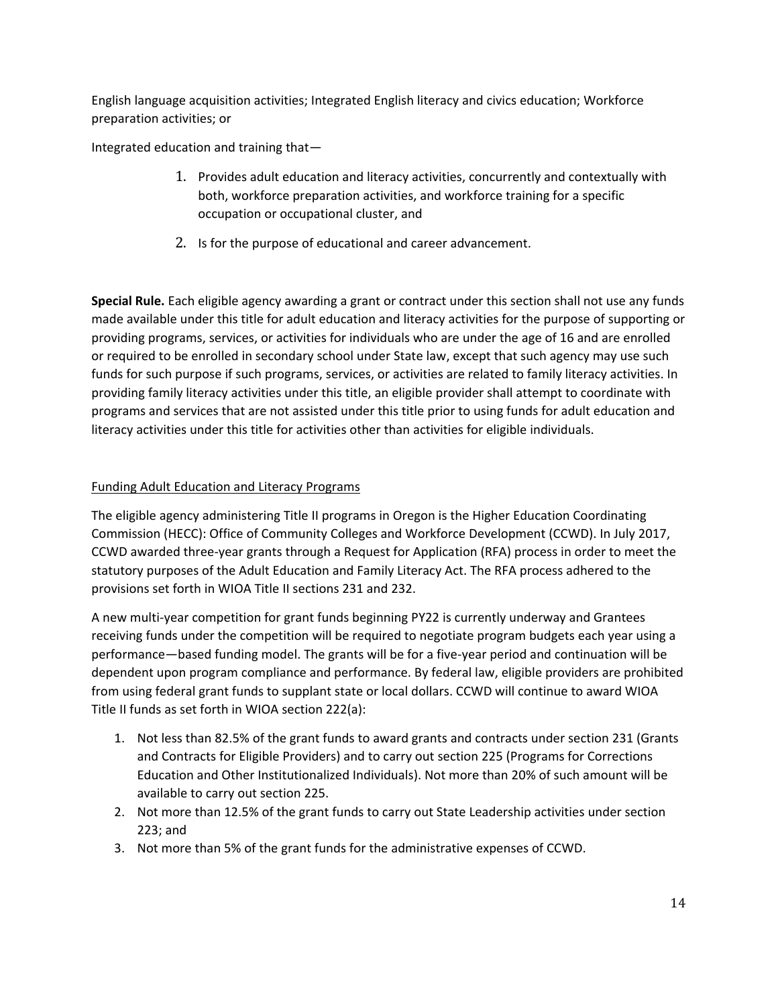English language acquisition activities; Integrated English literacy and civics education; Workforce preparation activities; or

Integrated education and training that—

- 1. Provides adult education and literacy activities, concurrently and contextually with both, workforce preparation activities, and workforce training for a specific occupation or occupational cluster, and
- 2. Is for the purpose of educational and career advancement.

**Special Rule.** Each eligible agency awarding a grant or contract under this section shall not use any funds made available under this title for adult education and literacy activities for the purpose of supporting or providing programs, services, or activities for individuals who are under the age of 16 and are enrolled or required to be enrolled in secondary school under State law, except that such agency may use such funds for such purpose if such programs, services, or activities are related to family literacy activities. In providing family literacy activities under this title, an eligible provider shall attempt to coordinate with programs and services that are not assisted under this title prior to using funds for adult education and literacy activities under this title for activities other than activities for eligible individuals.

## Funding Adult Education and Literacy Programs

The eligible agency administering Title II programs in Oregon is the Higher Education Coordinating Commission (HECC): Office of Community Colleges and Workforce Development (CCWD). In July 2017, CCWD awarded three-year grants through a Request for Application (RFA) process in order to meet the statutory purposes of the Adult Education and Family Literacy Act. The RFA process adhered to the provisions set forth in WIOA Title II sections 231 and 232.

A new multi-year competition for grant funds beginning PY22 is currently underway and Grantees receiving funds under the competition will be required to negotiate program budgets each year using a performance—based funding model. The grants will be for a five-year period and continuation will be dependent upon program compliance and performance. By federal law, eligible providers are prohibited from using federal grant funds to supplant state or local dollars. CCWD will continue to award WIOA Title II funds as set forth in WIOA section 222(a):

- 1. Not less than 82.5% of the grant funds to award grants and contracts under section 231 (Grants and Contracts for Eligible Providers) and to carry out section 225 (Programs for Corrections Education and Other Institutionalized Individuals). Not more than 20% of such amount will be available to carry out section 225.
- 2. Not more than 12.5% of the grant funds to carry out State Leadership activities under section 223; and
- 3. Not more than 5% of the grant funds for the administrative expenses of CCWD.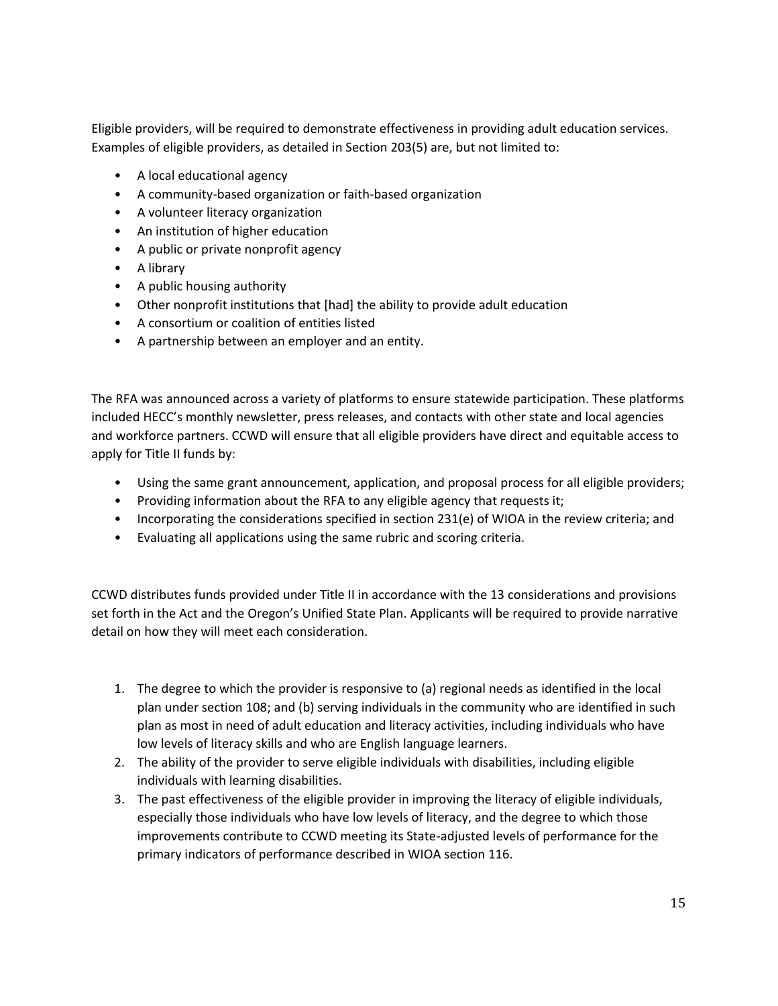Eligible providers, will be required to demonstrate effectiveness in providing adult education services. Examples of eligible providers, as detailed in Section 203(5) are, but not limited to:

- A local educational agency
- A community-based organization or faith-based organization
- A volunteer literacy organization
- An institution of higher education
- A public or private nonprofit agency
- A library
- A public housing authority
- Other nonprofit institutions that [had] the ability to provide adult education
- A consortium or coalition of entities listed
- A partnership between an employer and an entity.

The RFA was announced across a variety of platforms to ensure statewide participation. These platforms included HECC's monthly newsletter, press releases, and contacts with other state and local agencies and workforce partners. CCWD will ensure that all eligible providers have direct and equitable access to apply for Title II funds by:

- Using the same grant announcement, application, and proposal process for all eligible providers;
- Providing information about the RFA to any eligible agency that requests it;
- Incorporating the considerations specified in section 231(e) of WIOA in the review criteria; and
- Evaluating all applications using the same rubric and scoring criteria.

CCWD distributes funds provided under Title II in accordance with the 13 considerations and provisions set forth in the Act and the Oregon's Unified State Plan. Applicants will be required to provide narrative detail on how they will meet each consideration.

- 1. The degree to which the provider is responsive to (a) regional needs as identified in the local plan under section 108; and (b) serving individuals in the community who are identified in such plan as most in need of adult education and literacy activities, including individuals who have low levels of literacy skills and who are English language learners.
- 2. The ability of the provider to serve eligible individuals with disabilities, including eligible individuals with learning disabilities.
- 3. The past effectiveness of the eligible provider in improving the literacy of eligible individuals, especially those individuals who have low levels of literacy, and the degree to which those improvements contribute to CCWD meeting its State-adjusted levels of performance for the primary indicators of performance described in WIOA section 116.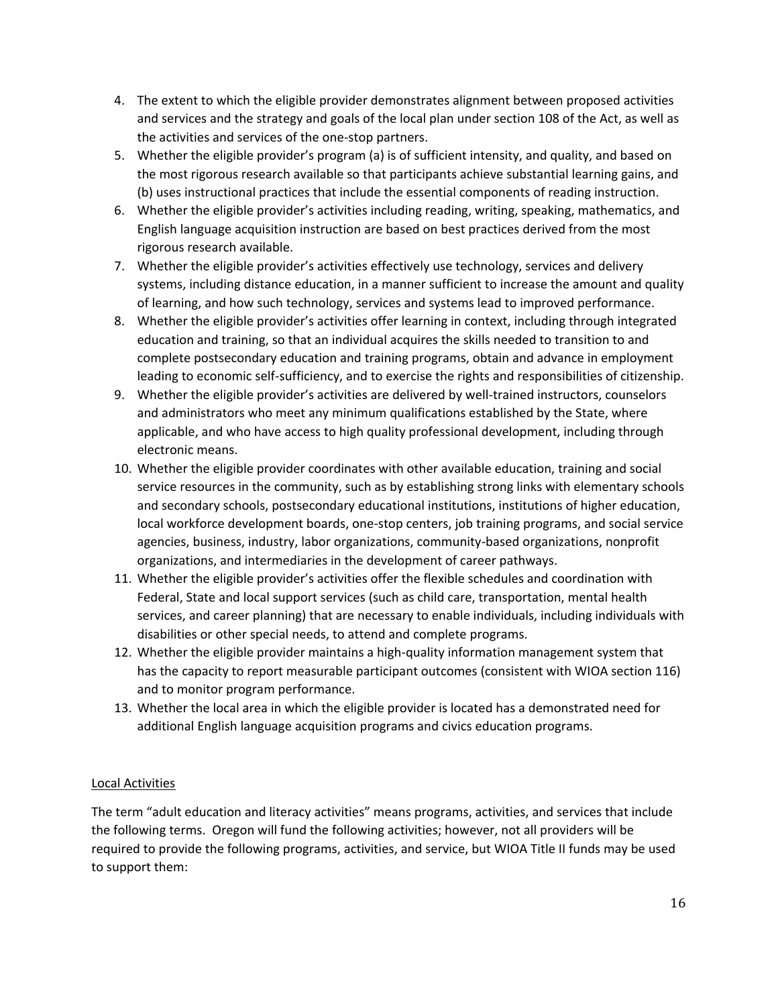- 4. The extent to which the eligible provider demonstrates alignment between proposed activities and services and the strategy and goals of the local plan under section 108 of the Act, as well as the activities and services of the one-stop partners.
- 5. Whether the eligible provider's program (a) is of sufficient intensity, and quality, and based on the most rigorous research available so that participants achieve substantial learning gains, and (b) uses instructional practices that include the essential components of reading instruction.
- 6. Whether the eligible provider's activities including reading, writing, speaking, mathematics, and English language acquisition instruction are based on best practices derived from the most rigorous research available.
- 7. Whether the eligible provider's activities effectively use technology, services and delivery systems, including distance education, in a manner sufficient to increase the amount and quality of learning, and how such technology, services and systems lead to improved performance.
- 8. Whether the eligible provider's activities offer learning in context, including through integrated education and training, so that an individual acquires the skills needed to transition to and complete postsecondary education and training programs, obtain and advance in employment leading to economic self-sufficiency, and to exercise the rights and responsibilities of citizenship.
- 9. Whether the eligible provider's activities are delivered by well-trained instructors, counselors and administrators who meet any minimum qualifications established by the State, where applicable, and who have access to high quality professional development, including through electronic means.
- 10. Whether the eligible provider coordinates with other available education, training and social service resources in the community, such as by establishing strong links with elementary schools and secondary schools, postsecondary educational institutions, institutions of higher education, local workforce development boards, one-stop centers, job training programs, and social service agencies, business, industry, labor organizations, community-based organizations, nonprofit organizations, and intermediaries in the development of career pathways.
- 11. Whether the eligible provider's activities offer the flexible schedules and coordination with Federal, State and local support services (such as child care, transportation, mental health services, and career planning) that are necessary to enable individuals, including individuals with disabilities or other special needs, to attend and complete programs.
- 12. Whether the eligible provider maintains a high-quality information management system that has the capacity to report measurable participant outcomes (consistent with WIOA section 116) and to monitor program performance.
- 13. Whether the local area in which the eligible provider is located has a demonstrated need for additional English language acquisition programs and civics education programs.

## Local Activities

The term "adult education and literacy activities" means programs, activities, and services that include the following terms. Oregon will fund the following activities; however, not all providers will be required to provide the following programs, activities, and service, but WIOA Title II funds may be used to support them: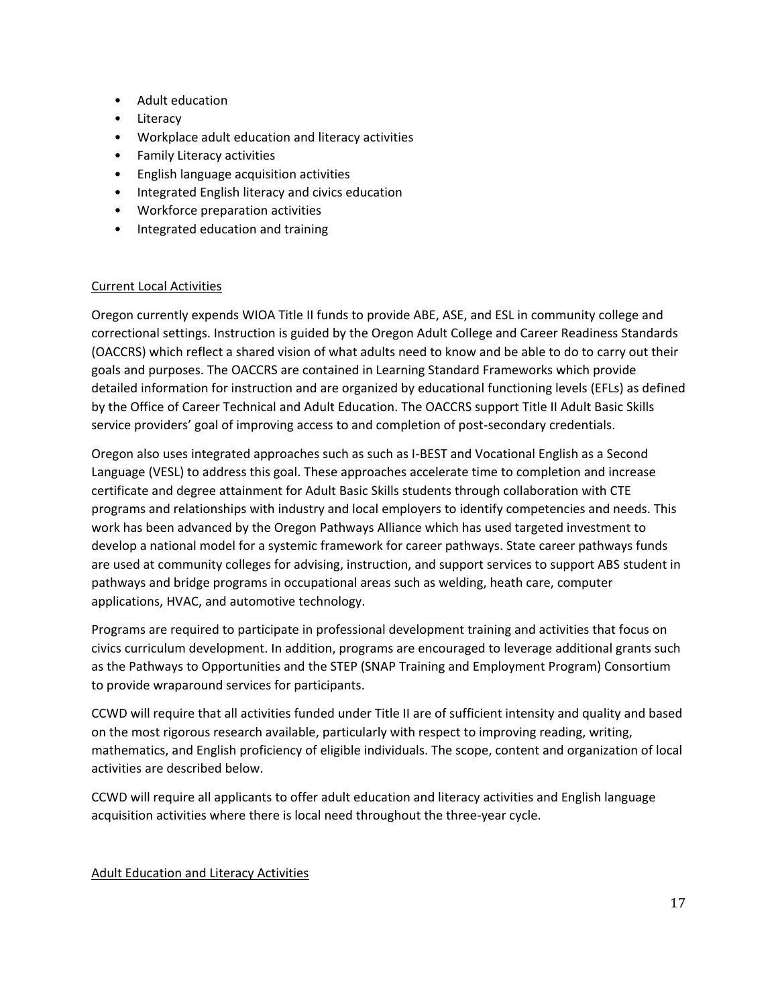- Adult education
- Literacy
- Workplace adult education and literacy activities
- Family Literacy activities
- English language acquisition activities
- Integrated English literacy and civics education
- Workforce preparation activities
- Integrated education and training

## Current Local Activities

Oregon currently expends WIOA Title II funds to provide ABE, ASE, and ESL in community college and correctional settings. Instruction is guided by the Oregon Adult College and Career Readiness Standards (OACCRS) which reflect a shared vision of what adults need to know and be able to do to carry out their goals and purposes. The OACCRS are contained in Learning Standard Frameworks which provide detailed information for instruction and are organized by educational functioning levels (EFLs) as defined by the Office of Career Technical and Adult Education. The OACCRS support Title II Adult Basic Skills service providers' goal of improving access to and completion of post-secondary credentials.

Oregon also uses integrated approaches such as such as I-BEST and Vocational English as a Second Language (VESL) to address this goal. These approaches accelerate time to completion and increase certificate and degree attainment for Adult Basic Skills students through collaboration with CTE programs and relationships with industry and local employers to identify competencies and needs. This work has been advanced by the Oregon Pathways Alliance which has used targeted investment to develop a national model for a systemic framework for career pathways. State career pathways funds are used at community colleges for advising, instruction, and support services to support ABS student in pathways and bridge programs in occupational areas such as welding, heath care, computer applications, HVAC, and automotive technology.

Programs are required to participate in professional development training and activities that focus on civics curriculum development. In addition, programs are encouraged to leverage additional grants such as the Pathways to Opportunities and the STEP (SNAP Training and Employment Program) Consortium to provide wraparound services for participants.

CCWD will require that all activities funded under Title II are of sufficient intensity and quality and based on the most rigorous research available, particularly with respect to improving reading, writing, mathematics, and English proficiency of eligible individuals. The scope, content and organization of local activities are described below.

CCWD will require all applicants to offer adult education and literacy activities and English language acquisition activities where there is local need throughout the three-year cycle.

#### Adult Education and Literacy Activities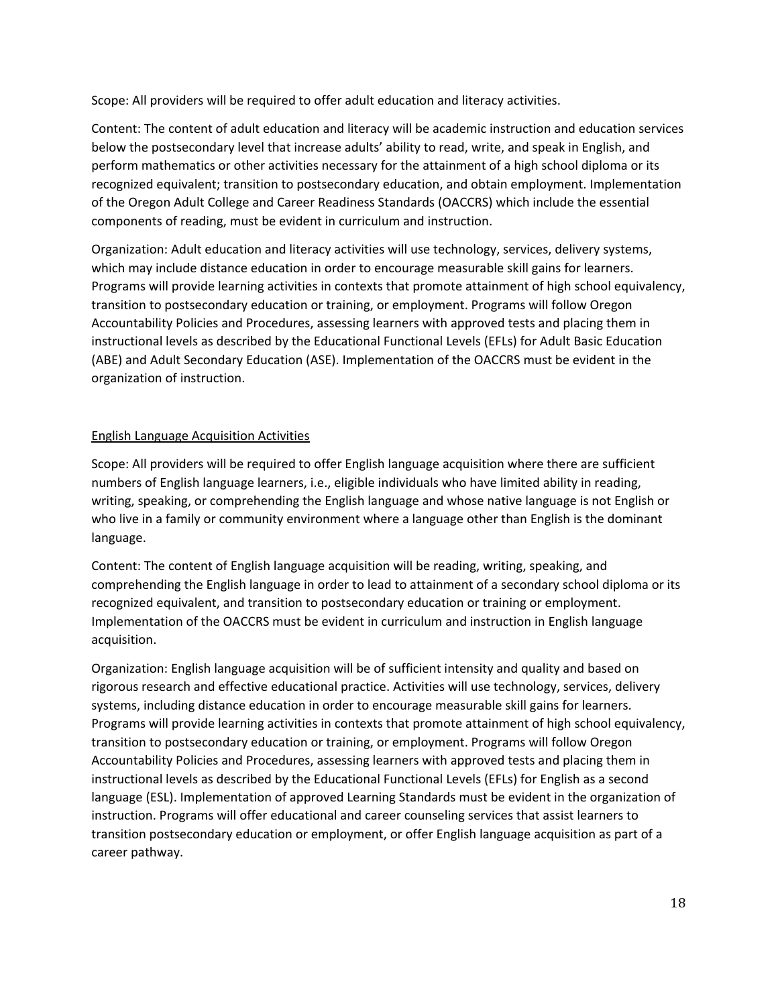Scope: All providers will be required to offer adult education and literacy activities.

Content: The content of adult education and literacy will be academic instruction and education services below the postsecondary level that increase adults' ability to read, write, and speak in English, and perform mathematics or other activities necessary for the attainment of a high school diploma or its recognized equivalent; transition to postsecondary education, and obtain employment. Implementation of the Oregon Adult College and Career Readiness Standards (OACCRS) which include the essential components of reading, must be evident in curriculum and instruction.

Organization: Adult education and literacy activities will use technology, services, delivery systems, which may include distance education in order to encourage measurable skill gains for learners. Programs will provide learning activities in contexts that promote attainment of high school equivalency, transition to postsecondary education or training, or employment. Programs will follow Oregon Accountability Policies and Procedures, assessing learners with approved tests and placing them in instructional levels as described by the Educational Functional Levels (EFLs) for Adult Basic Education (ABE) and Adult Secondary Education (ASE). Implementation of the OACCRS must be evident in the organization of instruction.

#### English Language Acquisition Activities

Scope: All providers will be required to offer English language acquisition where there are sufficient numbers of English language learners, i.e., eligible individuals who have limited ability in reading, writing, speaking, or comprehending the English language and whose native language is not English or who live in a family or community environment where a language other than English is the dominant language.

Content: The content of English language acquisition will be reading, writing, speaking, and comprehending the English language in order to lead to attainment of a secondary school diploma or its recognized equivalent, and transition to postsecondary education or training or employment. Implementation of the OACCRS must be evident in curriculum and instruction in English language acquisition.

Organization: English language acquisition will be of sufficient intensity and quality and based on rigorous research and effective educational practice. Activities will use technology, services, delivery systems, including distance education in order to encourage measurable skill gains for learners. Programs will provide learning activities in contexts that promote attainment of high school equivalency, transition to postsecondary education or training, or employment. Programs will follow Oregon Accountability Policies and Procedures, assessing learners with approved tests and placing them in instructional levels as described by the Educational Functional Levels (EFLs) for English as a second language (ESL). Implementation of approved Learning Standards must be evident in the organization of instruction. Programs will offer educational and career counseling services that assist learners to transition postsecondary education or employment, or offer English language acquisition as part of a career pathway.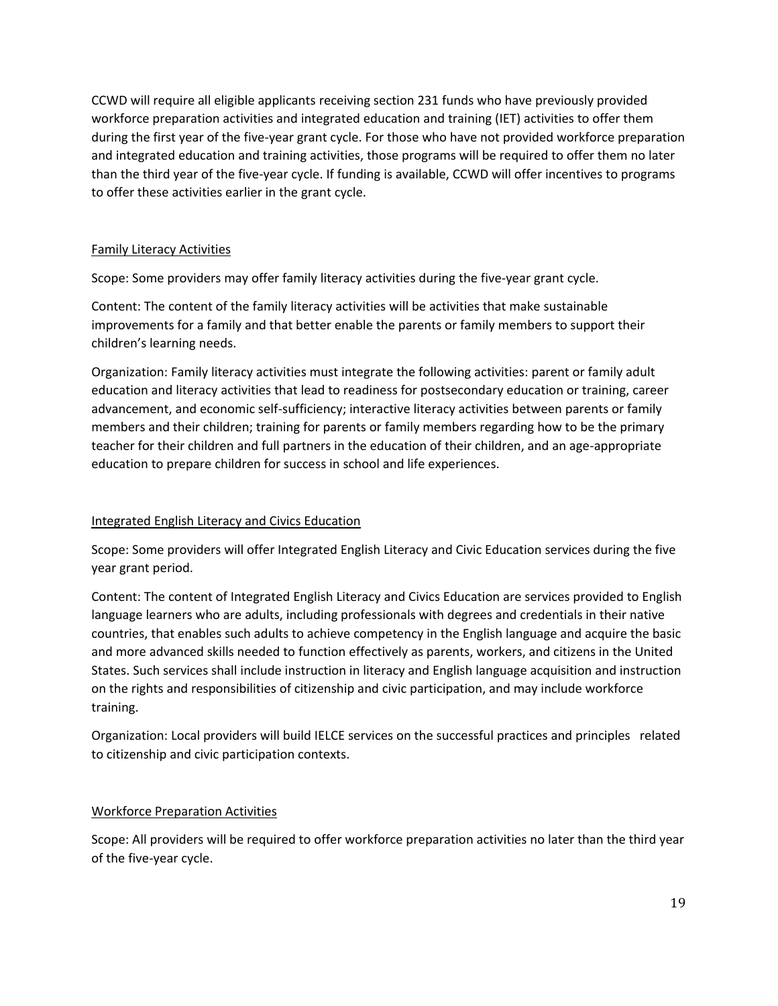CCWD will require all eligible applicants receiving section 231 funds who have previously provided workforce preparation activities and integrated education and training (IET) activities to offer them during the first year of the five-year grant cycle. For those who have not provided workforce preparation and integrated education and training activities, those programs will be required to offer them no later than the third year of the five-year cycle. If funding is available, CCWD will offer incentives to programs to offer these activities earlier in the grant cycle.

## Family Literacy Activities

Scope: Some providers may offer family literacy activities during the five-year grant cycle.

Content: The content of the family literacy activities will be activities that make sustainable improvements for a family and that better enable the parents or family members to support their children's learning needs.

Organization: Family literacy activities must integrate the following activities: parent or family adult education and literacy activities that lead to readiness for postsecondary education or training, career advancement, and economic self-sufficiency; interactive literacy activities between parents or family members and their children; training for parents or family members regarding how to be the primary teacher for their children and full partners in the education of their children, and an age-appropriate education to prepare children for success in school and life experiences.

## Integrated English Literacy and Civics Education

Scope: Some providers will offer Integrated English Literacy and Civic Education services during the five year grant period.

Content: The content of Integrated English Literacy and Civics Education are services provided to English language learners who are adults, including professionals with degrees and credentials in their native countries, that enables such adults to achieve competency in the English language and acquire the basic and more advanced skills needed to function effectively as parents, workers, and citizens in the United States. Such services shall include instruction in literacy and English language acquisition and instruction on the rights and responsibilities of citizenship and civic participation, and may include workforce training.

Organization: Local providers will build IELCE services on the successful practices and principles related to citizenship and civic participation contexts.

#### Workforce Preparation Activities

Scope: All providers will be required to offer workforce preparation activities no later than the third year of the five-year cycle.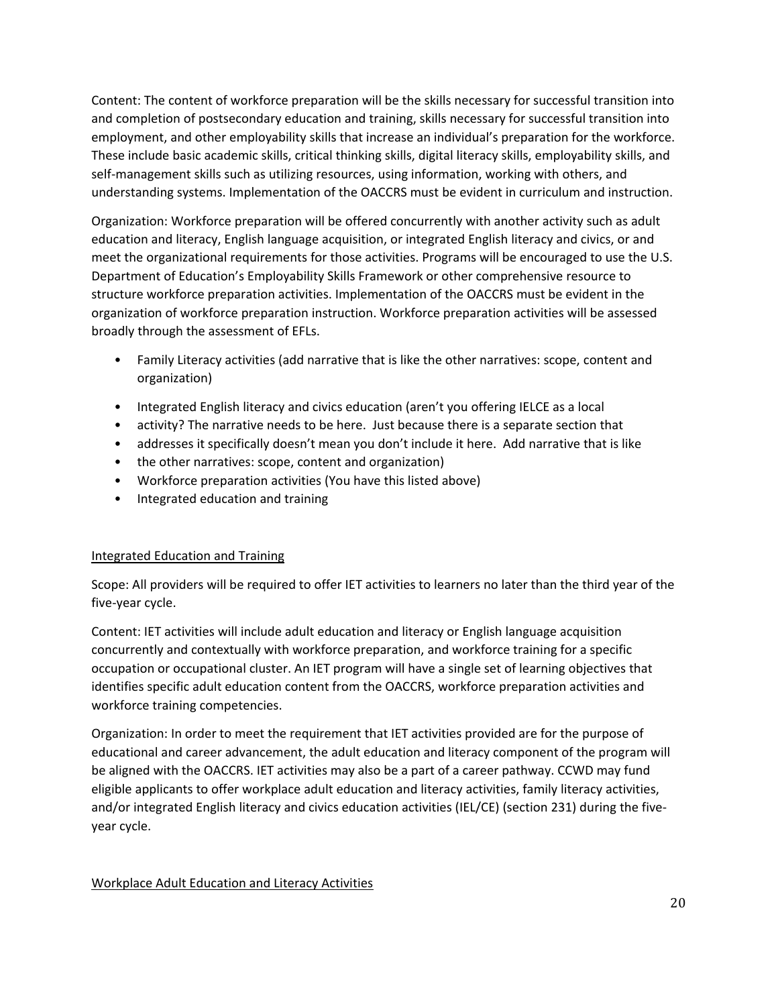Content: The content of workforce preparation will be the skills necessary for successful transition into and completion of postsecondary education and training, skills necessary for successful transition into employment, and other employability skills that increase an individual's preparation for the workforce. These include basic academic skills, critical thinking skills, digital literacy skills, employability skills, and self-management skills such as utilizing resources, using information, working with others, and understanding systems. Implementation of the OACCRS must be evident in curriculum and instruction.

Organization: Workforce preparation will be offered concurrently with another activity such as adult education and literacy, English language acquisition, or integrated English literacy and civics, or and meet the organizational requirements for those activities. Programs will be encouraged to use the U.S. Department of Education's Employability Skills Framework or other comprehensive resource to structure workforce preparation activities. Implementation of the OACCRS must be evident in the organization of workforce preparation instruction. Workforce preparation activities will be assessed broadly through the assessment of EFLs.

- Family Literacy activities (add narrative that is like the other narratives: scope, content and organization)
- Integrated English literacy and civics education (aren't you offering IELCE as a local
- activity? The narrative needs to be here. Just because there is a separate section that
- addresses it specifically doesn't mean you don't include it here. Add narrative that is like
- the other narratives: scope, content and organization)
- Workforce preparation activities (You have this listed above)
- Integrated education and training

## Integrated Education and Training

Scope: All providers will be required to offer IET activities to learners no later than the third year of the five-year cycle.

Content: IET activities will include adult education and literacy or English language acquisition concurrently and contextually with workforce preparation, and workforce training for a specific occupation or occupational cluster. An IET program will have a single set of learning objectives that identifies specific adult education content from the OACCRS, workforce preparation activities and workforce training competencies.

Organization: In order to meet the requirement that IET activities provided are for the purpose of educational and career advancement, the adult education and literacy component of the program will be aligned with the OACCRS. IET activities may also be a part of a career pathway. CCWD may fund eligible applicants to offer workplace adult education and literacy activities, family literacy activities, and/or integrated English literacy and civics education activities (IEL/CE) (section 231) during the fiveyear cycle.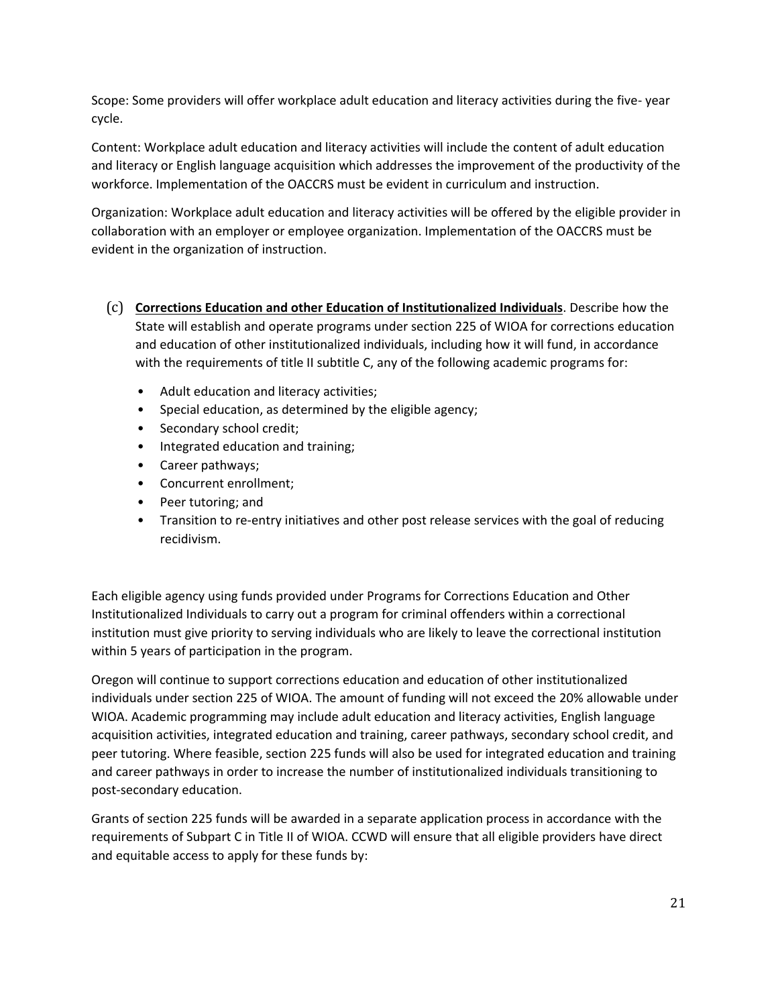Scope: Some providers will offer workplace adult education and literacy activities during the five- year cycle.

Content: Workplace adult education and literacy activities will include the content of adult education and literacy or English language acquisition which addresses the improvement of the productivity of the workforce. Implementation of the OACCRS must be evident in curriculum and instruction.

Organization: Workplace adult education and literacy activities will be offered by the eligible provider in collaboration with an employer or employee organization. Implementation of the OACCRS must be evident in the organization of instruction.

- (c) **Corrections Education and other Education of Institutionalized Individuals**. Describe how the State will establish and operate programs under section 225 of WIOA for corrections education and education of other institutionalized individuals, including how it will fund, in accordance with the requirements of title II subtitle C, any of the following academic programs for:
	- Adult education and literacy activities;
	- Special education, as determined by the eligible agency;
	- Secondary school credit;
	- Integrated education and training;
	- Career pathways;
	- Concurrent enrollment;
	- Peer tutoring; and
	- Transition to re-entry initiatives and other post release services with the goal of reducing recidivism.

Each eligible agency using funds provided under Programs for Corrections Education and Other Institutionalized Individuals to carry out a program for criminal offenders within a correctional institution must give priority to serving individuals who are likely to leave the correctional institution within 5 years of participation in the program.

Oregon will continue to support corrections education and education of other institutionalized individuals under section 225 of WIOA. The amount of funding will not exceed the 20% allowable under WIOA. Academic programming may include adult education and literacy activities, English language acquisition activities, integrated education and training, career pathways, secondary school credit, and peer tutoring. Where feasible, section 225 funds will also be used for integrated education and training and career pathways in order to increase the number of institutionalized individuals transitioning to post-secondary education.

Grants of section 225 funds will be awarded in a separate application process in accordance with the requirements of Subpart C in Title II of WIOA. CCWD will ensure that all eligible providers have direct and equitable access to apply for these funds by: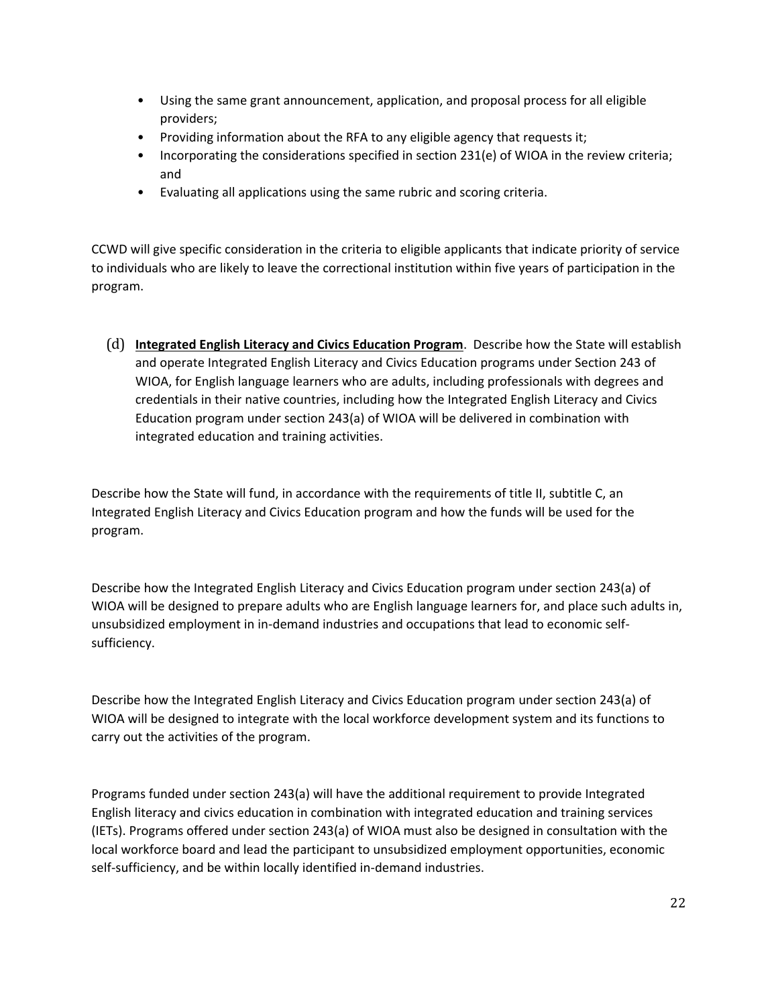- Using the same grant announcement, application, and proposal process for all eligible providers;
- Providing information about the RFA to any eligible agency that requests it;
- Incorporating the considerations specified in section 231(e) of WIOA in the review criteria; and
- Evaluating all applications using the same rubric and scoring criteria.

CCWD will give specific consideration in the criteria to eligible applicants that indicate priority of service to individuals who are likely to leave the correctional institution within five years of participation in the program.

(d) **Integrated English Literacy and Civics Education Program**. Describe how the State will establish and operate Integrated English Literacy and Civics Education programs under Section 243 of WIOA, for English language learners who are adults, including professionals with degrees and credentials in their native countries, including how the Integrated English Literacy and Civics Education program under section 243(a) of WIOA will be delivered in combination with integrated education and training activities.

Describe how the State will fund, in accordance with the requirements of title II, subtitle C, an Integrated English Literacy and Civics Education program and how the funds will be used for the program.

Describe how the Integrated English Literacy and Civics Education program under section 243(a) of WIOA will be designed to prepare adults who are English language learners for, and place such adults in, unsubsidized employment in in-demand industries and occupations that lead to economic selfsufficiency.

Describe how the Integrated English Literacy and Civics Education program under section 243(a) of WIOA will be designed to integrate with the local workforce development system and its functions to carry out the activities of the program.

Programs funded under section 243(a) will have the additional requirement to provide Integrated English literacy and civics education in combination with integrated education and training services (IETs). Programs offered under section 243(a) of WIOA must also be designed in consultation with the local workforce board and lead the participant to unsubsidized employment opportunities, economic self-sufficiency, and be within locally identified in-demand industries.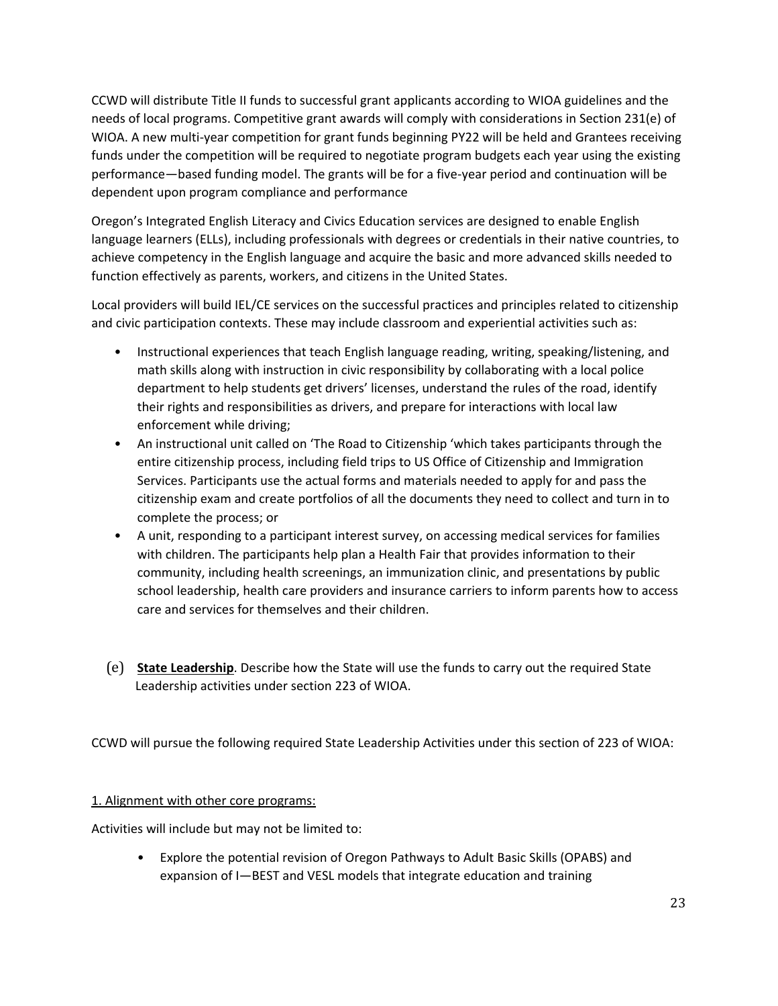CCWD will distribute Title II funds to successful grant applicants according to WIOA guidelines and the needs of local programs. Competitive grant awards will comply with considerations in Section 231(e) of WIOA. A new multi-year competition for grant funds beginning PY22 will be held and Grantees receiving funds under the competition will be required to negotiate program budgets each year using the existing performance—based funding model. The grants will be for a five-year period and continuation will be dependent upon program compliance and performance

Oregon's Integrated English Literacy and Civics Education services are designed to enable English language learners (ELLs), including professionals with degrees or credentials in their native countries, to achieve competency in the English language and acquire the basic and more advanced skills needed to function effectively as parents, workers, and citizens in the United States.

Local providers will build IEL/CE services on the successful practices and principles related to citizenship and civic participation contexts. These may include classroom and experiential activities such as:

- Instructional experiences that teach English language reading, writing, speaking/listening, and math skills along with instruction in civic responsibility by collaborating with a local police department to help students get drivers' licenses, understand the rules of the road, identify their rights and responsibilities as drivers, and prepare for interactions with local law enforcement while driving;
- An instructional unit called on 'The Road to Citizenship 'which takes participants through the entire citizenship process, including field trips to US Office of Citizenship and Immigration Services. Participants use the actual forms and materials needed to apply for and pass the citizenship exam and create portfolios of all the documents they need to collect and turn in to complete the process; or
- A unit, responding to a participant interest survey, on accessing medical services for families with children. The participants help plan a Health Fair that provides information to their community, including health screenings, an immunization clinic, and presentations by public school leadership, health care providers and insurance carriers to inform parents how to access care and services for themselves and their children.
- (e) **State Leadership**. Describe how the State will use the funds to carry out the required State Leadership activities under section 223 of WIOA.

CCWD will pursue the following required State Leadership Activities under this section of 223 of WIOA:

## 1. Alignment with other core programs:

Activities will include but may not be limited to:

• Explore the potential revision of Oregon Pathways to Adult Basic Skills (OPABS) and expansion of I—BEST and VESL models that integrate education and training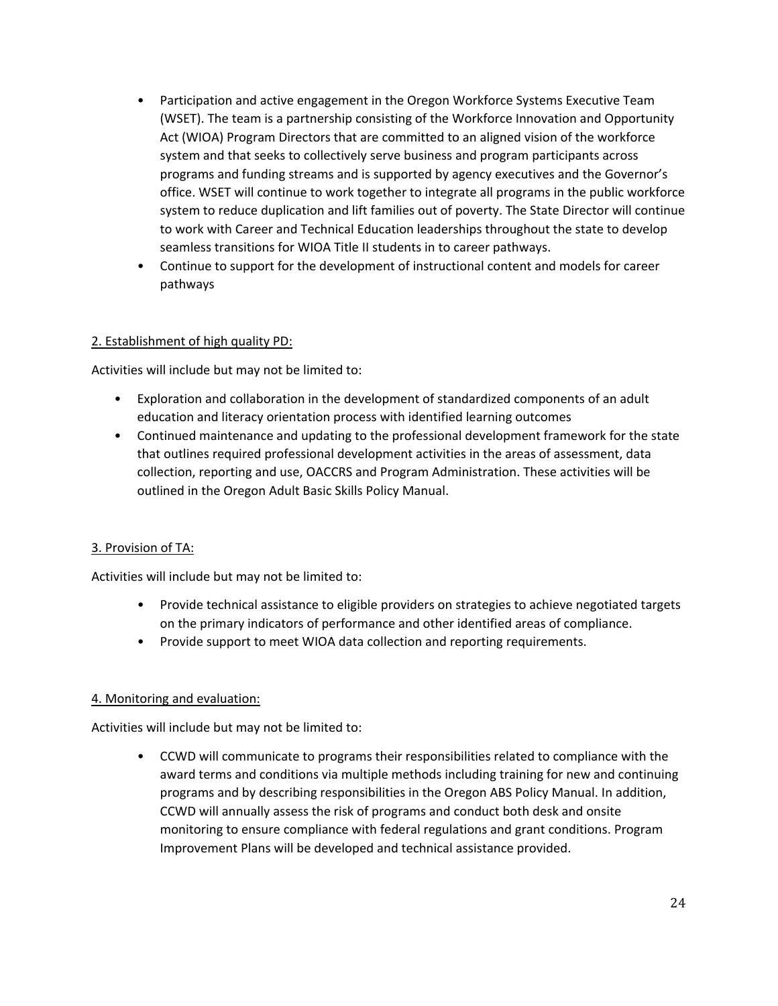- Participation and active engagement in the Oregon Workforce Systems Executive Team (WSET). The team is a partnership consisting of the Workforce Innovation and Opportunity Act (WIOA) Program Directors that are committed to an aligned vision of the workforce system and that seeks to collectively serve business and program participants across programs and funding streams and is supported by agency executives and the Governor's office. WSET will continue to work together to integrate all programs in the public workforce system to reduce duplication and lift families out of poverty. The State Director will continue to work with Career and Technical Education leaderships throughout the state to develop seamless transitions for WIOA Title II students in to career pathways.
- Continue to support for the development of instructional content and models for career pathways

## 2. Establishment of high quality PD:

Activities will include but may not be limited to:

- Exploration and collaboration in the development of standardized components of an adult education and literacy orientation process with identified learning outcomes
- Continued maintenance and updating to the professional development framework for the state that outlines required professional development activities in the areas of assessment, data collection, reporting and use, OACCRS and Program Administration. These activities will be outlined in the Oregon Adult Basic Skills Policy Manual.

#### 3. Provision of TA:

Activities will include but may not be limited to:

- Provide technical assistance to eligible providers on strategies to achieve negotiated targets on the primary indicators of performance and other identified areas of compliance.
- Provide support to meet WIOA data collection and reporting requirements.

#### 4. Monitoring and evaluation:

Activities will include but may not be limited to:

• CCWD will communicate to programs their responsibilities related to compliance with the award terms and conditions via multiple methods including training for new and continuing programs and by describing responsibilities in the Oregon ABS Policy Manual. In addition, CCWD will annually assess the risk of programs and conduct both desk and onsite monitoring to ensure compliance with federal regulations and grant conditions. Program Improvement Plans will be developed and technical assistance provided.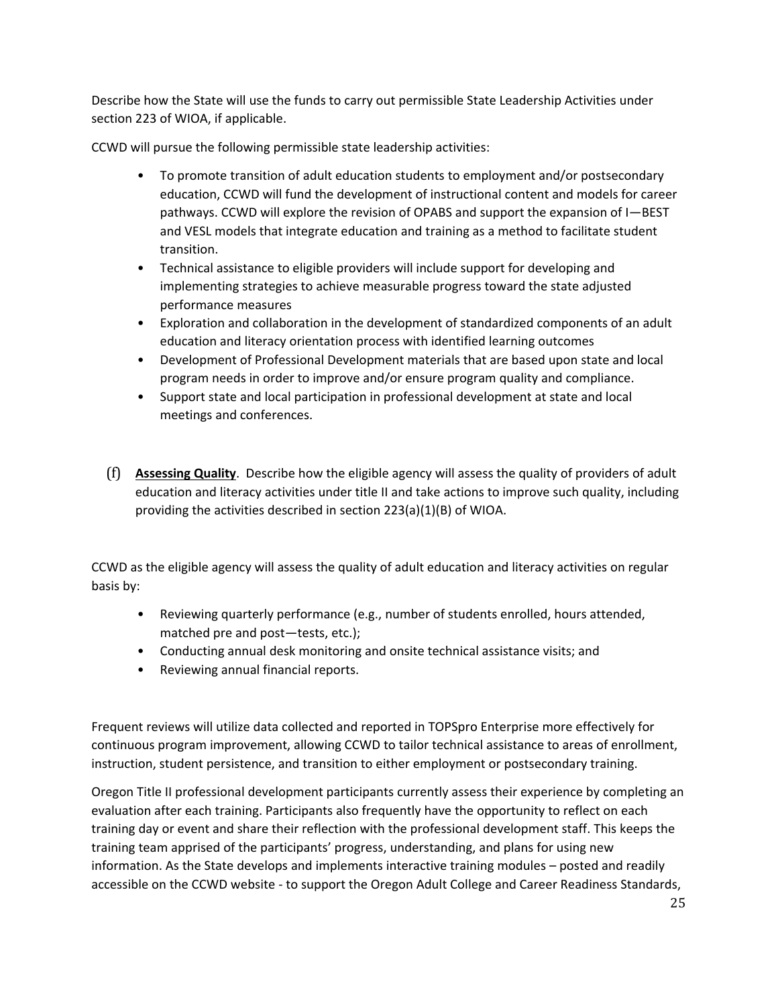Describe how the State will use the funds to carry out permissible State Leadership Activities under section 223 of WIOA, if applicable.

CCWD will pursue the following permissible state leadership activities:

- To promote transition of adult education students to employment and/or postsecondary education, CCWD will fund the development of instructional content and models for career pathways. CCWD will explore the revision of OPABS and support the expansion of I—BEST and VESL models that integrate education and training as a method to facilitate student transition.
- Technical assistance to eligible providers will include support for developing and implementing strategies to achieve measurable progress toward the state adjusted performance measures
- Exploration and collaboration in the development of standardized components of an adult education and literacy orientation process with identified learning outcomes
- Development of Professional Development materials that are based upon state and local program needs in order to improve and/or ensure program quality and compliance.
- Support state and local participation in professional development at state and local meetings and conferences.
- (f) **Assessing Quality**. Describe how the eligible agency will assess the quality of providers of adult education and literacy activities under title II and take actions to improve such quality, including providing the activities described in section 223(a)(1)(B) of WIOA.

CCWD as the eligible agency will assess the quality of adult education and literacy activities on regular basis by:

- Reviewing quarterly performance (e.g., number of students enrolled, hours attended, matched pre and post—tests, etc.);
- Conducting annual desk monitoring and onsite technical assistance visits; and
- Reviewing annual financial reports.

Frequent reviews will utilize data collected and reported in TOPSpro Enterprise more effectively for continuous program improvement, allowing CCWD to tailor technical assistance to areas of enrollment, instruction, student persistence, and transition to either employment or postsecondary training.

Oregon Title II professional development participants currently assess their experience by completing an evaluation after each training. Participants also frequently have the opportunity to reflect on each training day or event and share their reflection with the professional development staff. This keeps the training team apprised of the participants' progress, understanding, and plans for using new information. As the State develops and implements interactive training modules – posted and readily accessible on the CCWD website - to support the Oregon Adult College and Career Readiness Standards,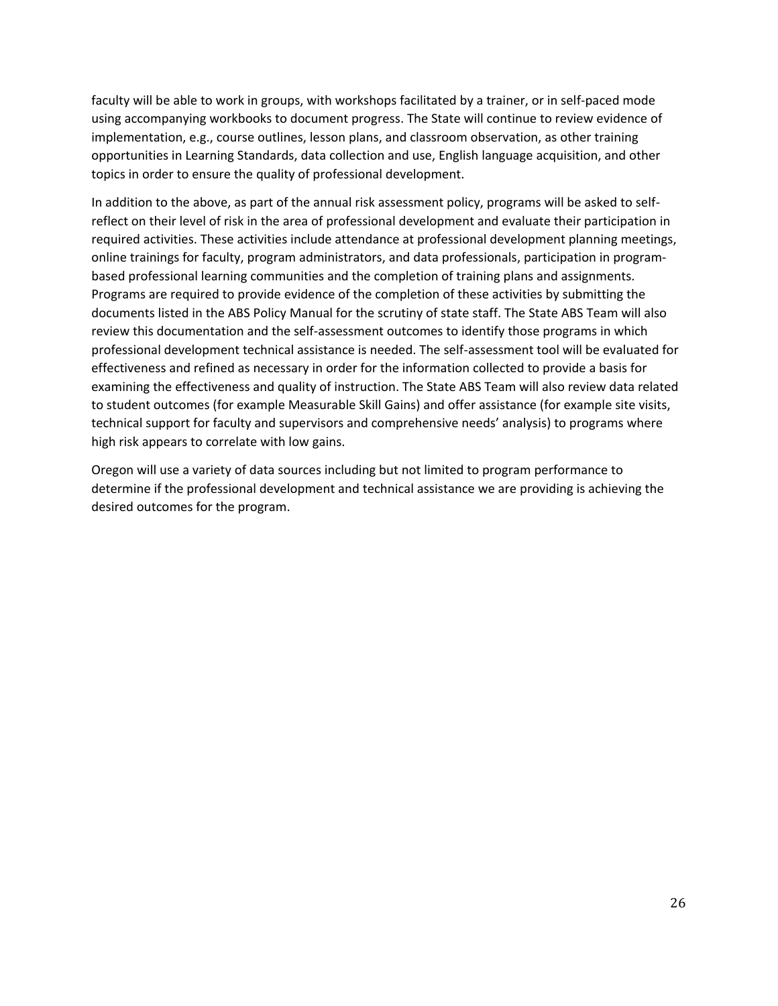faculty will be able to work in groups, with workshops facilitated by a trainer, or in self-paced mode using accompanying workbooks to document progress. The State will continue to review evidence of implementation, e.g., course outlines, lesson plans, and classroom observation, as other training opportunities in Learning Standards, data collection and use, English language acquisition, and other topics in order to ensure the quality of professional development.

In addition to the above, as part of the annual risk assessment policy, programs will be asked to selfreflect on their level of risk in the area of professional development and evaluate their participation in required activities. These activities include attendance at professional development planning meetings, online trainings for faculty, program administrators, and data professionals, participation in programbased professional learning communities and the completion of training plans and assignments. Programs are required to provide evidence of the completion of these activities by submitting the documents listed in the ABS Policy Manual for the scrutiny of state staff. The State ABS Team will also review this documentation and the self-assessment outcomes to identify those programs in which professional development technical assistance is needed. The self-assessment tool will be evaluated for effectiveness and refined as necessary in order for the information collected to provide a basis for examining the effectiveness and quality of instruction. The State ABS Team will also review data related to student outcomes (for example Measurable Skill Gains) and offer assistance (for example site visits, technical support for faculty and supervisors and comprehensive needs' analysis) to programs where high risk appears to correlate with low gains.

Oregon will use a variety of data sources including but not limited to program performance to determine if the professional development and technical assistance we are providing is achieving the desired outcomes for the program.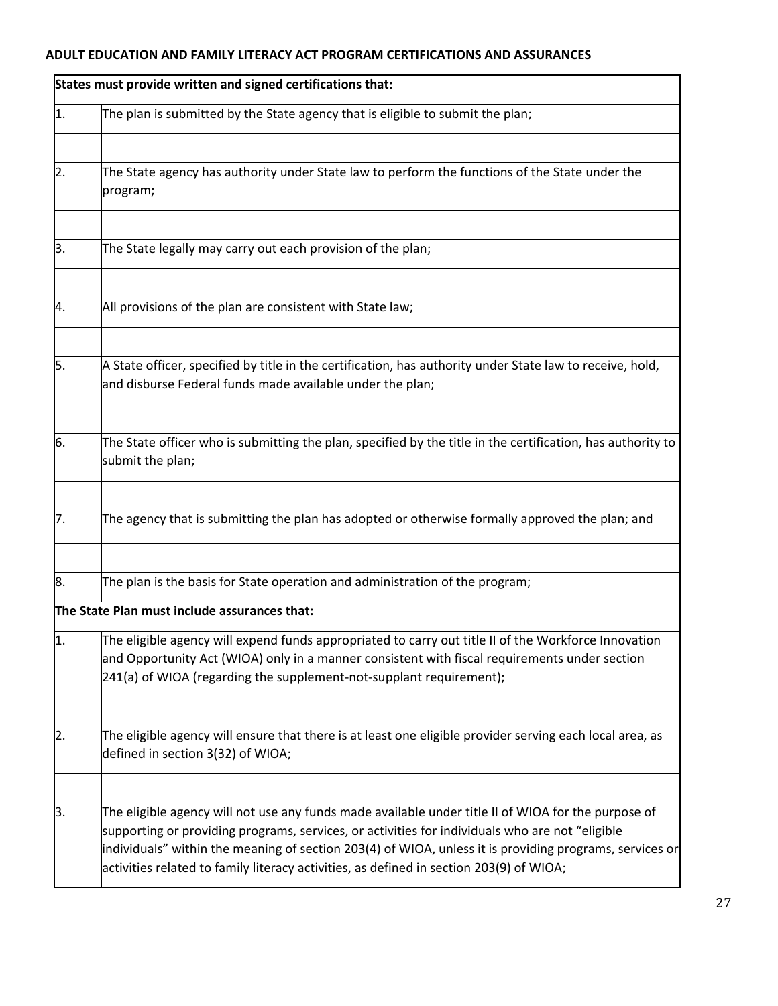#### **ADULT EDUCATION AND FAMILY LITERACY ACT PROGRAM CERTIFICATIONS AND ASSURANCES**

| States must provide written and signed certifications that: |                                                                                                                                                                      |  |  |  |
|-------------------------------------------------------------|----------------------------------------------------------------------------------------------------------------------------------------------------------------------|--|--|--|
| 1.                                                          | The plan is submitted by the State agency that is eligible to submit the plan;                                                                                       |  |  |  |
|                                                             |                                                                                                                                                                      |  |  |  |
| 2.                                                          | The State agency has authority under State law to perform the functions of the State under the                                                                       |  |  |  |
|                                                             | program;                                                                                                                                                             |  |  |  |
|                                                             |                                                                                                                                                                      |  |  |  |
| 3.                                                          | The State legally may carry out each provision of the plan;                                                                                                          |  |  |  |
|                                                             |                                                                                                                                                                      |  |  |  |
| 4.                                                          | All provisions of the plan are consistent with State law;                                                                                                            |  |  |  |
|                                                             |                                                                                                                                                                      |  |  |  |
| 5.                                                          | A State officer, specified by title in the certification, has authority under State law to receive, hold,                                                            |  |  |  |
|                                                             | and disburse Federal funds made available under the plan;                                                                                                            |  |  |  |
|                                                             |                                                                                                                                                                      |  |  |  |
| 6.                                                          | The State officer who is submitting the plan, specified by the title in the certification, has authority to<br>submit the plan;                                      |  |  |  |
|                                                             |                                                                                                                                                                      |  |  |  |
|                                                             |                                                                                                                                                                      |  |  |  |
| 7.                                                          | The agency that is submitting the plan has adopted or otherwise formally approved the plan; and                                                                      |  |  |  |
|                                                             |                                                                                                                                                                      |  |  |  |
| 8.                                                          | The plan is the basis for State operation and administration of the program;                                                                                         |  |  |  |
|                                                             | The State Plan must include assurances that:                                                                                                                         |  |  |  |
| ļ1.                                                         | The eligible agency will expend funds appropriated to carry out title II of the Workforce Innovation                                                                 |  |  |  |
|                                                             | and Opportunity Act (WIOA) only in a manner consistent with fiscal requirements under section<br>241(a) of WIOA (regarding the supplement-not-supplant requirement); |  |  |  |
|                                                             |                                                                                                                                                                      |  |  |  |
| 2.                                                          | The eligible agency will ensure that there is at least one eligible provider serving each local area, as                                                             |  |  |  |
|                                                             | defined in section 3(32) of WIOA;                                                                                                                                    |  |  |  |
|                                                             |                                                                                                                                                                      |  |  |  |
| 3.                                                          | The eligible agency will not use any funds made available under title II of WIOA for the purpose of                                                                  |  |  |  |
|                                                             | supporting or providing programs, services, or activities for individuals who are not "eligible                                                                      |  |  |  |
|                                                             | individuals" within the meaning of section 203(4) of WIOA, unless it is providing programs, services or                                                              |  |  |  |
|                                                             | activities related to family literacy activities, as defined in section 203(9) of WIOA;                                                                              |  |  |  |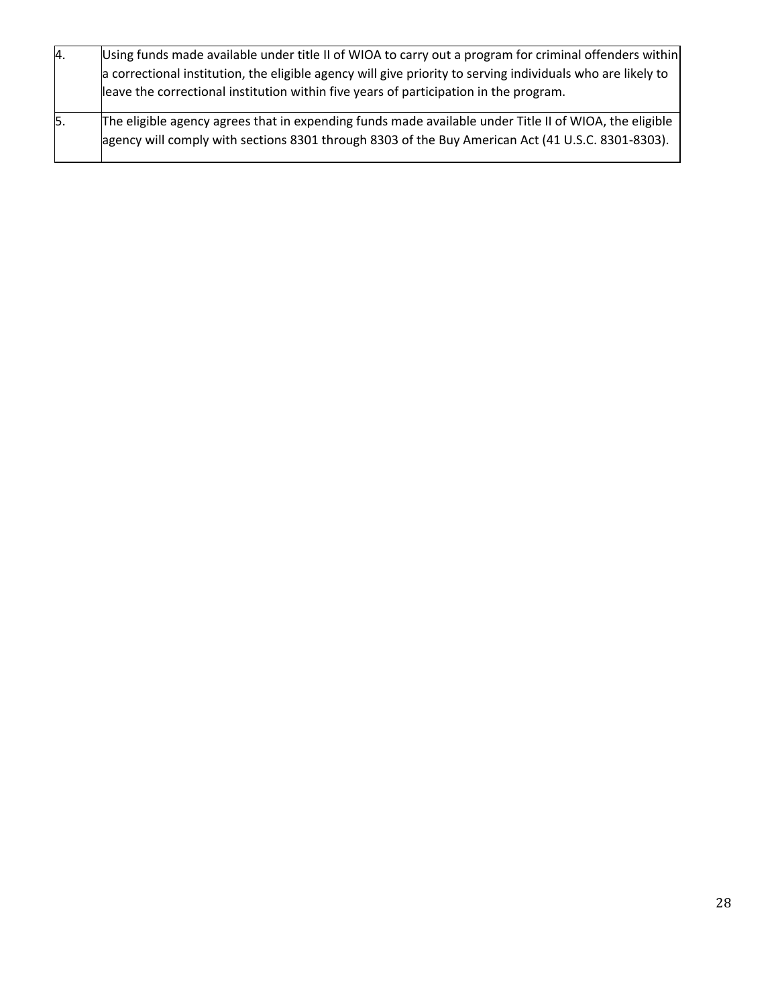| 4.  | Using funds made available under title II of WIOA to carry out a program for criminal offenders within<br>a correctional institution, the eligible agency will give priority to serving individuals who are likely to<br>leave the correctional institution within five years of participation in the program. |
|-----|----------------------------------------------------------------------------------------------------------------------------------------------------------------------------------------------------------------------------------------------------------------------------------------------------------------|
| 15. | The eligible agency agrees that in expending funds made available under Title II of WIOA, the eligible<br>agency will comply with sections 8301 through 8303 of the Buy American Act (41 U.S.C. 8301-8303).                                                                                                    |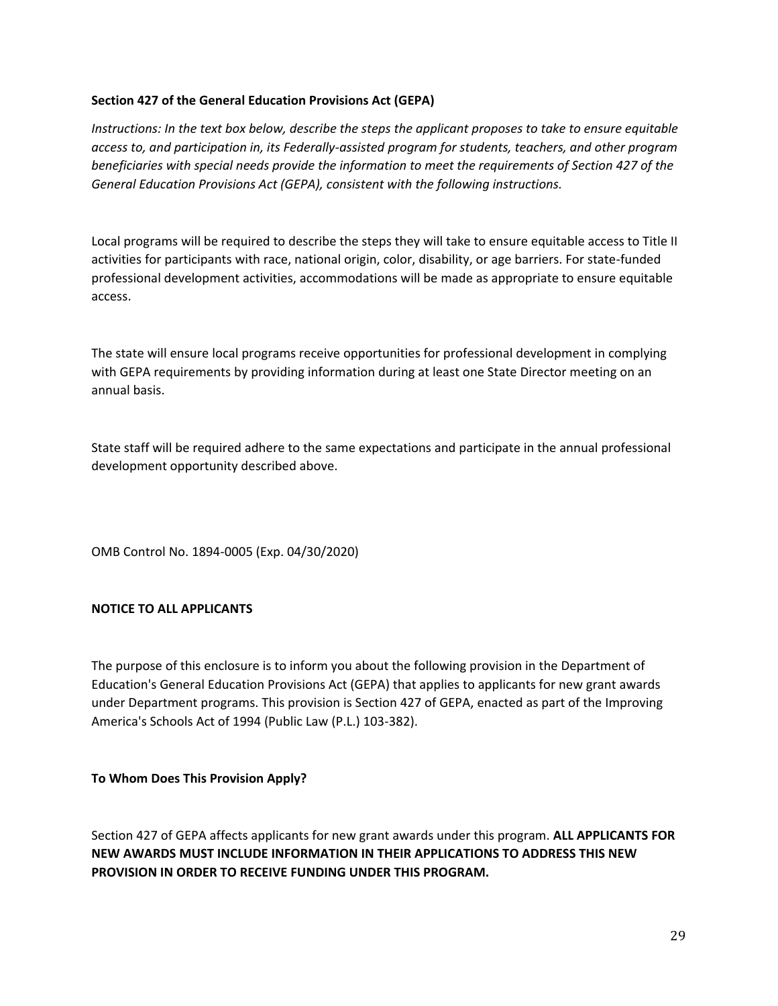#### **Section 427 of the General Education Provisions Act (GEPA)**

*Instructions: In the text box below, describe the steps the applicant proposes to take to ensure equitable access to, and participation in, its Federally-assisted program for students, teachers, and other program beneficiaries with special needs provide the information to meet the requirements of Section 427 of the General Education Provisions Act (GEPA), consistent with the following instructions.*

Local programs will be required to describe the steps they will take to ensure equitable access to Title II activities for participants with race, national origin, color, disability, or age barriers. For state-funded professional development activities, accommodations will be made as appropriate to ensure equitable access.

The state will ensure local programs receive opportunities for professional development in complying with GEPA requirements by providing information during at least one State Director meeting on an annual basis.

State staff will be required adhere to the same expectations and participate in the annual professional development opportunity described above.

OMB Control No. 1894-0005 (Exp. 04/30/2020)

## **NOTICE TO ALL APPLICANTS**

The purpose of this enclosure is to inform you about the following provision in the Department of Education's General Education Provisions Act (GEPA) that applies to applicants for new grant awards under Department programs. This provision is Section 427 of GEPA, enacted as part of the Improving America's Schools Act of 1994 (Public Law (P.L.) 103-382).

#### **To Whom Does This Provision Apply?**

Section 427 of GEPA affects applicants for new grant awards under this program. **ALL APPLICANTS FOR NEW AWARDS MUST INCLUDE INFORMATION IN THEIR APPLICATIONS TO ADDRESS THIS NEW PROVISION IN ORDER TO RECEIVE FUNDING UNDER THIS PROGRAM.**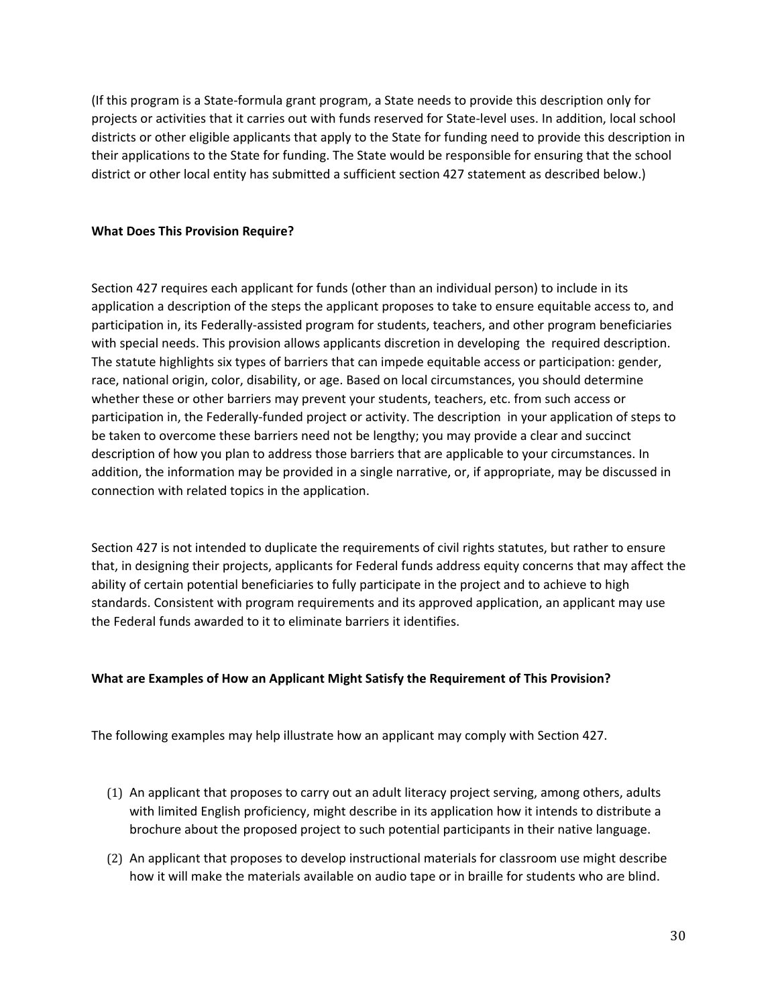(If this program is a State-formula grant program, a State needs to provide this description only for projects or activities that it carries out with funds reserved for State-level uses. In addition, local school districts or other eligible applicants that apply to the State for funding need to provide this description in their applications to the State for funding. The State would be responsible for ensuring that the school district or other local entity has submitted a sufficient section 427 statement as described below.)

## **What Does This Provision Require?**

Section 427 requires each applicant for funds (other than an individual person) to include in its application a description of the steps the applicant proposes to take to ensure equitable access to, and participation in, its Federally-assisted program for students, teachers, and other program beneficiaries with special needs. This provision allows applicants discretion in developing the required description. The statute highlights six types of barriers that can impede equitable access or participation: gender, race, national origin, color, disability, or age. Based on local circumstances, you should determine whether these or other barriers may prevent your students, teachers, etc. from such access or participation in, the Federally-funded project or activity. The description in your application of steps to be taken to overcome these barriers need not be lengthy; you may provide a clear and succinct description of how you plan to address those barriers that are applicable to your circumstances. In addition, the information may be provided in a single narrative, or, if appropriate, may be discussed in connection with related topics in the application.

Section 427 is not intended to duplicate the requirements of civil rights statutes, but rather to ensure that, in designing their projects, applicants for Federal funds address equity concerns that may affect the ability of certain potential beneficiaries to fully participate in the project and to achieve to high standards. Consistent with program requirements and its approved application, an applicant may use the Federal funds awarded to it to eliminate barriers it identifies.

#### **What are Examples of How an Applicant Might Satisfy the Requirement of This Provision?**

The following examples may help illustrate how an applicant may comply with Section 427.

- (1) An applicant that proposes to carry out an adult literacy project serving, among others, adults with limited English proficiency, might describe in its application how it intends to distribute a brochure about the proposed project to such potential participants in their native language.
- (2) An applicant that proposes to develop instructional materials for classroom use might describe how it will make the materials available on audio tape or in braille for students who are blind.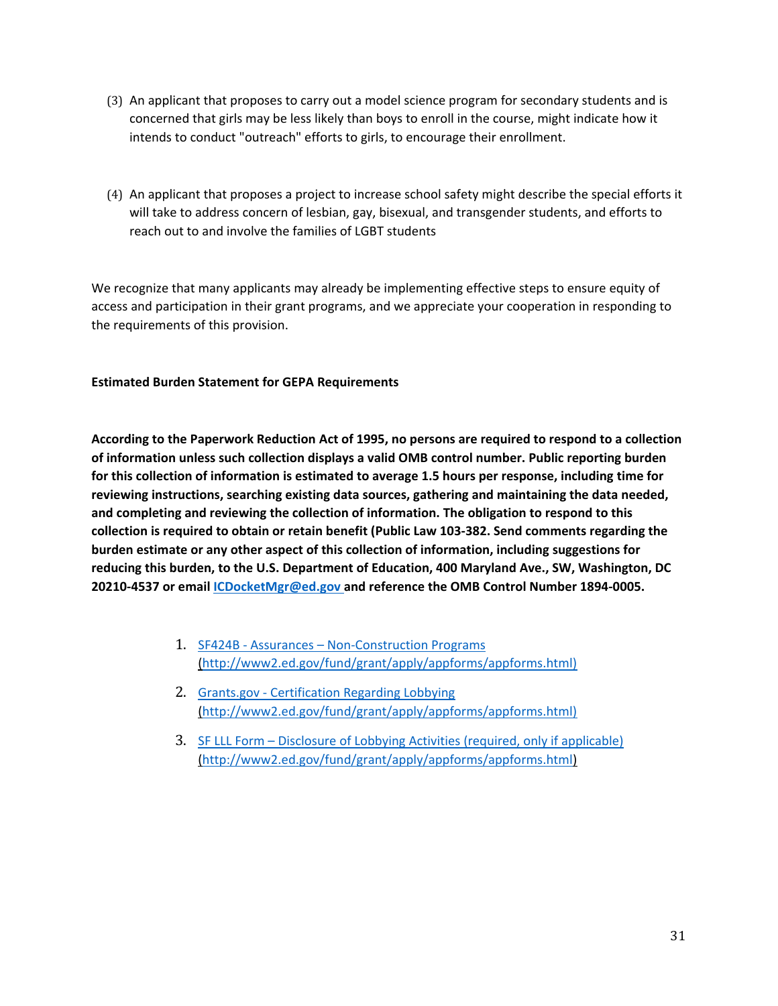- (3) An applicant that proposes to carry out a model science program for secondary students and is concerned that girls may be less likely than boys to enroll in the course, might indicate how it intends to conduct "outreach" efforts to girls, to encourage their enrollment.
- (4) An applicant that proposes a project to increase school safety might describe the special efforts it will take to address concern of lesbian, gay, bisexual, and transgender students, and efforts to reach out to and involve the families of LGBT students

We recognize that many applicants may already be implementing effective steps to ensure equity of access and participation in their grant programs, and we appreciate your cooperation in responding to the requirements of this provision.

#### **Estimated Burden Statement for GEPA Requirements**

**According to the Paperwork Reduction Act of 1995, no persons are required to respond to a collection of information unless such collection displays a valid OMB control number. Public reporting burden for this collection of information is estimated to average 1.5 hours per response, including time for reviewing instructions, searching existing data sources, gathering and maintaining the data needed, and completing and reviewing the collection of information. The obligation to respond to this collection is required to obtain or retain benefit (Public Law 103-382. Send comments regarding the burden estimate or any other aspect of this collection of information, including suggestions for reducing this burden, to the U.S. Department of Education, 400 Maryland Ave., SW, Washington, DC 20210-4537 or email [ICDocketMgr@ed.gov a](mailto:ICDocketMgr@ed.gov)nd reference the OMB Control Number 1894-0005.**

- 1. SF424B Assurances [Non-Construction Programs](http://www2.ed.gov/fund/grant/apply/appforms/appforms.html) [\(http://www2.ed.gov/fund/grant/apply/appforms/appforms.html\)](http://www2.ed.gov/fund/grant/apply/appforms/appforms.html))
- 2. Grants.gov [Certification Regarding Lobbying](http://www2.ed.gov/fund/grant/apply/appforms/appforms.html) [\(http://www2.ed.gov/fund/grant/apply/appforms/appforms.html\)](http://www2.ed.gov/fund/grant/apply/appforms/appforms.html))
- 3. SF LLL Form [Disclosure of Lobbying Activities \(required, only if applicable\)](http://www.whitehouse.gov/sites/default/files/omb/assets/omb/grants/sflllin.pdf) [\(http://www2.ed.gov/fund/grant/apply/appforms/appforms.html\)](http://www2.ed.gov/fund/grant/apply/appforms/appforms.html)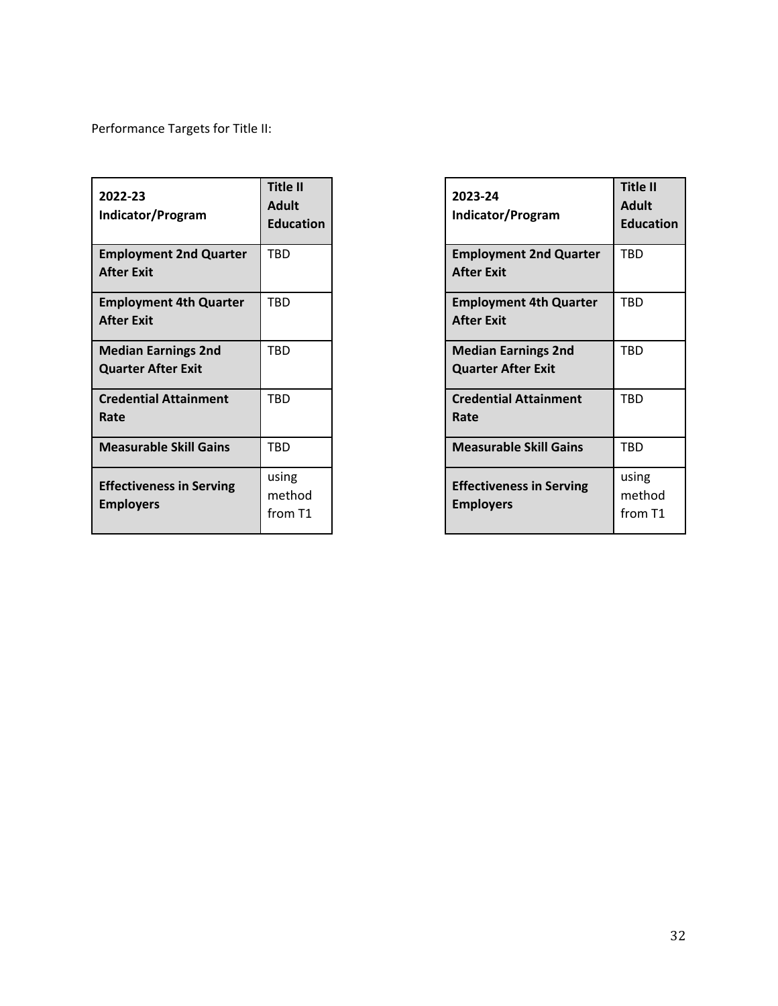Performance Targets for Title II:

| 2022-23<br>Indicator/Program                            | Title II<br><b>Adult</b><br><b>Education</b> | 2023-24<br>Indicator/Program                            | <b>Title</b><br>Adu<br>Edu |
|---------------------------------------------------------|----------------------------------------------|---------------------------------------------------------|----------------------------|
| <b>Employment 2nd Quarter</b><br><b>After Exit</b>      | <b>TBD</b>                                   | <b>Employment 2nd Quarter</b><br><b>After Exit</b>      | <b>TBD</b>                 |
| <b>Employment 4th Quarter</b><br><b>After Exit</b>      | <b>TBD</b>                                   | <b>Employment 4th Quarter</b><br><b>After Exit</b>      | <b>TBD</b>                 |
| <b>Median Earnings 2nd</b><br><b>Quarter After Exit</b> | <b>TBD</b>                                   | <b>Median Earnings 2nd</b><br><b>Quarter After Exit</b> | <b>TBD</b>                 |
| <b>Credential Attainment</b><br>Rate                    | <b>TBD</b>                                   | <b>Credential Attainment</b><br>Rate                    | <b>TBD</b>                 |
| <b>Measurable Skill Gains</b>                           | <b>TBD</b>                                   | <b>Measurable Skill Gains</b>                           | <b>TBD</b>                 |
| <b>Effectiveness in Serving</b><br><b>Employers</b>     | using<br>method<br>from T1                   | <b>Effectiveness in Serving</b><br><b>Employers</b>     | usin<br>met<br>fron        |

| Title II<br>Adult<br><b>Education</b> | 2023-24<br>Indicator/Program                            | <b>Title II</b><br><b>Adult</b><br><b>Education</b> |
|---------------------------------------|---------------------------------------------------------|-----------------------------------------------------|
| TBD                                   | <b>Employment 2nd Quarter</b><br><b>After Exit</b>      | <b>TBD</b>                                          |
| TBD                                   | <b>Employment 4th Quarter</b><br><b>After Exit</b>      | <b>TBD</b>                                          |
| TBD                                   | <b>Median Earnings 2nd</b><br><b>Quarter After Exit</b> | <b>TBD</b>                                          |
| TBD                                   | <b>Credential Attainment</b><br>Rate                    | <b>TBD</b>                                          |
| TBD                                   | <b>Measurable Skill Gains</b>                           | <b>TBD</b>                                          |
| using<br>method<br>from T1            | <b>Effectiveness in Serving</b><br><b>Employers</b>     | using<br>method<br>from T1                          |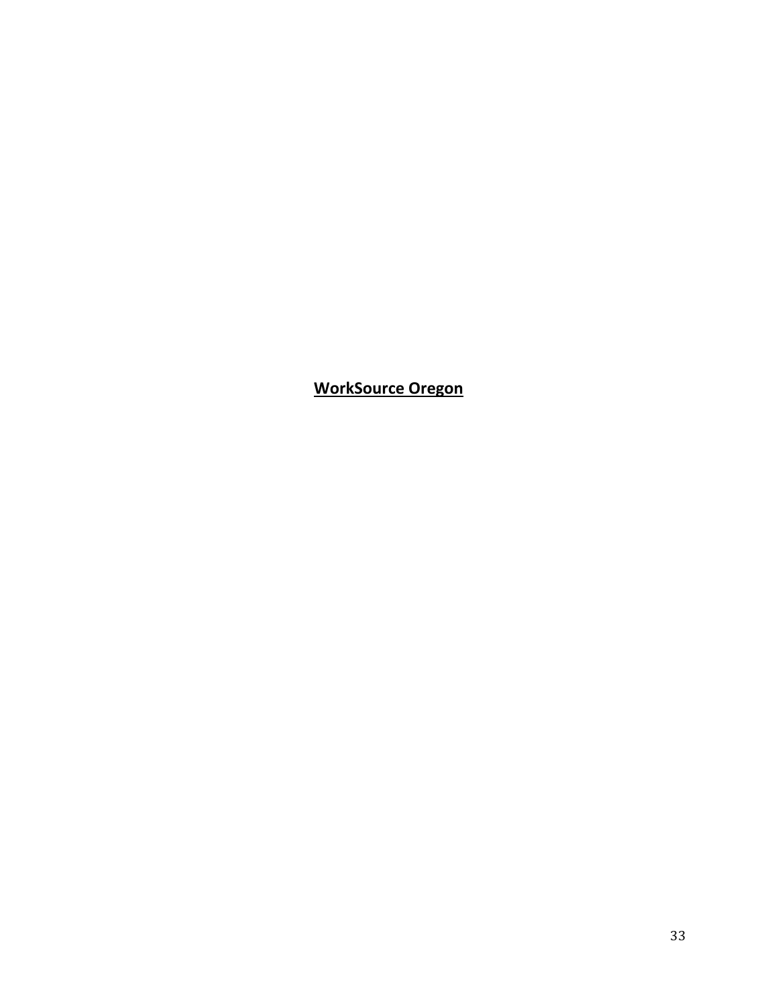**WorkSource Oregon**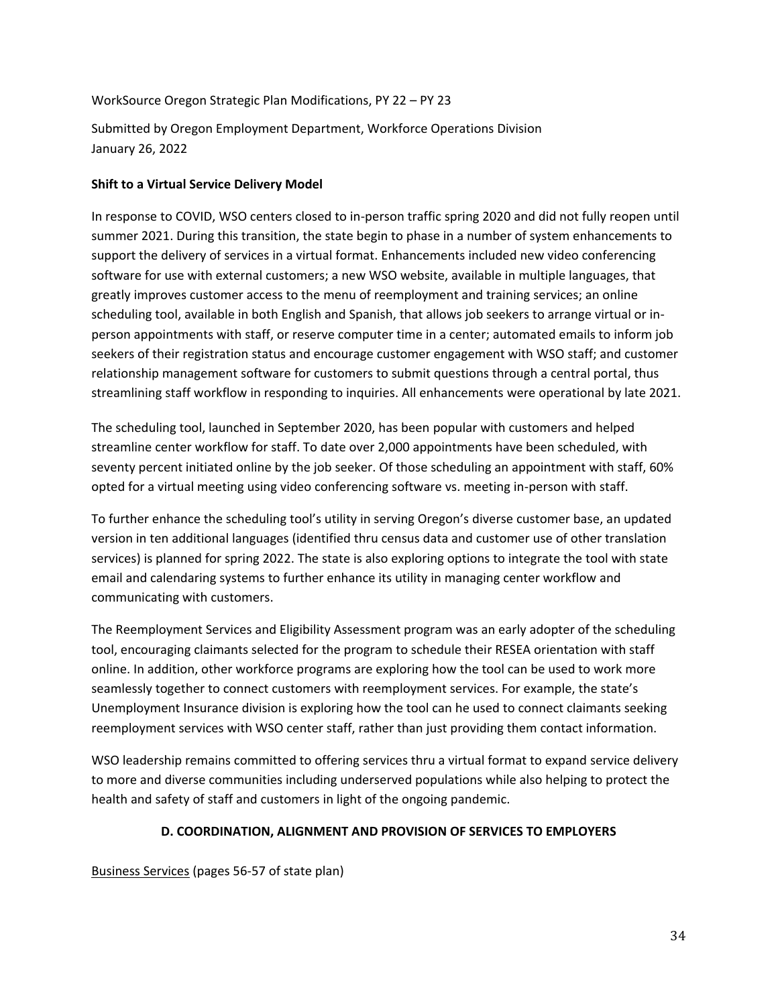## WorkSource Oregon Strategic Plan Modifications, PY 22 – PY 23

Submitted by Oregon Employment Department, Workforce Operations Division January 26, 2022

## **Shift to a Virtual Service Delivery Model**

In response to COVID, WSO centers closed to in-person traffic spring 2020 and did not fully reopen until summer 2021. During this transition, the state begin to phase in a number of system enhancements to support the delivery of services in a virtual format. Enhancements included new video conferencing software for use with external customers; a new WSO website, available in multiple languages, that greatly improves customer access to the menu of reemployment and training services; an online scheduling tool, available in both English and Spanish, that allows job seekers to arrange virtual or inperson appointments with staff, or reserve computer time in a center; automated emails to inform job seekers of their registration status and encourage customer engagement with WSO staff; and customer relationship management software for customers to submit questions through a central portal, thus streamlining staff workflow in responding to inquiries. All enhancements were operational by late 2021.

The scheduling tool, launched in September 2020, has been popular with customers and helped streamline center workflow for staff. To date over 2,000 appointments have been scheduled, with seventy percent initiated online by the job seeker. Of those scheduling an appointment with staff, 60% opted for a virtual meeting using video conferencing software vs. meeting in-person with staff.

To further enhance the scheduling tool's utility in serving Oregon's diverse customer base, an updated version in ten additional languages (identified thru census data and customer use of other translation services) is planned for spring 2022. The state is also exploring options to integrate the tool with state email and calendaring systems to further enhance its utility in managing center workflow and communicating with customers.

The Reemployment Services and Eligibility Assessment program was an early adopter of the scheduling tool, encouraging claimants selected for the program to schedule their RESEA orientation with staff online. In addition, other workforce programs are exploring how the tool can be used to work more seamlessly together to connect customers with reemployment services. For example, the state's Unemployment Insurance division is exploring how the tool can he used to connect claimants seeking reemployment services with WSO center staff, rather than just providing them contact information.

WSO leadership remains committed to offering services thru a virtual format to expand service delivery to more and diverse communities including underserved populations while also helping to protect the health and safety of staff and customers in light of the ongoing pandemic.

## **D. COORDINATION, ALIGNMENT AND PROVISION OF SERVICES TO EMPLOYERS**

Business Services (pages 56-57 of state plan)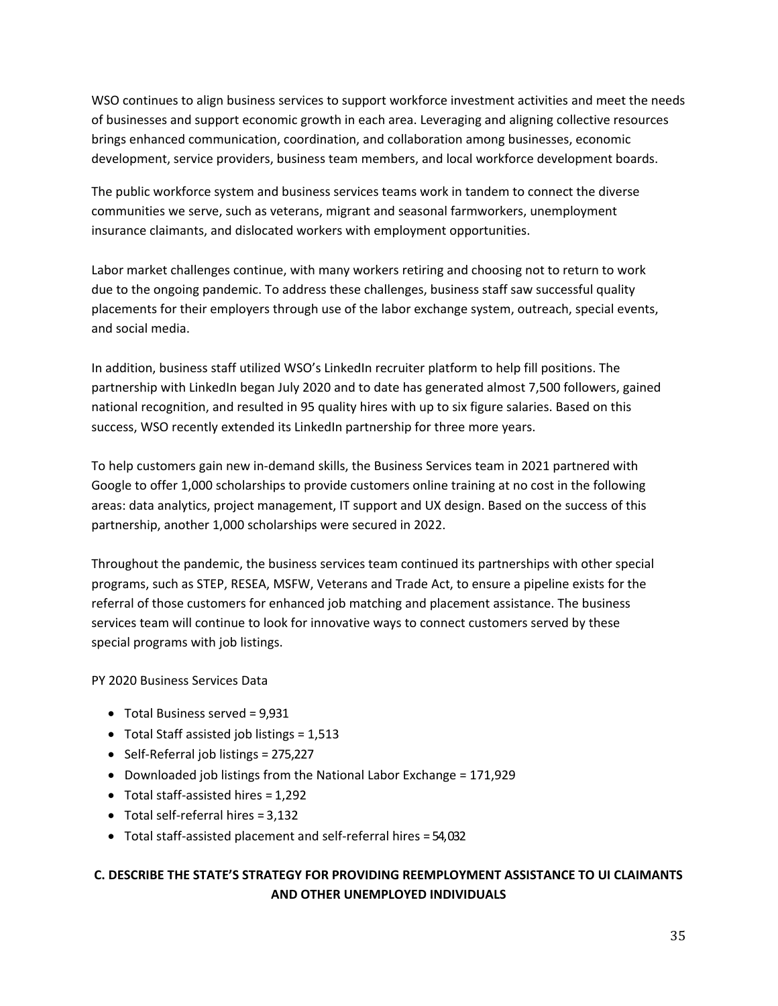WSO continues to align business services to support workforce investment activities and meet the needs of businesses and support economic growth in each area. Leveraging and aligning collective resources brings enhanced communication, coordination, and collaboration among businesses, economic development, service providers, business team members, and local workforce development boards.

The public workforce system and business services teams work in tandem to connect the diverse communities we serve, such as veterans, migrant and seasonal farmworkers, unemployment insurance claimants, and dislocated workers with employment opportunities.

Labor market challenges continue, with many workers retiring and choosing not to return to work due to the ongoing pandemic. To address these challenges, business staff saw successful quality placements for their employers through use of the labor exchange system, outreach, special events, and social media.

In addition, business staff utilized WSO's LinkedIn recruiter platform to help fill positions. The partnership with LinkedIn began July 2020 and to date has generated almost 7,500 followers, gained national recognition, and resulted in 95 quality hires with up to six figure salaries. Based on this success, WSO recently extended its LinkedIn partnership for three more years.

To help customers gain new in-demand skills, the Business Services team in 2021 partnered with Google to offer 1,000 scholarships to provide customers online training at no cost in the following areas: data analytics, project management, IT support and UX design. Based on the success of this partnership, another 1,000 scholarships were secured in 2022.

Throughout the pandemic, the business services team continued its partnerships with other special programs, such as STEP, RESEA, MSFW, Veterans and Trade Act, to ensure a pipeline exists for the referral of those customers for enhanced job matching and placement assistance. The business services team will continue to look for innovative ways to connect customers served by these special programs with job listings.

#### PY 2020 Business Services Data

- Total Business served = 9,931
- Total Staff assisted job listings  $= 1,513$
- Self-Referral job listings = 275,227
- Downloaded job listings from the National Labor Exchange = 171,929
- Total staff-assisted hires = 1,292
- Total self-referral hires = 3,132
- Total staff-assisted placement and self-referral hires = 54, 032

## **C. DESCRIBE THE STATE'S STRATEGY FOR PROVIDING REEMPLOYMENT ASSISTANCE TO UI CLAIMANTS AND OTHER UNEMPLOYED INDIVIDUALS**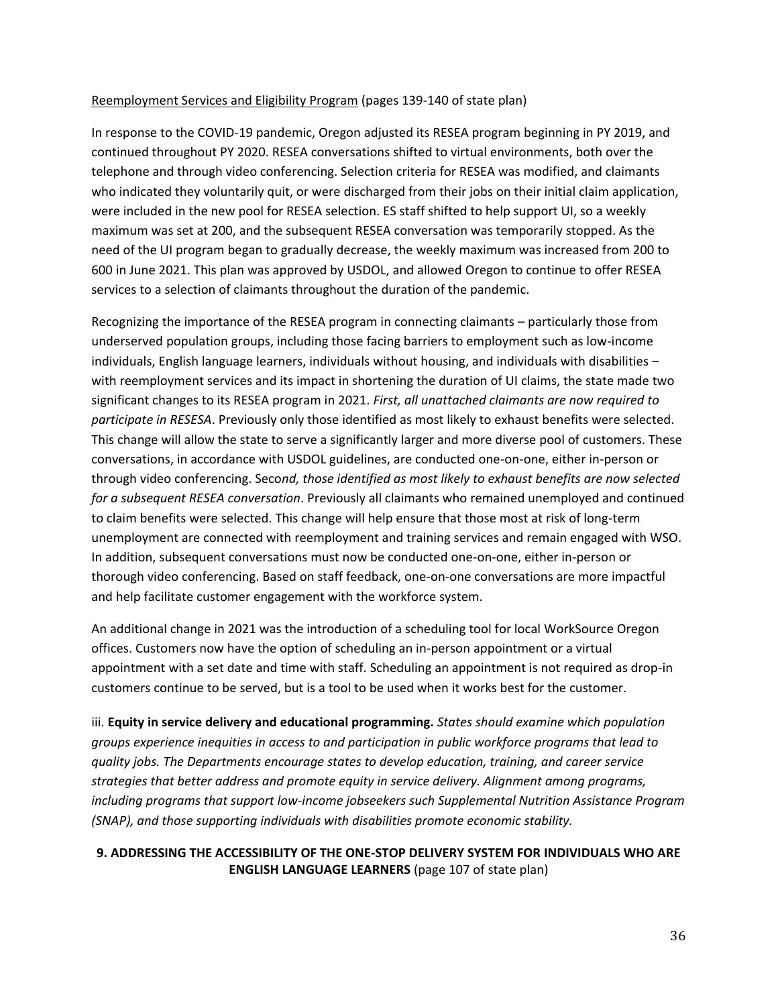#### Reemployment Services and Eligibility Program (pages 139-140 of state plan)

In response to the COVID-19 pandemic, Oregon adjusted its RESEA program beginning in PY 2019, and continued throughout PY 2020. RESEA conversations shifted to virtual environments, both over the telephone and through video conferencing. Selection criteria for RESEA was modified, and claimants who indicated they voluntarily quit, or were discharged from their jobs on their initial claim application, were included in the new pool for RESEA selection. ES staff shifted to help support UI, so a weekly maximum was set at 200, and the subsequent RESEA conversation was temporarily stopped. As the need of the UI program began to gradually decrease, the weekly maximum was increased from 200 to 600 in June 2021. This plan was approved by USDOL, and allowed Oregon to continue to offer RESEA services to a selection of claimants throughout the duration of the pandemic.

Recognizing the importance of the RESEA program in connecting claimants – particularly those from underserved population groups, including those facing barriers to employment such as low-income individuals, English language learners, individuals without housing, and individuals with disabilities – with reemployment services and its impact in shortening the duration of UI claims, the state made two significant changes to its RESEA program in 2021. *First, all unattached claimants are now required to participate in RESESA*. Previously only those identified as most likely to exhaust benefits were selected. This change will allow the state to serve a significantly larger and more diverse pool of customers. These conversations, in accordance with USDOL guidelines, are conducted one-on-one, either in-person or through video conferencing. Seco*nd, those identified as most likely to exhaust benefits are now selected for a subsequent RESEA conversation*. Previously all claimants who remained unemployed and continued to claim benefits were selected. This change will help ensure that those most at risk of long-term unemployment are connected with reemployment and training services and remain engaged with WSO. In addition, subsequent conversations must now be conducted one-on-one, either in-person or thorough video conferencing. Based on staff feedback, one-on-one conversations are more impactful and help facilitate customer engagement with the workforce system.

An additional change in 2021 was the introduction of a scheduling tool for local WorkSource Oregon offices. Customers now have the option of scheduling an in-person appointment or a virtual appointment with a set date and time with staff. Scheduling an appointment is not required as drop-in customers continue to be served, but is a tool to be used when it works best for the customer.

iii. **Equity in service delivery and educational programming.** *States should examine which population groups experience inequities in access to and participation in public workforce programs that lead to quality jobs. The Departments encourage states to develop education, training, and career service strategies that better address and promote equity in service delivery. Alignment among programs, including programs that support low-income jobseekers such Supplemental Nutrition Assistance Program (SNAP), and those supporting individuals with disabilities promote economic stability.*

## **9. ADDRESSING THE ACCESSIBILITY OF THE ONE-STOP DELIVERY SYSTEM FOR INDIVIDUALS WHO ARE ENGLISH LANGUAGE LEARNERS** (page 107 of state plan)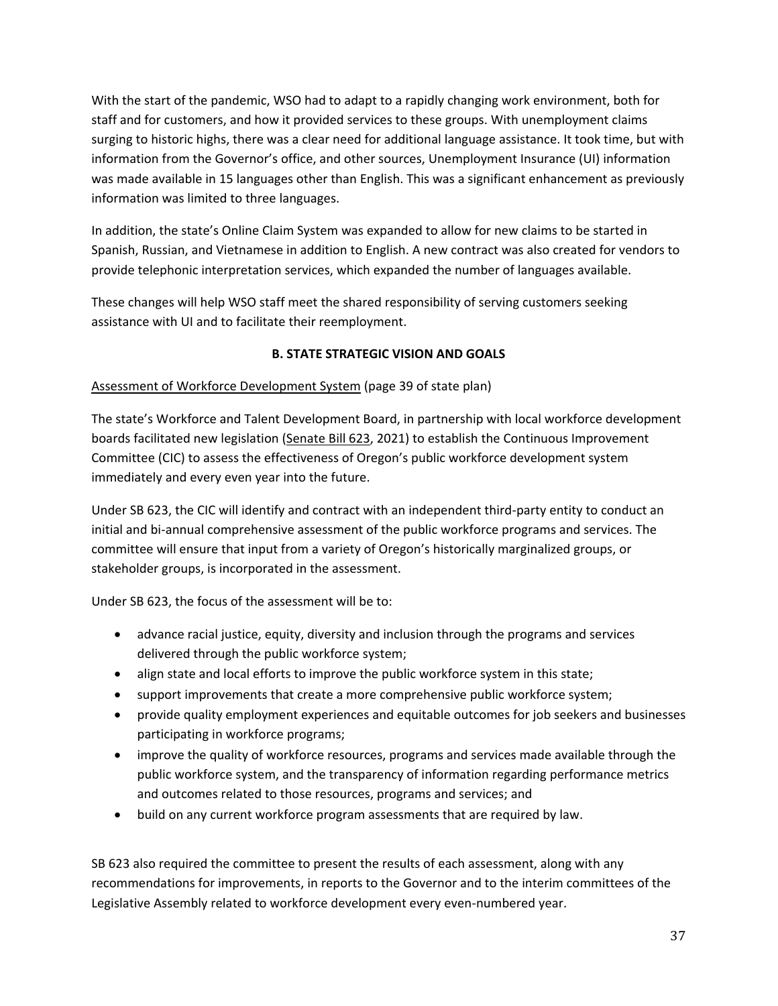With the start of the pandemic, WSO had to adapt to a rapidly changing work environment, both for staff and for customers, and how it provided services to these groups. With unemployment claims surging to historic highs, there was a clear need for additional language assistance. It took time, but with information from the Governor's office, and other sources, Unemployment Insurance (UI) information was made available in 15 languages other than English. This was a significant enhancement as previously information was limited to three languages.

In addition, the state's Online Claim System was expanded to allow for new claims to be started in Spanish, Russian, and Vietnamese in addition to English. A new contract was also created for vendors to provide telephonic interpretation services, which expanded the number of languages available.

These changes will help WSO staff meet the shared responsibility of serving customers seeking assistance with UI and to facilitate their reemployment.

# **B. STATE STRATEGIC VISION AND GOALS**

# Assessment of Workforce Development System (page 39 of state plan)

The state's Workforce and Talent Development Board, in partnership with local workforce development boards facilitated new legislation [\(Senate Bill 623,](https://olis.oregonlegislature.gov/liz/2021R1/Downloads/MeasureDocument/SB623/Enrolled) 2021) to establish the Continuous Improvement Committee (CIC) to assess the effectiveness of Oregon's public workforce development system immediately and every even year into the future.

Under SB 623, the CIC will identify and contract with an independent third-party entity to conduct an initial and bi-annual comprehensive assessment of the public workforce programs and services. The committee will ensure that input from a variety of Oregon's historically marginalized groups, or stakeholder groups, is incorporated in the assessment.

Under SB 623, the focus of the assessment will be to:

- advance racial justice, equity, diversity and inclusion through the programs and services delivered through the public workforce system;
- align state and local efforts to improve the public workforce system in this state;
- support improvements that create a more comprehensive public workforce system;
- provide quality employment experiences and equitable outcomes for job seekers and businesses participating in workforce programs;
- improve the quality of workforce resources, programs and services made available through the public workforce system, and the transparency of information regarding performance metrics and outcomes related to those resources, programs and services; and
- build on any current workforce program assessments that are required by law.

SB 623 also required the committee to present the results of each assessment, along with any recommendations for improvements, in reports to the Governor and to the interim committees of the Legislative Assembly related to workforce development every even-numbered year.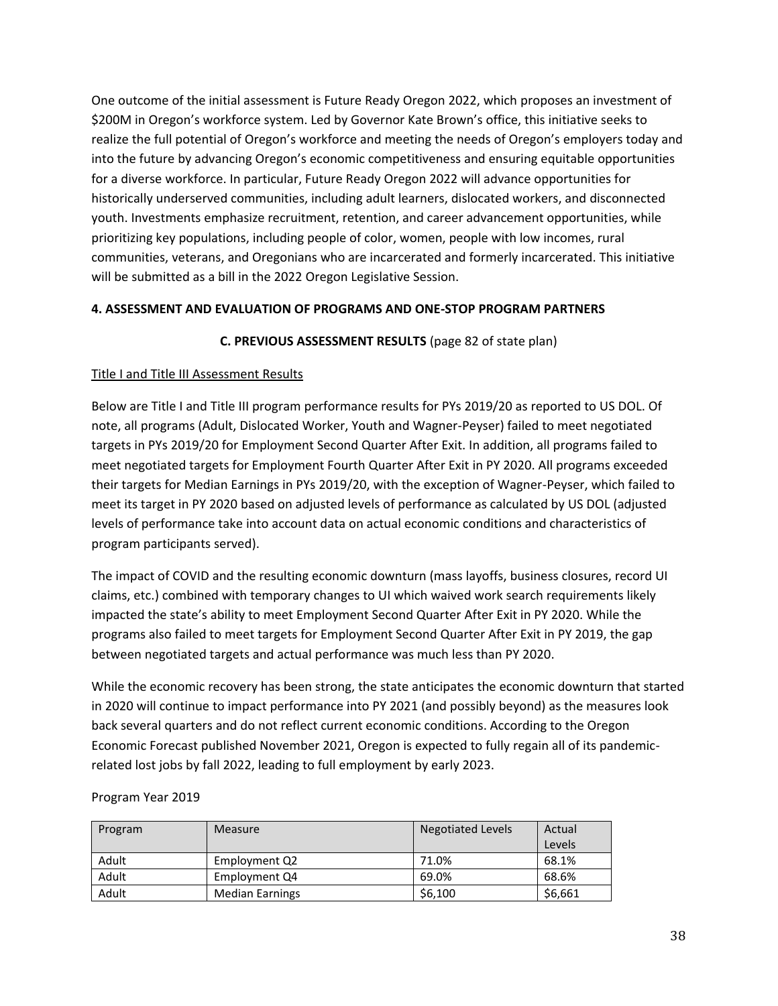One outcome of the initial assessment is Future Ready Oregon 2022, which proposes an investment of \$200M in Oregon's workforce system. Led by Governor Kate Brown's office, this initiative seeks to realize the full potential of Oregon's workforce and meeting the needs of Oregon's employers today and into the future by advancing Oregon's economic competitiveness and ensuring equitable opportunities for a diverse workforce. In particular, Future Ready Oregon 2022 will advance opportunities for historically underserved communities, including adult learners, dislocated workers, and disconnected youth. Investments emphasize recruitment, retention, and career advancement opportunities, while prioritizing key populations, including people of color, women, people with low incomes, rural communities, veterans, and Oregonians who are incarcerated and formerly incarcerated. This initiative will be submitted as a bill in the 2022 Oregon Legislative Session.

### **4. ASSESSMENT AND EVALUATION OF PROGRAMS AND ONE-STOP PROGRAM PARTNERS**

### **C. PREVIOUS ASSESSMENT RESULTS** (page 82 of state plan)

### Title I and Title III Assessment Results

Below are Title I and Title III program performance results for PYs 2019/20 as reported to US DOL. Of note, all programs (Adult, Dislocated Worker, Youth and Wagner-Peyser) failed to meet negotiated targets in PYs 2019/20 for Employment Second Quarter After Exit. In addition, all programs failed to meet negotiated targets for Employment Fourth Quarter After Exit in PY 2020. All programs exceeded their targets for Median Earnings in PYs 2019/20, with the exception of Wagner-Peyser, which failed to meet its target in PY 2020 based on adjusted levels of performance as calculated by US DOL (adjusted levels of performance take into account data on actual economic conditions and characteristics of program participants served).

The impact of COVID and the resulting economic downturn (mass layoffs, business closures, record UI claims, etc.) combined with temporary changes to UI which waived work search requirements likely impacted the state's ability to meet Employment Second Quarter After Exit in PY 2020. While the programs also failed to meet targets for Employment Second Quarter After Exit in PY 2019, the gap between negotiated targets and actual performance was much less than PY 2020.

While the economic recovery has been strong, the state anticipates the economic downturn that started in 2020 will continue to impact performance into PY 2021 (and possibly beyond) as the measures look back several quarters and do not reflect current economic conditions. According to the Oregon Economic Forecast published November 2021, Oregon is expected to fully regain all of its pandemicrelated lost jobs by fall 2022, leading to full employment by early 2023.

| Program | Measure                | <b>Negotiated Levels</b> | Actual<br>Levels |
|---------|------------------------|--------------------------|------------------|
| Adult   | Employment Q2          | 71.0%                    | 68.1%            |
| Adult   | Employment Q4          | 69.0%                    | 68.6%            |
| Adult   | <b>Median Earnings</b> | \$6,100                  | \$6,661          |

#### Program Year 2019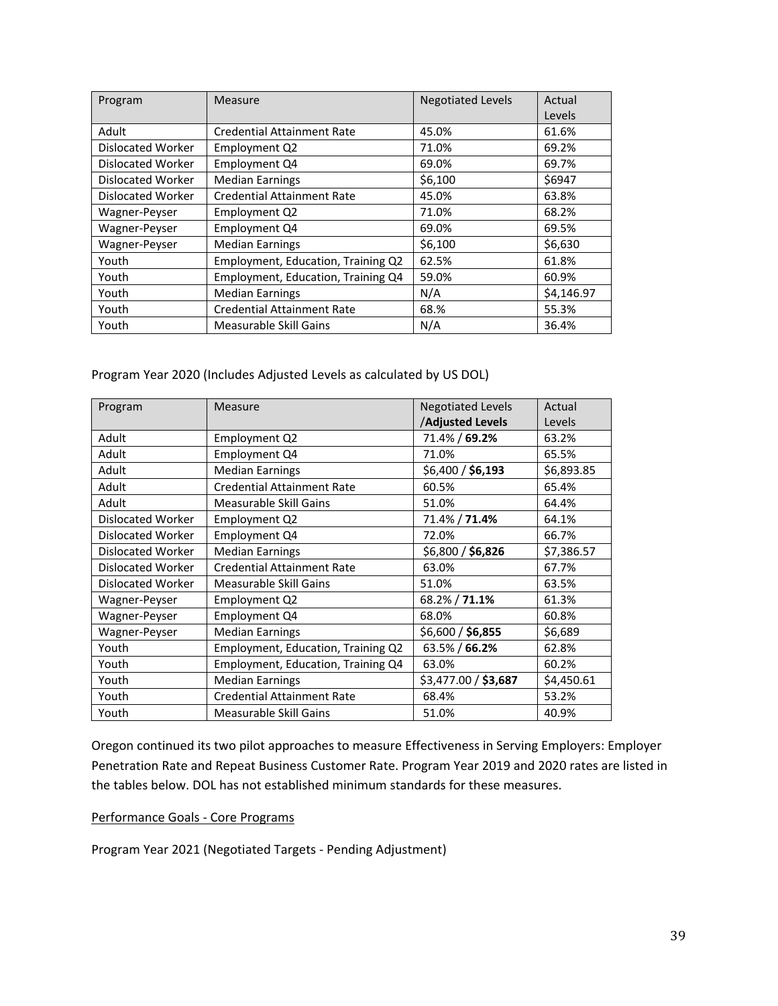| Program           | Measure                            | <b>Negotiated Levels</b> | Actual     |
|-------------------|------------------------------------|--------------------------|------------|
|                   |                                    |                          | Levels     |
| Adult             | <b>Credential Attainment Rate</b>  | 45.0%                    | 61.6%      |
| Dislocated Worker | Employment Q2                      | 71.0%                    | 69.2%      |
| Dislocated Worker | Employment Q4                      | 69.0%                    | 69.7%      |
| Dislocated Worker | <b>Median Earnings</b>             | \$6,100                  | \$6947     |
| Dislocated Worker | <b>Credential Attainment Rate</b>  | 45.0%                    | 63.8%      |
| Wagner-Peyser     | Employment Q2                      | 71.0%                    | 68.2%      |
| Wagner-Peyser     | Employment Q4                      | 69.0%                    | 69.5%      |
| Wagner-Peyser     | <b>Median Earnings</b>             | \$6,100                  | \$6,630    |
| Youth             | Employment, Education, Training Q2 | 62.5%                    | 61.8%      |
| Youth             | Employment, Education, Training Q4 | 59.0%                    | 60.9%      |
| Youth             | <b>Median Earnings</b>             | N/A                      | \$4,146.97 |
| Youth             | <b>Credential Attainment Rate</b>  | 68.%                     | 55.3%      |
| Youth             | Measurable Skill Gains             | N/A                      | 36.4%      |

Program Year 2020 (Includes Adjusted Levels as calculated by US DOL)

| Program           | Measure                            | <b>Negotiated Levels</b> | Actual     |
|-------------------|------------------------------------|--------------------------|------------|
|                   |                                    | <b>Adjusted Levels</b>   | Levels     |
| Adult             | Employment Q2                      | 71.4% / 69.2%            | 63.2%      |
| Adult             | Employment Q4                      | 71.0%                    | 65.5%      |
| Adult             | <b>Median Earnings</b>             | \$6,400 / \$6,193        | \$6,893.85 |
| Adult             | <b>Credential Attainment Rate</b>  | 60.5%                    | 65.4%      |
| Adult             | Measurable Skill Gains             | 51.0%                    | 64.4%      |
| Dislocated Worker | Employment Q2                      | 71.4% / 71.4%            | 64.1%      |
| Dislocated Worker | Employment Q4                      | 72.0%                    | 66.7%      |
| Dislocated Worker | <b>Median Earnings</b>             | \$6,800 / \$6,826        | \$7,386.57 |
| Dislocated Worker | <b>Credential Attainment Rate</b>  | 63.0%                    | 67.7%      |
| Dislocated Worker | Measurable Skill Gains             | 51.0%                    | 63.5%      |
| Wagner-Peyser     | Employment Q2                      | 68.2% / 71.1%            | 61.3%      |
| Wagner-Peyser     | Employment Q4                      | 68.0%                    | 60.8%      |
| Wagner-Peyser     | <b>Median Earnings</b>             | \$6,600 / \$6,855        | \$6,689    |
| Youth             | Employment, Education, Training Q2 | 63.5% / 66.2%            | 62.8%      |
| Youth             | Employment, Education, Training Q4 | 63.0%                    | 60.2%      |
| Youth             | <b>Median Earnings</b>             | \$3,477.00 / \$3,687     | \$4,450.61 |
| Youth             | <b>Credential Attainment Rate</b>  | 68.4%                    | 53.2%      |
| Youth             | Measurable Skill Gains             | 51.0%                    | 40.9%      |

Oregon continued its two pilot approaches to measure Effectiveness in Serving Employers: Employer Penetration Rate and Repeat Business Customer Rate. Program Year 2019 and 2020 rates are listed in the tables below. DOL has not established minimum standards for these measures.

### Performance Goals - Core Programs

Program Year 2021 (Negotiated Targets - Pending Adjustment)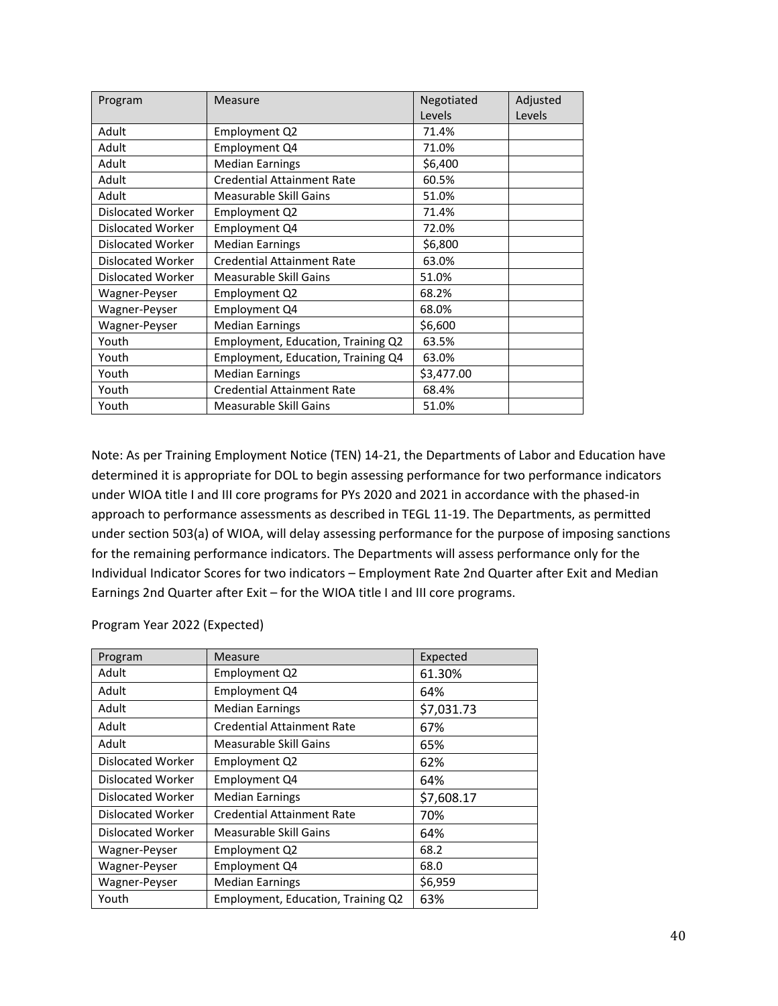| Program                  | Measure                            | Negotiated | Adjusted |
|--------------------------|------------------------------------|------------|----------|
|                          |                                    | Levels     | Levels   |
| Adult                    | Employment Q2                      | 71.4%      |          |
| Adult                    | Employment Q4                      | 71.0%      |          |
| Adult                    | <b>Median Earnings</b>             | \$6,400    |          |
| Adult                    | <b>Credential Attainment Rate</b>  | 60.5%      |          |
| Adult                    | Measurable Skill Gains             | 51.0%      |          |
| Dislocated Worker        | Employment Q2                      | 71.4%      |          |
| Dislocated Worker        | Employment Q4                      | 72.0%      |          |
| <b>Dislocated Worker</b> | <b>Median Earnings</b>             | \$6,800    |          |
| Dislocated Worker        | <b>Credential Attainment Rate</b>  | 63.0%      |          |
| Dislocated Worker        | Measurable Skill Gains             | 51.0%      |          |
| Wagner-Peyser            | Employment Q2                      | 68.2%      |          |
| Wagner-Peyser            | Employment Q4                      | 68.0%      |          |
| Wagner-Peyser            | <b>Median Earnings</b>             | \$6,600    |          |
| Youth                    | Employment, Education, Training Q2 | 63.5%      |          |
| Youth                    | Employment, Education, Training Q4 | 63.0%      |          |
| Youth                    | <b>Median Earnings</b>             | \$3,477.00 |          |
| Youth                    | <b>Credential Attainment Rate</b>  | 68.4%      |          |
| Youth                    | Measurable Skill Gains             | 51.0%      |          |

Note: As per Training Employment Notice (TEN) 14-21, the Departments of Labor and Education have determined it is appropriate for DOL to begin assessing performance for two performance indicators under WIOA title I and III core programs for PYs 2020 and 2021 in accordance with the phased-in approach to performance assessments as described in TEGL 11-19. The Departments, as permitted under section 503(a) of WIOA, will delay assessing performance for the purpose of imposing sanctions for the remaining performance indicators. The Departments will assess performance only for the Individual Indicator Scores for two indicators – Employment Rate 2nd Quarter after Exit and Median Earnings 2nd Quarter after Exit – for the WIOA title I and III core programs.

| Program           | <b>Measure</b>                     | Expected   |
|-------------------|------------------------------------|------------|
| Adult             | Employment Q2                      | 61.30%     |
| Adult             | Employment Q4                      | 64%        |
| Adult             | <b>Median Earnings</b>             | \$7,031.73 |
| Adult             | <b>Credential Attainment Rate</b>  | 67%        |
| Adult             | Measurable Skill Gains             | 65%        |
| Dislocated Worker | Employment Q2                      | 62%        |
| Dislocated Worker | Employment Q4                      | 64%        |
| Dislocated Worker | <b>Median Earnings</b>             | \$7,608.17 |
| Dislocated Worker | <b>Credential Attainment Rate</b>  | 70%        |
| Dislocated Worker | Measurable Skill Gains             | 64%        |
| Wagner-Peyser     | Employment Q2                      | 68.2       |
| Wagner-Peyser     | Employment Q4                      | 68.0       |
| Wagner-Peyser     | <b>Median Earnings</b>             | \$6,959    |
| Youth             | Employment, Education, Training Q2 | 63%        |

Program Year 2022 (Expected)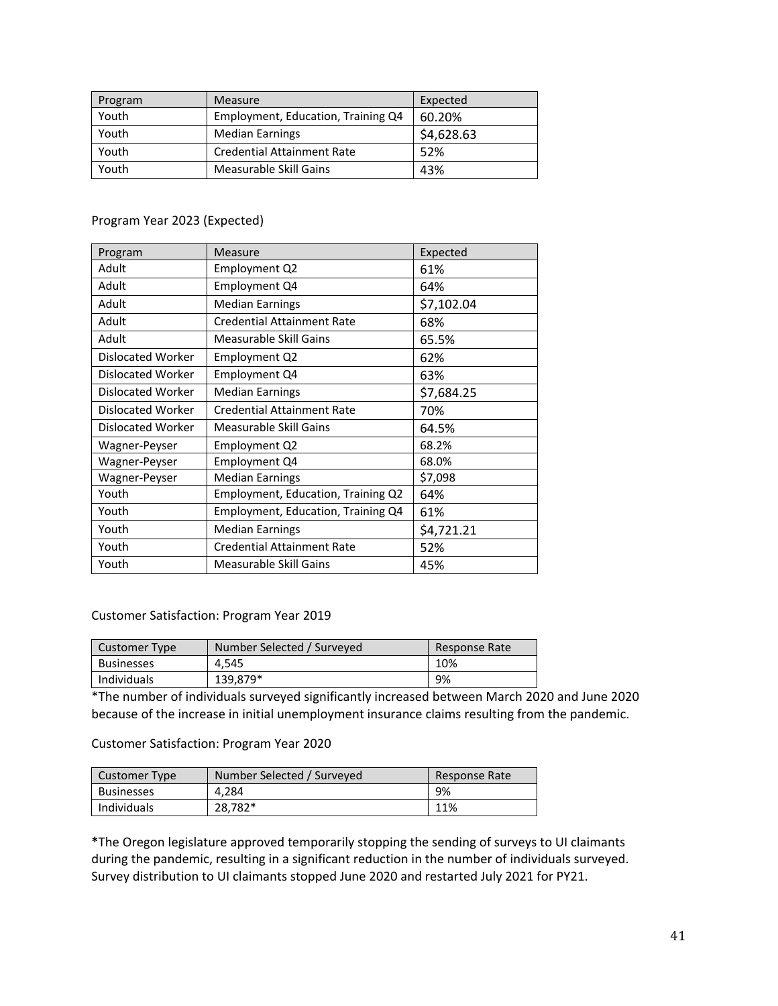| Program | <b>Measure</b>                     | Expected   |
|---------|------------------------------------|------------|
| Youth   | Employment, Education, Training Q4 | 60.20%     |
| Youth   | <b>Median Earnings</b>             | \$4,628.63 |
| Youth   | <b>Credential Attainment Rate</b>  | 52%        |
| Youth   | Measurable Skill Gains             | 43%        |

### Program Year 2023 (Expected)

| Program           | Measure                            | Expected   |
|-------------------|------------------------------------|------------|
| Adult             | Employment Q2                      | 61%        |
| Adult             | Employment Q4                      | 64%        |
| Adult             | <b>Median Earnings</b>             | \$7,102.04 |
| Adult             | <b>Credential Attainment Rate</b>  | 68%        |
| Adult             | Measurable Skill Gains             | 65.5%      |
| Dislocated Worker | Employment Q2                      | 62%        |
| Dislocated Worker | Employment Q4                      | 63%        |
| Dislocated Worker | <b>Median Earnings</b>             | \$7,684.25 |
| Dislocated Worker | <b>Credential Attainment Rate</b>  | 70%        |
| Dislocated Worker | Measurable Skill Gains             | 64.5%      |
| Wagner-Peyser     | Employment Q2                      | 68.2%      |
| Wagner-Peyser     | Employment Q4                      | 68.0%      |
| Wagner-Peyser     | <b>Median Earnings</b>             | \$7,098    |
| Youth             | Employment, Education, Training Q2 | 64%        |
| Youth             | Employment, Education, Training Q4 | 61%        |
| Youth             | <b>Median Earnings</b>             | \$4,721.21 |
| Youth             | <b>Credential Attainment Rate</b>  | 52%        |
| Youth             | Measurable Skill Gains             | 45%        |

### Customer Satisfaction: Program Year 2019

| <b>Customer Type</b> | Number Selected / Surveyed | Response Rate |
|----------------------|----------------------------|---------------|
| <b>Businesses</b>    | 4.545                      | 10%           |
| <b>Individuals</b>   | 139,879*                   | 9%            |

\*The number of individuals surveyed significantly increased between March 2020 and June 2020 because of the increase in initial unemployment insurance claims resulting from the pandemic.

### Customer Satisfaction: Program Year 2020

| <b>Customer Type</b> | Number Selected / Surveyed | Response Rate |
|----------------------|----------------------------|---------------|
| <b>Businesses</b>    | 4.284                      | 9%            |
| <b>Individuals</b>   | 28.782*                    | 11%           |

**\***The Oregon legislature approved temporarily stopping the sending of surveys to UI claimants during the pandemic, resulting in a significant reduction in the number of individuals surveyed. Survey distribution to UI claimants stopped June 2020 and restarted July 2021 for PY21.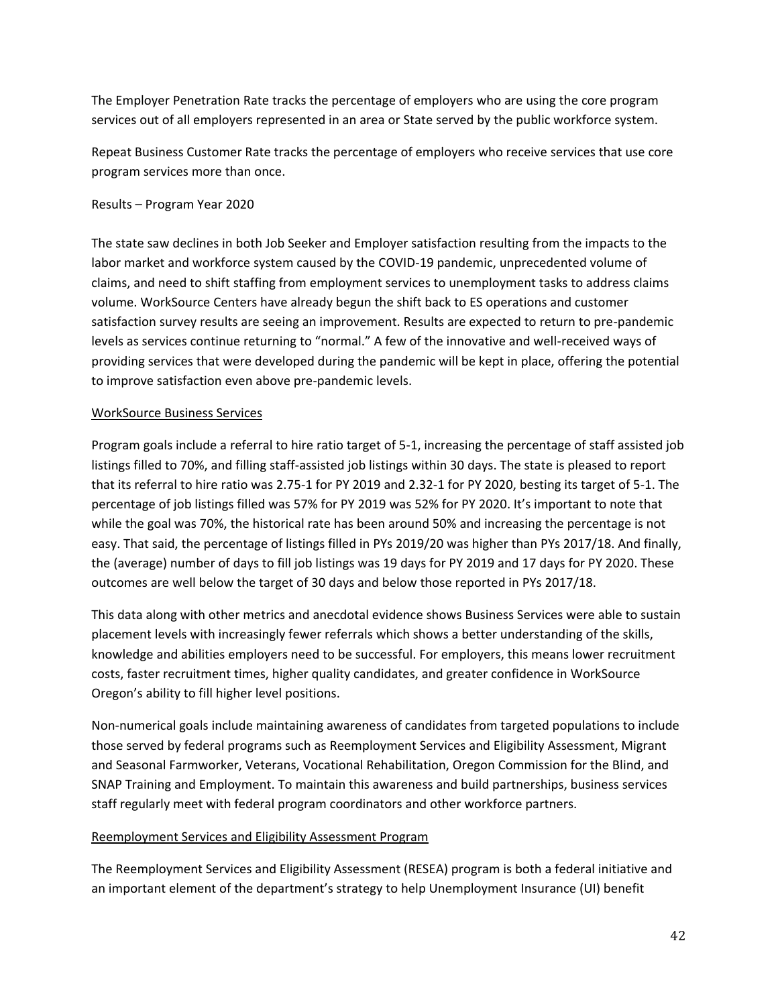The Employer Penetration Rate tracks the percentage of employers who are using the core program services out of all employers represented in an area or State served by the public workforce system.

Repeat Business Customer Rate tracks the percentage of employers who receive services that use core program services more than once.

#### Results – Program Year 2020

The state saw declines in both Job Seeker and Employer satisfaction resulting from the impacts to the labor market and workforce system caused by the COVID-19 pandemic, unprecedented volume of claims, and need to shift staffing from employment services to unemployment tasks to address claims volume. WorkSource Centers have already begun the shift back to ES operations and customer satisfaction survey results are seeing an improvement. Results are expected to return to pre-pandemic levels as services continue returning to "normal." A few of the innovative and well-received ways of providing services that were developed during the pandemic will be kept in place, offering the potential to improve satisfaction even above pre-pandemic levels.

### WorkSource Business Services

Program goals include a referral to hire ratio target of 5-1, increasing the percentage of staff assisted job listings filled to 70%, and filling staff-assisted job listings within 30 days. The state is pleased to report that its referral to hire ratio was 2.75-1 for PY 2019 and 2.32-1 for PY 2020, besting its target of 5-1. The percentage of job listings filled was 57% for PY 2019 was 52% for PY 2020. It's important to note that while the goal was 70%, the historical rate has been around 50% and increasing the percentage is not easy. That said, the percentage of listings filled in PYs 2019/20 was higher than PYs 2017/18. And finally, the (average) number of days to fill job listings was 19 days for PY 2019 and 17 days for PY 2020. These outcomes are well below the target of 30 days and below those reported in PYs 2017/18.

This data along with other metrics and anecdotal evidence shows Business Services were able to sustain placement levels with increasingly fewer referrals which shows a better understanding of the skills, knowledge and abilities employers need to be successful. For employers, this means lower recruitment costs, faster recruitment times, higher quality candidates, and greater confidence in WorkSource Oregon's ability to fill higher level positions.

Non-numerical goals include maintaining awareness of candidates from targeted populations to include those served by federal programs such as Reemployment Services and Eligibility Assessment, Migrant and Seasonal Farmworker, Veterans, Vocational Rehabilitation, Oregon Commission for the Blind, and SNAP Training and Employment. To maintain this awareness and build partnerships, business services staff regularly meet with federal program coordinators and other workforce partners.

### Reemployment Services and Eligibility Assessment Program

The Reemployment Services and Eligibility Assessment (RESEA) program is both a federal initiative and an important element of the department's strategy to help Unemployment Insurance (UI) benefit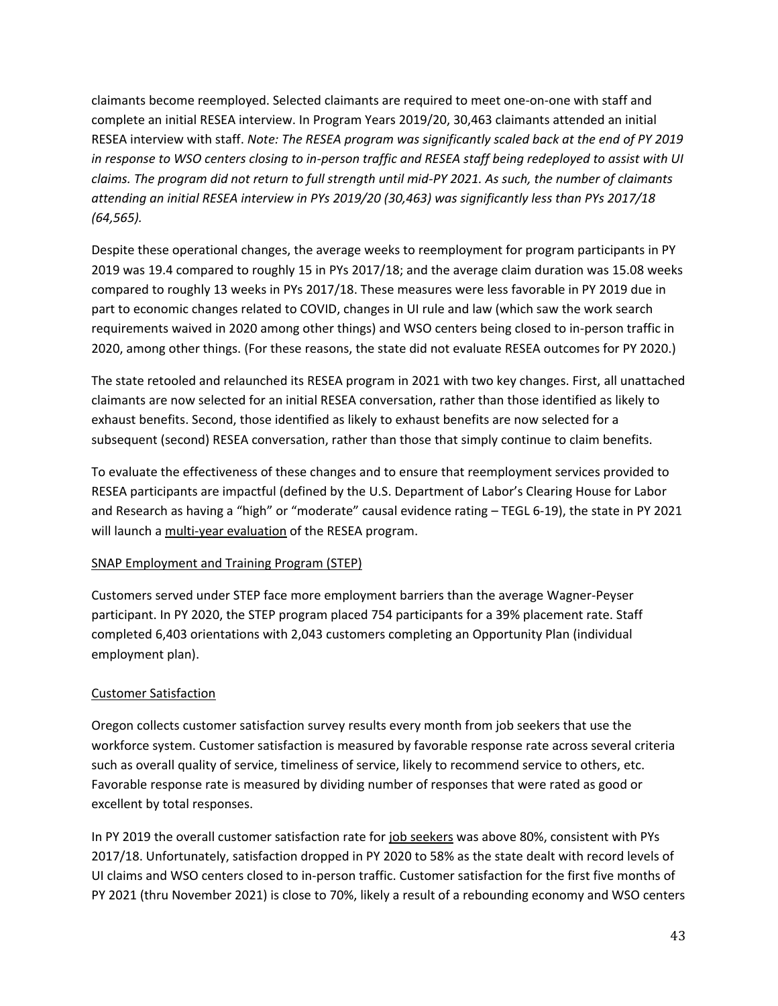claimants become reemployed. Selected claimants are required to meet one-on-one with staff and complete an initial RESEA interview. In Program Years 2019/20, 30,463 claimants attended an initial RESEA interview with staff. *Note: The RESEA program was significantly scaled back at the end of PY 2019 in response to WSO centers closing to in-person traffic and RESEA staff being redeployed to assist with UI claims. The program did not return to full strength until mid-PY 2021. As such, the number of claimants attending an initial RESEA interview in PYs 2019/20 (30,463) was significantly less than PYs 2017/18 (64,565).*

Despite these operational changes, the average weeks to reemployment for program participants in PY 2019 was 19.4 compared to roughly 15 in PYs 2017/18; and the average claim duration was 15.08 weeks compared to roughly 13 weeks in PYs 2017/18. These measures were less favorable in PY 2019 due in part to economic changes related to COVID, changes in UI rule and law (which saw the work search requirements waived in 2020 among other things) and WSO centers being closed to in-person traffic in 2020, among other things. (For these reasons, the state did not evaluate RESEA outcomes for PY 2020.)

The state retooled and relaunched its RESEA program in 2021 with two key changes. First, all unattached claimants are now selected for an initial RESEA conversation, rather than those identified as likely to exhaust benefits. Second, those identified as likely to exhaust benefits are now selected for a subsequent (second) RESEA conversation, rather than those that simply continue to claim benefits.

To evaluate the effectiveness of these changes and to ensure that reemployment services provided to RESEA participants are impactful (defined by the U.S. Department of Labor's Clearing House for Labor and Research as having a "high" or "moderate" causal evidence rating – TEGL 6-19), the state in PY 2021 will launch a multi-year evaluation of the RESEA program.

# SNAP Employment and Training Program (STEP)

Customers served under STEP face more employment barriers than the average Wagner-Peyser participant. In PY 2020, the STEP program placed 754 participants for a 39% placement rate. Staff completed 6,403 orientations with 2,043 customers completing an Opportunity Plan (individual employment plan).

# Customer Satisfaction

Oregon collects customer satisfaction survey results every month from job seekers that use the workforce system. Customer satisfaction is measured by favorable response rate across several criteria such as overall quality of service, timeliness of service, likely to recommend service to others, etc. Favorable response rate is measured by dividing number of responses that were rated as good or excellent by total responses.

In PY 2019 the overall customer satisfaction rate for job seekers was above 80%, consistent with PYs 2017/18. Unfortunately, satisfaction dropped in PY 2020 to 58% as the state dealt with record levels of UI claims and WSO centers closed to in-person traffic. Customer satisfaction for the first five months of PY 2021 (thru November 2021) is close to 70%, likely a result of a rebounding economy and WSO centers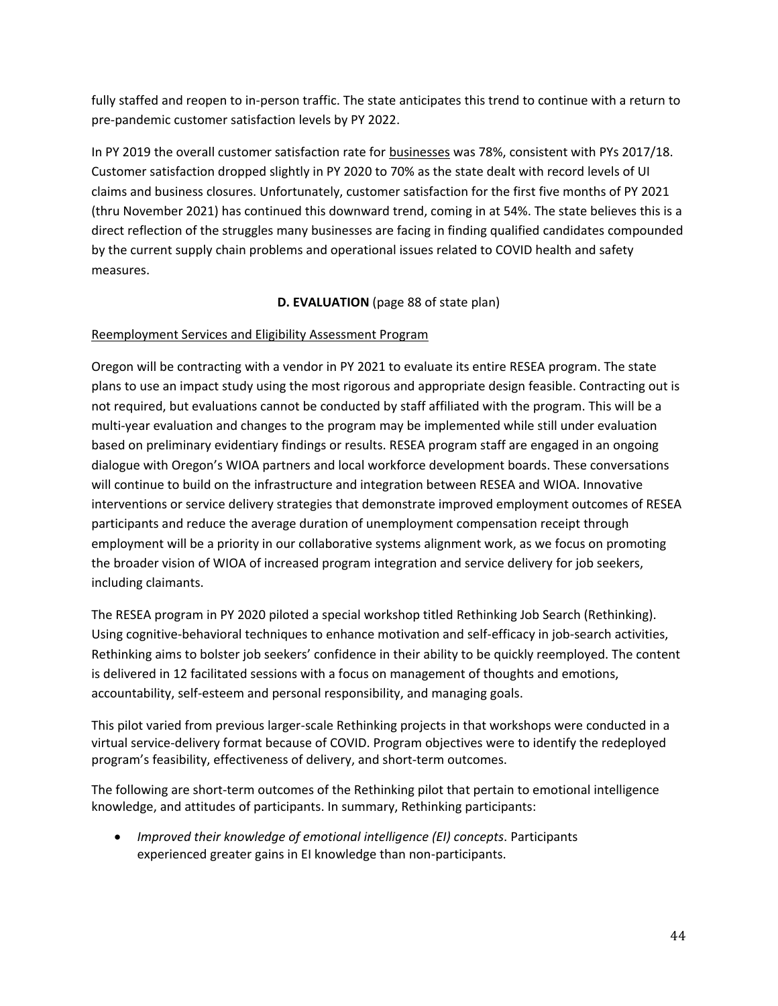fully staffed and reopen to in-person traffic. The state anticipates this trend to continue with a return to pre-pandemic customer satisfaction levels by PY 2022.

In PY 2019 the overall customer satisfaction rate for businesses was 78%, consistent with PYs 2017/18. Customer satisfaction dropped slightly in PY 2020 to 70% as the state dealt with record levels of UI claims and business closures. Unfortunately, customer satisfaction for the first five months of PY 2021 (thru November 2021) has continued this downward trend, coming in at 54%. The state believes this is a direct reflection of the struggles many businesses are facing in finding qualified candidates compounded by the current supply chain problems and operational issues related to COVID health and safety measures.

# **D. EVALUATION** (page 88 of state plan)

# Reemployment Services and Eligibility Assessment Program

Oregon will be contracting with a vendor in PY 2021 to evaluate its entire RESEA program. The state plans to use an impact study using the most rigorous and appropriate design feasible. Contracting out is not required, but evaluations cannot be conducted by staff affiliated with the program. This will be a multi-year evaluation and changes to the program may be implemented while still under evaluation based on preliminary evidentiary findings or results. RESEA program staff are engaged in an ongoing dialogue with Oregon's WIOA partners and local workforce development boards. These conversations will continue to build on the infrastructure and integration between RESEA and WIOA. Innovative interventions or service delivery strategies that demonstrate improved employment outcomes of RESEA participants and reduce the average duration of unemployment compensation receipt through employment will be a priority in our collaborative systems alignment work, as we focus on promoting the broader vision of WIOA of increased program integration and service delivery for job seekers, including claimants.

The RESEA program in PY 2020 piloted a special workshop titled Rethinking Job Search (Rethinking). Using cognitive-behavioral techniques to enhance motivation and self-efficacy in job-search activities, Rethinking aims to bolster job seekers' confidence in their ability to be quickly reemployed. The content is delivered in 12 facilitated sessions with a focus on management of thoughts and emotions, accountability, self-esteem and personal responsibility, and managing goals.

This pilot varied from previous larger-scale Rethinking projects in that workshops were conducted in a virtual service-delivery format because of COVID. Program objectives were to identify the redeployed program's feasibility, effectiveness of delivery, and short-term outcomes.

The following are short-term outcomes of the Rethinking pilot that pertain to emotional intelligence knowledge, and attitudes of participants. In summary, Rethinking participants:

• *Improved their knowledge of emotional intelligence (EI) concepts*. Participants experienced greater gains in EI knowledge than non-participants.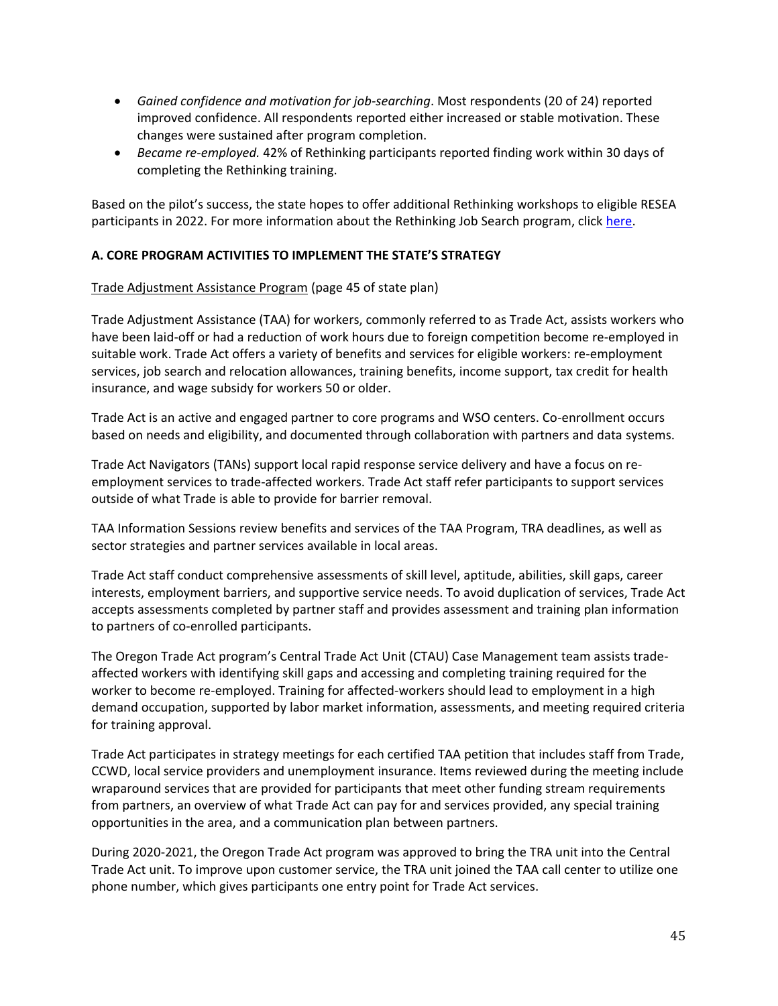- *Gained confidence and motivation for job-searching*. Most respondents (20 of 24) reported improved confidence. All respondents reported either increased or stable motivation. These changes were sustained after program completion.
- *Became re-employed.* 42% of Rethinking participants reported finding work within 30 days of completing the Rethinking training.

Based on the pilot's success, the state hopes to offer additional Rethinking workshops to eligible RESEA participants in 2022. For more information about the Rethinking Job Search program, click [here.](https://willwp.org/rethinking/)

### **A. CORE PROGRAM ACTIVITIES TO IMPLEMENT THE STATE'S STRATEGY**

### Trade Adjustment Assistance Program (page 45 of state plan)

Trade Adjustment Assistance (TAA) for workers, commonly referred to as Trade Act, assists workers who have been laid-off or had a reduction of work hours due to foreign competition become re-employed in suitable work. Trade Act offers a variety of benefits and services for eligible workers: re-employment services, job search and relocation allowances, training benefits, income support, tax credit for health insurance, and wage subsidy for workers 50 or older.

Trade Act is an active and engaged partner to core programs and WSO centers. Co-enrollment occurs based on needs and eligibility, and documented through collaboration with partners and data systems.

Trade Act Navigators (TANs) support local rapid response service delivery and have a focus on reemployment services to trade-affected workers. Trade Act staff refer participants to support services outside of what Trade is able to provide for barrier removal.

TAA Information Sessions review benefits and services of the TAA Program, TRA deadlines, as well as sector strategies and partner services available in local areas.

Trade Act staff conduct comprehensive assessments of skill level, aptitude, abilities, skill gaps, career interests, employment barriers, and supportive service needs. To avoid duplication of services, Trade Act accepts assessments completed by partner staff and provides assessment and training plan information to partners of co-enrolled participants.

The Oregon Trade Act program's Central Trade Act Unit (CTAU) Case Management team assists tradeaffected workers with identifying skill gaps and accessing and completing training required for the worker to become re-employed. Training for affected-workers should lead to employment in a high demand occupation, supported by labor market information, assessments, and meeting required criteria for training approval.

Trade Act participates in strategy meetings for each certified TAA petition that includes staff from Trade, CCWD, local service providers and unemployment insurance. Items reviewed during the meeting include wraparound services that are provided for participants that meet other funding stream requirements from partners, an overview of what Trade Act can pay for and services provided, any special training opportunities in the area, and a communication plan between partners.

During 2020-2021, the Oregon Trade Act program was approved to bring the TRA unit into the Central Trade Act unit. To improve upon customer service, the TRA unit joined the TAA call center to utilize one phone number, which gives participants one entry point for Trade Act services.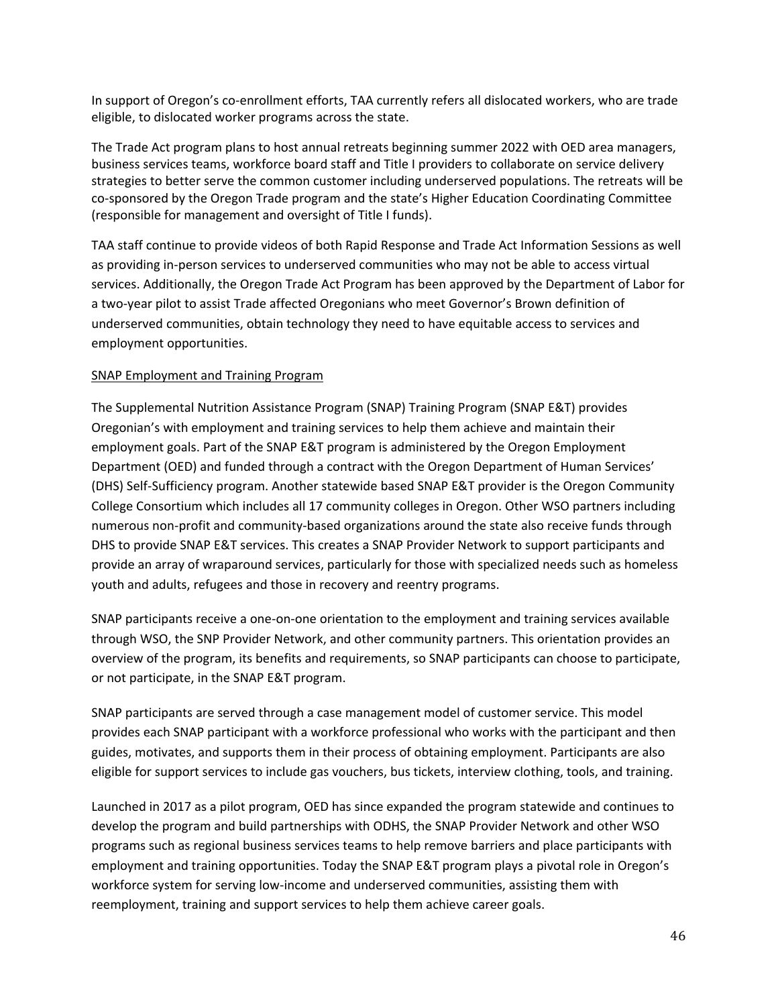In support of Oregon's co-enrollment efforts, TAA currently refers all dislocated workers, who are trade eligible, to dislocated worker programs across the state.

The Trade Act program plans to host annual retreats beginning summer 2022 with OED area managers, business services teams, workforce board staff and Title I providers to collaborate on service delivery strategies to better serve the common customer including underserved populations. The retreats will be co-sponsored by the Oregon Trade program and the state's Higher Education Coordinating Committee (responsible for management and oversight of Title I funds).

TAA staff continue to provide videos of both Rapid Response and Trade Act Information Sessions as well as providing in-person services to underserved communities who may not be able to access virtual services. Additionally, the Oregon Trade Act Program has been approved by the Department of Labor for a two-year pilot to assist Trade affected Oregonians who meet Governor's Brown definition of underserved communities, obtain technology they need to have equitable access to services and employment opportunities.

### SNAP Employment and Training Program

The Supplemental Nutrition Assistance Program (SNAP) Training Program (SNAP E&T) provides Oregonian's with employment and training services to help them achieve and maintain their employment goals. Part of the SNAP E&T program is administered by the Oregon Employment Department (OED) and funded through a contract with the Oregon Department of Human Services' (DHS) Self-Sufficiency program. Another statewide based SNAP E&T provider is the Oregon Community College Consortium which includes all 17 community colleges in Oregon. Other WSO partners including numerous non-profit and community-based organizations around the state also receive funds through DHS to provide SNAP E&T services. This creates a SNAP Provider Network to support participants and provide an array of wraparound services, particularly for those with specialized needs such as homeless youth and adults, refugees and those in recovery and reentry programs.

SNAP participants receive a one-on-one orientation to the employment and training services available through WSO, the SNP Provider Network, and other community partners. This orientation provides an overview of the program, its benefits and requirements, so SNAP participants can choose to participate, or not participate, in the SNAP E&T program.

SNAP participants are served through a case management model of customer service. This model provides each SNAP participant with a workforce professional who works with the participant and then guides, motivates, and supports them in their process of obtaining employment. Participants are also eligible for support services to include gas vouchers, bus tickets, interview clothing, tools, and training.

Launched in 2017 as a pilot program, OED has since expanded the program statewide and continues to develop the program and build partnerships with ODHS, the SNAP Provider Network and other WSO programs such as regional business services teams to help remove barriers and place participants with employment and training opportunities. Today the SNAP E&T program plays a pivotal role in Oregon's workforce system for serving low-income and underserved communities, assisting them with reemployment, training and support services to help them achieve career goals.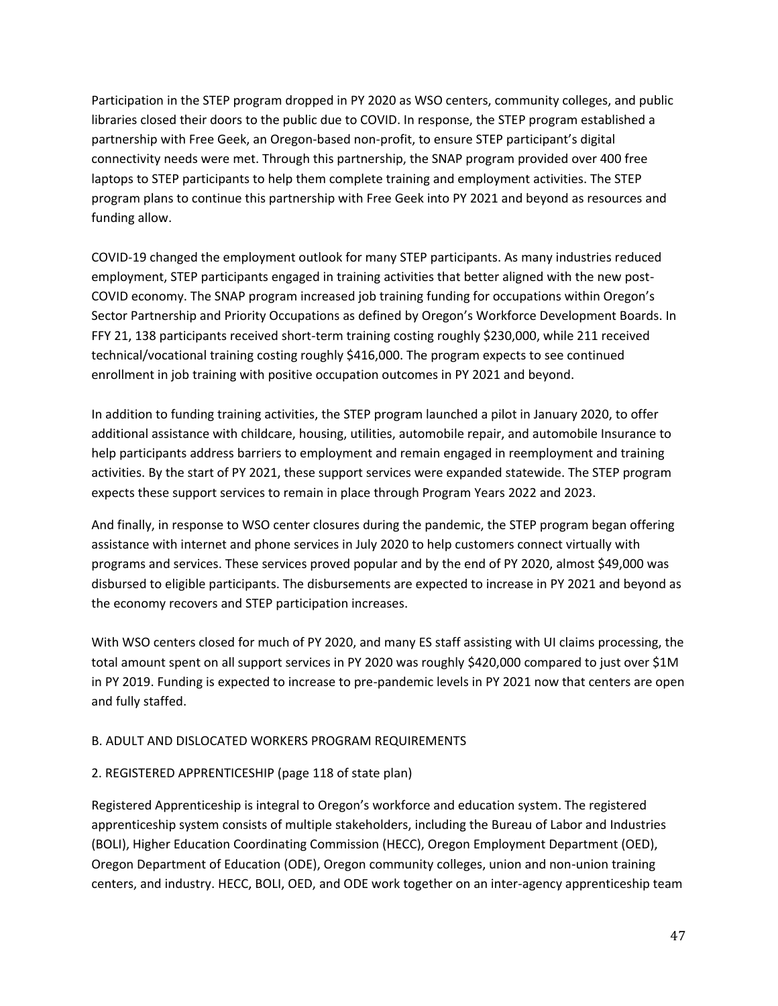Participation in the STEP program dropped in PY 2020 as WSO centers, community colleges, and public libraries closed their doors to the public due to COVID. In response, the STEP program established a partnership with Free Geek, an Oregon-based non-profit, to ensure STEP participant's digital connectivity needs were met. Through this partnership, the SNAP program provided over 400 free laptops to STEP participants to help them complete training and employment activities. The STEP program plans to continue this partnership with Free Geek into PY 2021 and beyond as resources and funding allow.

COVID-19 changed the employment outlook for many STEP participants. As many industries reduced employment, STEP participants engaged in training activities that better aligned with the new post-COVID economy. The SNAP program increased job training funding for occupations within Oregon's Sector Partnership and Priority Occupations as defined by Oregon's Workforce Development Boards. In FFY 21, 138 participants received short-term training costing roughly \$230,000, while 211 received technical/vocational training costing roughly \$416,000. The program expects to see continued enrollment in job training with positive occupation outcomes in PY 2021 and beyond.

In addition to funding training activities, the STEP program launched a pilot in January 2020, to offer additional assistance with childcare, housing, utilities, automobile repair, and automobile Insurance to help participants address barriers to employment and remain engaged in reemployment and training activities. By the start of PY 2021, these support services were expanded statewide. The STEP program expects these support services to remain in place through Program Years 2022 and 2023.

And finally, in response to WSO center closures during the pandemic, the STEP program began offering assistance with internet and phone services in July 2020 to help customers connect virtually with programs and services. These services proved popular and by the end of PY 2020, almost \$49,000 was disbursed to eligible participants. The disbursements are expected to increase in PY 2021 and beyond as the economy recovers and STEP participation increases.

With WSO centers closed for much of PY 2020, and many ES staff assisting with UI claims processing, the total amount spent on all support services in PY 2020 was roughly \$420,000 compared to just over \$1M in PY 2019. Funding is expected to increase to pre-pandemic levels in PY 2021 now that centers are open and fully staffed.

### B. ADULT AND DISLOCATED WORKERS PROGRAM REQUIREMENTS

# 2. REGISTERED APPRENTICESHIP (page 118 of state plan)

Registered Apprenticeship is integral to Oregon's workforce and education system. The registered apprenticeship system consists of multiple stakeholders, including the Bureau of Labor and Industries (BOLI), Higher Education Coordinating Commission (HECC), Oregon Employment Department (OED), Oregon Department of Education (ODE), Oregon community colleges, union and non-union training centers, and industry. HECC, BOLI, OED, and ODE work together on an inter-agency apprenticeship team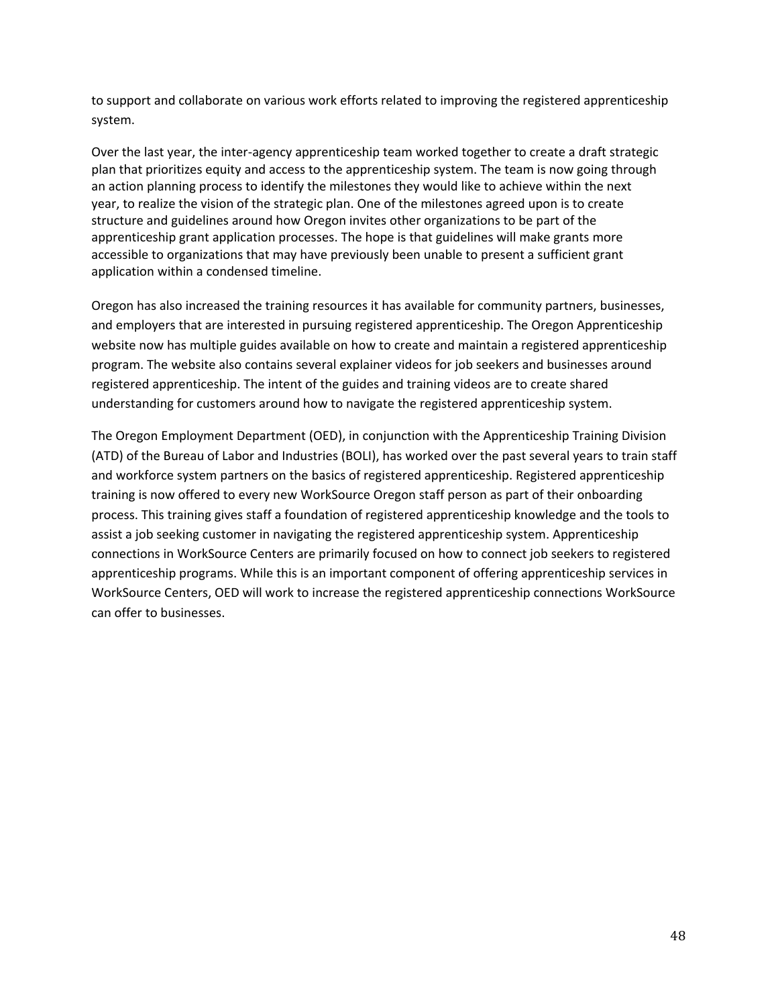to support and collaborate on various work efforts related to improving the registered apprenticeship system.

Over the last year, the inter-agency apprenticeship team worked together to create a draft strategic plan that prioritizes equity and access to the apprenticeship system. The team is now going through an action planning process to identify the milestones they would like to achieve within the next year, to realize the vision of the strategic plan. One of the milestones agreed upon is to create structure and guidelines around how Oregon invites other organizations to be part of the apprenticeship grant application processes. The hope is that guidelines will make grants more accessible to organizations that may have previously been unable to present a sufficient grant application within a condensed timeline.

Oregon has also increased the training resources it has available for community partners, businesses, and employers that are interested in pursuing registered apprenticeship. The Oregon Apprenticeship website now has multiple guides available on how to create and maintain a registered apprenticeship program. The website also contains several explainer videos for job seekers and businesses around registered apprenticeship. The intent of the guides and training videos are to create shared understanding for customers around how to navigate the registered apprenticeship system.

The Oregon Employment Department (OED), in conjunction with the Apprenticeship Training Division (ATD) of the Bureau of Labor and Industries (BOLI), has worked over the past several years to train staff and workforce system partners on the basics of registered apprenticeship. Registered apprenticeship training is now offered to every new WorkSource Oregon staff person as part of their onboarding process. This training gives staff a foundation of registered apprenticeship knowledge and the tools to assist a job seeking customer in navigating the registered apprenticeship system. Apprenticeship connections in WorkSource Centers are primarily focused on how to connect job seekers to registered apprenticeship programs. While this is an important component of offering apprenticeship services in WorkSource Centers, OED will work to increase the registered apprenticeship connections WorkSource can offer to businesses.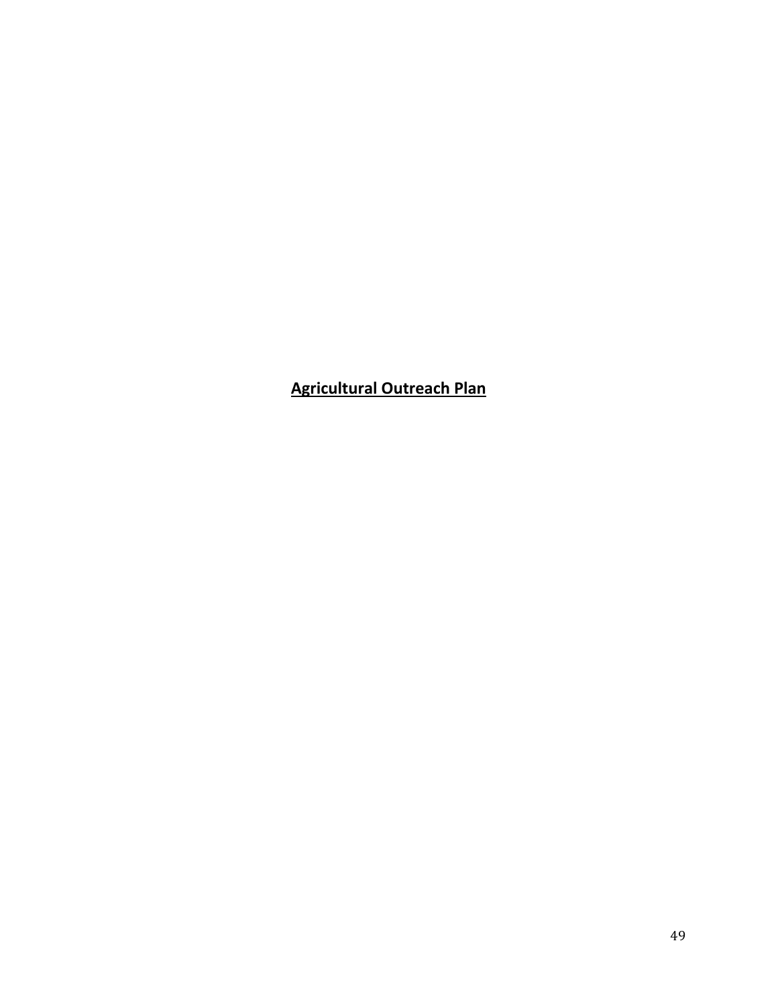**Agricultural Outreach Plan**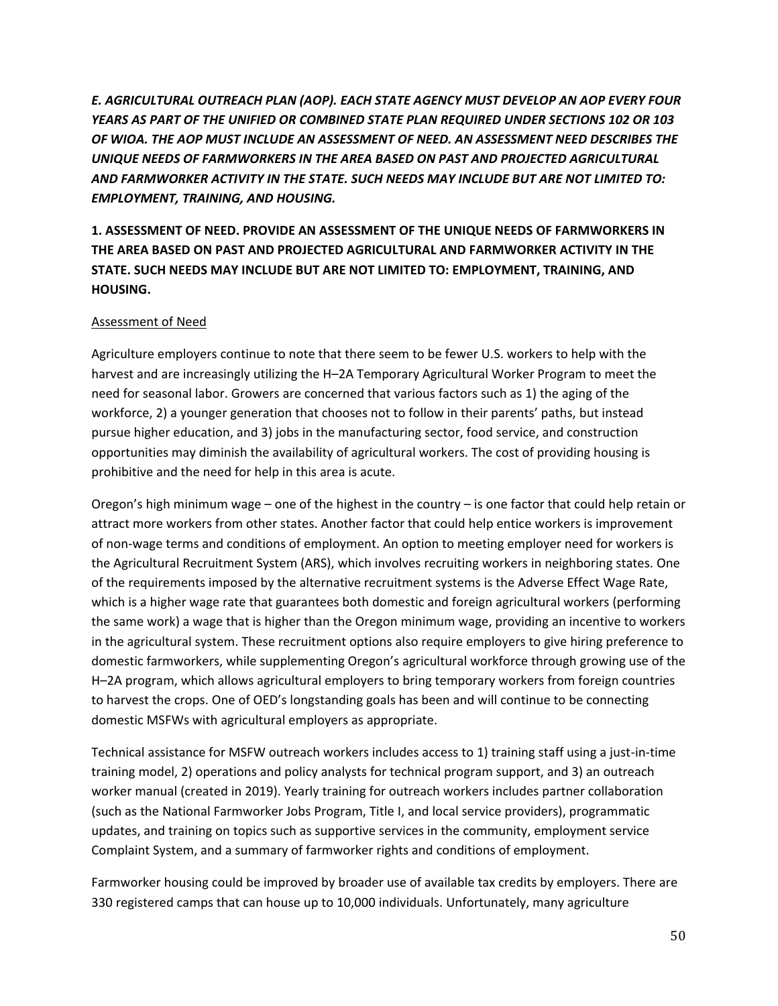*E. AGRICULTURAL OUTREACH PLAN (AOP). EACH STATE AGENCY MUST DEVELOP AN AOP EVERY FOUR YEARS AS PART OF THE UNIFIED OR COMBINED STATE PLAN REQUIRED UNDER SECTIONS 102 OR 103 OF WIOA. THE AOP MUST INCLUDE AN ASSESSMENT OF NEED. AN ASSESSMENT NEED DESCRIBES THE UNIQUE NEEDS OF FARMWORKERS IN THE AREA BASED ON PAST AND PROJECTED AGRICULTURAL AND FARMWORKER ACTIVITY IN THE STATE. SUCH NEEDS MAY INCLUDE BUT ARE NOT LIMITED TO: EMPLOYMENT, TRAINING, AND HOUSING.*

**1. ASSESSMENT OF NEED. PROVIDE AN ASSESSMENT OF THE UNIQUE NEEDS OF FARMWORKERS IN THE AREA BASED ON PAST AND PROJECTED AGRICULTURAL AND FARMWORKER ACTIVITY IN THE STATE. SUCH NEEDS MAY INCLUDE BUT ARE NOT LIMITED TO: EMPLOYMENT, TRAINING, AND HOUSING.**

### Assessment of Need

Agriculture employers continue to note that there seem to be fewer U.S. workers to help with the harvest and are increasingly utilizing the H–2A Temporary Agricultural Worker Program to meet the need for seasonal labor. Growers are concerned that various factors such as 1) the aging of the workforce, 2) a younger generation that chooses not to follow in their parents' paths, but instead pursue higher education, and 3) jobs in the manufacturing sector, food service, and construction opportunities may diminish the availability of agricultural workers. The cost of providing housing is prohibitive and the need for help in this area is acute.

Oregon's high minimum wage – one of the highest in the country – is one factor that could help retain or attract more workers from other states. Another factor that could help entice workers is improvement of non-wage terms and conditions of employment. An option to meeting employer need for workers is the Agricultural Recruitment System (ARS), which involves recruiting workers in neighboring states. One of the requirements imposed by the alternative recruitment systems is the Adverse Effect Wage Rate, which is a higher wage rate that guarantees both domestic and foreign agricultural workers (performing the same work) a wage that is higher than the Oregon minimum wage, providing an incentive to workers in the agricultural system. These recruitment options also require employers to give hiring preference to domestic farmworkers, while supplementing Oregon's agricultural workforce through growing use of the H–2A program, which allows agricultural employers to bring temporary workers from foreign countries to harvest the crops. One of OED's longstanding goals has been and will continue to be connecting domestic MSFWs with agricultural employers as appropriate.

Technical assistance for MSFW outreach workers includes access to 1) training staff using a just-in-time training model, 2) operations and policy analysts for technical program support, and 3) an outreach worker manual (created in 2019). Yearly training for outreach workers includes partner collaboration (such as the National Farmworker Jobs Program, Title I, and local service providers), programmatic updates, and training on topics such as supportive services in the community, employment service Complaint System, and a summary of farmworker rights and conditions of employment.

Farmworker housing could be improved by broader use of available tax credits by employers. There are 330 registered camps that can house up to 10,000 individuals. Unfortunately, many agriculture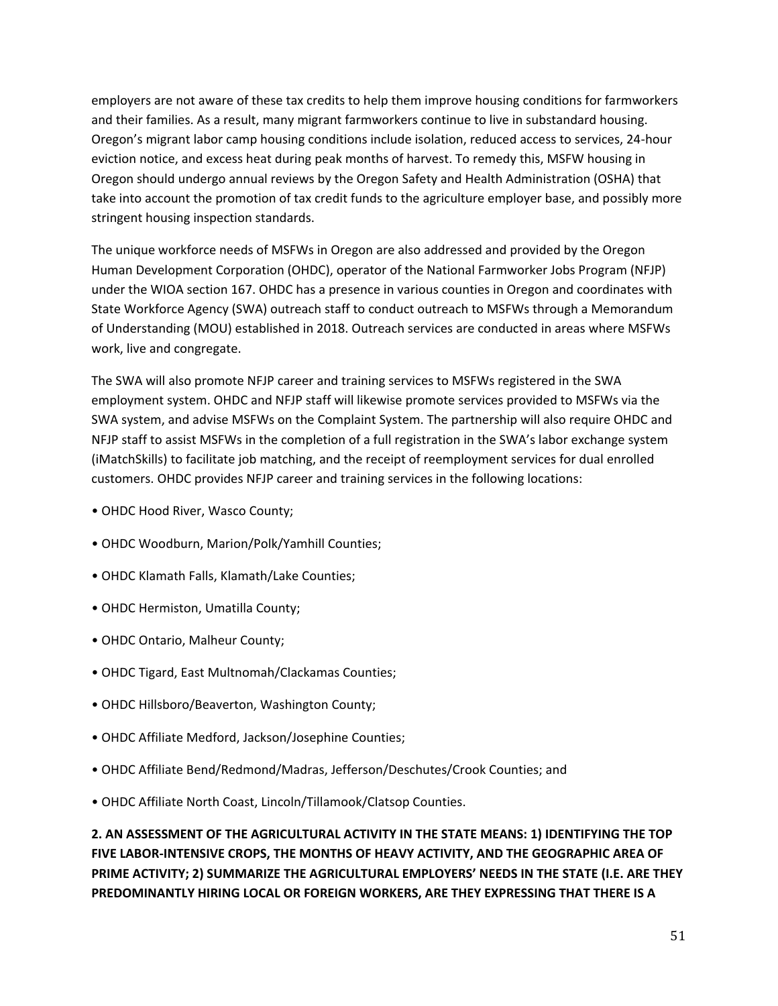employers are not aware of these tax credits to help them improve housing conditions for farmworkers and their families. As a result, many migrant farmworkers continue to live in substandard housing. Oregon's migrant labor camp housing conditions include isolation, reduced access to services, 24-hour eviction notice, and excess heat during peak months of harvest. To remedy this, MSFW housing in Oregon should undergo annual reviews by the Oregon Safety and Health Administration (OSHA) that take into account the promotion of tax credit funds to the agriculture employer base, and possibly more stringent housing inspection standards.

The unique workforce needs of MSFWs in Oregon are also addressed and provided by the Oregon Human Development Corporation (OHDC), operator of the National Farmworker Jobs Program (NFJP) under the WIOA section 167. OHDC has a presence in various counties in Oregon and coordinates with State Workforce Agency (SWA) outreach staff to conduct outreach to MSFWs through a Memorandum of Understanding (MOU) established in 2018. Outreach services are conducted in areas where MSFWs work, live and congregate.

The SWA will also promote NFJP career and training services to MSFWs registered in the SWA employment system. OHDC and NFJP staff will likewise promote services provided to MSFWs via the SWA system, and advise MSFWs on the Complaint System. The partnership will also require OHDC and NFJP staff to assist MSFWs in the completion of a full registration in the SWA's labor exchange system (iMatchSkills) to facilitate job matching, and the receipt of reemployment services for dual enrolled customers. OHDC provides NFJP career and training services in the following locations:

- OHDC Hood River, Wasco County;
- OHDC Woodburn, Marion/Polk/Yamhill Counties;
- OHDC Klamath Falls, Klamath/Lake Counties;
- OHDC Hermiston, Umatilla County;
- OHDC Ontario, Malheur County;
- OHDC Tigard, East Multnomah/Clackamas Counties;
- OHDC Hillsboro/Beaverton, Washington County;
- OHDC Affiliate Medford, Jackson/Josephine Counties;
- OHDC Affiliate Bend/Redmond/Madras, Jefferson/Deschutes/Crook Counties; and
- OHDC Affiliate North Coast, Lincoln/Tillamook/Clatsop Counties.

**2. AN ASSESSMENT OF THE AGRICULTURAL ACTIVITY IN THE STATE MEANS: 1) IDENTIFYING THE TOP FIVE LABOR-INTENSIVE CROPS, THE MONTHS OF HEAVY ACTIVITY, AND THE GEOGRAPHIC AREA OF PRIME ACTIVITY; 2) SUMMARIZE THE AGRICULTURAL EMPLOYERS' NEEDS IN THE STATE (I.E. ARE THEY PREDOMINANTLY HIRING LOCAL OR FOREIGN WORKERS, ARE THEY EXPRESSING THAT THERE IS A**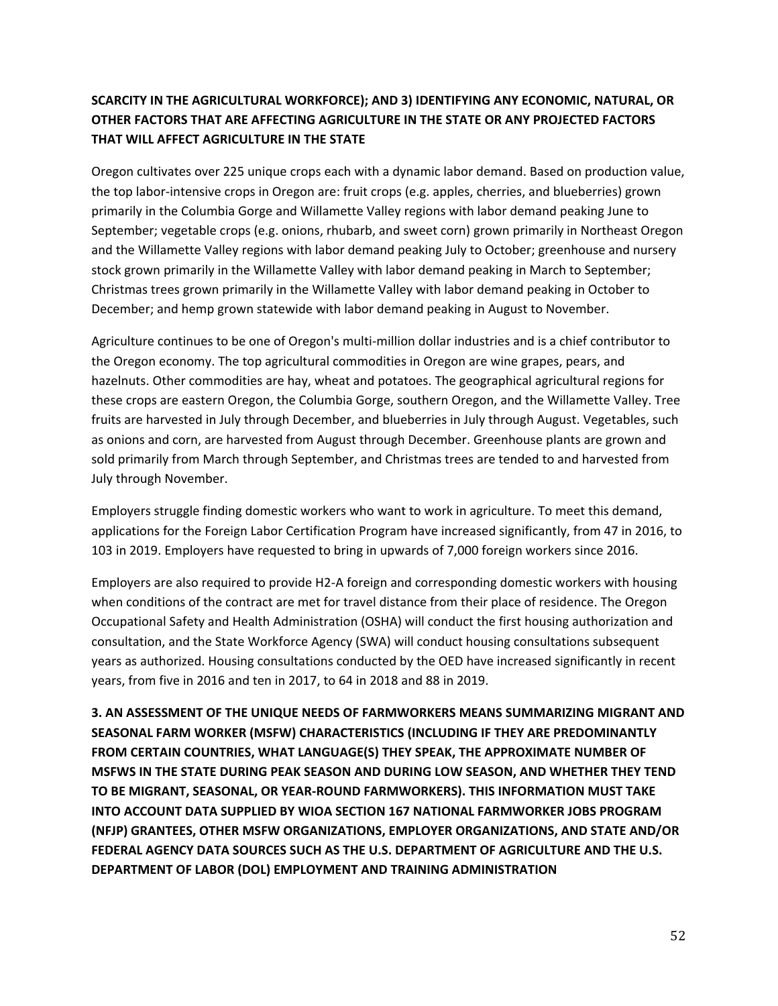# **SCARCITY IN THE AGRICULTURAL WORKFORCE); AND 3) IDENTIFYING ANY ECONOMIC, NATURAL, OR OTHER FACTORS THAT ARE AFFECTING AGRICULTURE IN THE STATE OR ANY PROJECTED FACTORS THAT WILL AFFECT AGRICULTURE IN THE STATE**

Oregon cultivates over 225 unique crops each with a dynamic labor demand. Based on production value, the top labor-intensive crops in Oregon are: fruit crops (e.g. apples, cherries, and blueberries) grown primarily in the Columbia Gorge and Willamette Valley regions with labor demand peaking June to September; vegetable crops (e.g. onions, rhubarb, and sweet corn) grown primarily in Northeast Oregon and the Willamette Valley regions with labor demand peaking July to October; greenhouse and nursery stock grown primarily in the Willamette Valley with labor demand peaking in March to September; Christmas trees grown primarily in the Willamette Valley with labor demand peaking in October to December; and hemp grown statewide with labor demand peaking in August to November.

Agriculture continues to be one of Oregon's multi-million dollar industries and is a chief contributor to the Oregon economy. The top agricultural commodities in Oregon are wine grapes, pears, and hazelnuts. Other commodities are hay, wheat and potatoes. The geographical agricultural regions for these crops are eastern Oregon, the Columbia Gorge, southern Oregon, and the Willamette Valley. Tree fruits are harvested in July through December, and blueberries in July through August. Vegetables, such as onions and corn, are harvested from August through December. Greenhouse plants are grown and sold primarily from March through September, and Christmas trees are tended to and harvested from July through November.

Employers struggle finding domestic workers who want to work in agriculture. To meet this demand, applications for the Foreign Labor Certification Program have increased significantly, from 47 in 2016, to 103 in 2019. Employers have requested to bring in upwards of 7,000 foreign workers since 2016.

Employers are also required to provide H2-A foreign and corresponding domestic workers with housing when conditions of the contract are met for travel distance from their place of residence. The Oregon Occupational Safety and Health Administration (OSHA) will conduct the first housing authorization and consultation, and the State Workforce Agency (SWA) will conduct housing consultations subsequent years as authorized. Housing consultations conducted by the OED have increased significantly in recent years, from five in 2016 and ten in 2017, to 64 in 2018 and 88 in 2019.

**3. AN ASSESSMENT OF THE UNIQUE NEEDS OF FARMWORKERS MEANS SUMMARIZING MIGRANT AND SEASONAL FARM WORKER (MSFW) CHARACTERISTICS (INCLUDING IF THEY ARE PREDOMINANTLY FROM CERTAIN COUNTRIES, WHAT LANGUAGE(S) THEY SPEAK, THE APPROXIMATE NUMBER OF MSFWS IN THE STATE DURING PEAK SEASON AND DURING LOW SEASON, AND WHETHER THEY TEND TO BE MIGRANT, SEASONAL, OR YEAR-ROUND FARMWORKERS). THIS INFORMATION MUST TAKE INTO ACCOUNT DATA SUPPLIED BY WIOA SECTION 167 NATIONAL FARMWORKER JOBS PROGRAM (NFJP) GRANTEES, OTHER MSFW ORGANIZATIONS, EMPLOYER ORGANIZATIONS, AND STATE AND/OR FEDERAL AGENCY DATA SOURCES SUCH AS THE U.S. DEPARTMENT OF AGRICULTURE AND THE U.S. DEPARTMENT OF LABOR (DOL) EMPLOYMENT AND TRAINING ADMINISTRATION**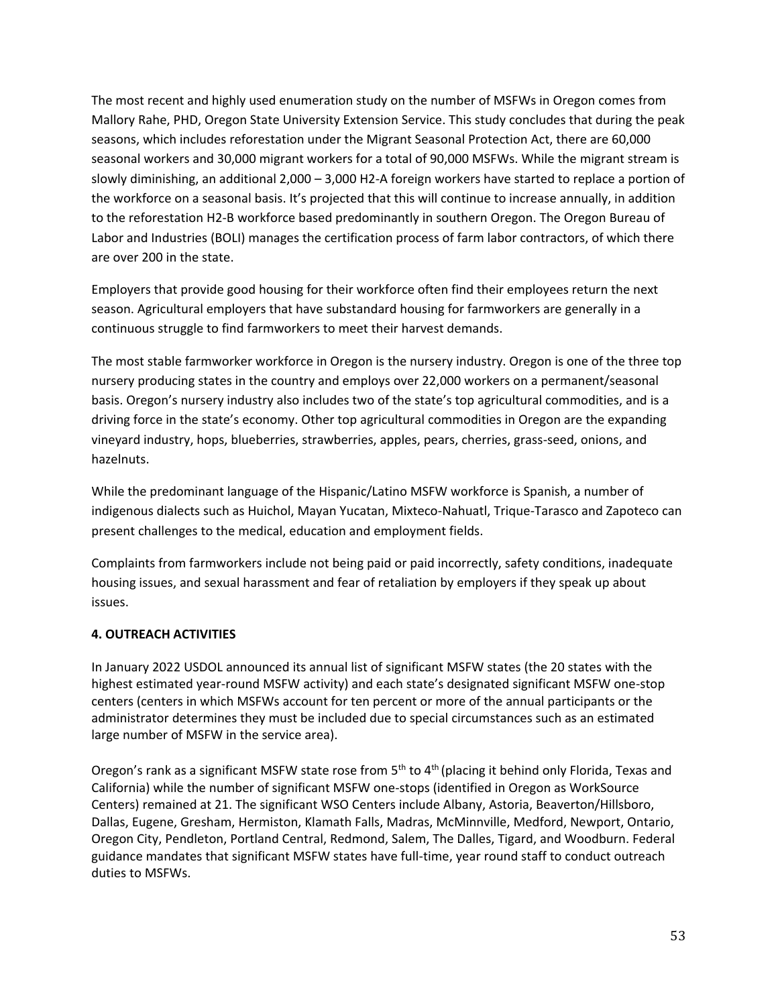The most recent and highly used enumeration study on the number of MSFWs in Oregon comes from Mallory Rahe, PHD, Oregon State University Extension Service. This study concludes that during the peak seasons, which includes reforestation under the Migrant Seasonal Protection Act, there are 60,000 seasonal workers and 30,000 migrant workers for a total of 90,000 MSFWs. While the migrant stream is slowly diminishing, an additional 2,000 – 3,000 H2-A foreign workers have started to replace a portion of the workforce on a seasonal basis. It's projected that this will continue to increase annually, in addition to the reforestation H2-B workforce based predominantly in southern Oregon. The Oregon Bureau of Labor and Industries (BOLI) manages the certification process of farm labor contractors, of which there are over 200 in the state.

Employers that provide good housing for their workforce often find their employees return the next season. Agricultural employers that have substandard housing for farmworkers are generally in a continuous struggle to find farmworkers to meet their harvest demands.

The most stable farmworker workforce in Oregon is the nursery industry. Oregon is one of the three top nursery producing states in the country and employs over 22,000 workers on a permanent/seasonal basis. Oregon's nursery industry also includes two of the state's top agricultural commodities, and is a driving force in the state's economy. Other top agricultural commodities in Oregon are the expanding vineyard industry, hops, blueberries, strawberries, apples, pears, cherries, grass-seed, onions, and hazelnuts.

While the predominant language of the Hispanic/Latino MSFW workforce is Spanish, a number of indigenous dialects such as Huichol, Mayan Yucatan, Mixteco-Nahuatl, Trique-Tarasco and Zapoteco can present challenges to the medical, education and employment fields.

Complaints from farmworkers include not being paid or paid incorrectly, safety conditions, inadequate housing issues, and sexual harassment and fear of retaliation by employers if they speak up about issues.

# **4. OUTREACH ACTIVITIES**

In January 2022 USDOL announced its annual list of significant MSFW states (the 20 states with the highest estimated year-round MSFW activity) and each state's designated significant MSFW one-stop centers (centers in which MSFWs account for ten percent or more of the annual participants or the administrator determines they must be included due to special circumstances such as an estimated large number of MSFW in the service area).

Oregon's rank as a significant MSFW state rose from 5<sup>th</sup> to 4<sup>th</sup> (placing it behind only Florida, Texas and California) while the number of significant MSFW one-stops (identified in Oregon as WorkSource Centers) remained at 21. The significant WSO Centers include Albany, Astoria, Beaverton/Hillsboro, Dallas, Eugene, Gresham, Hermiston, Klamath Falls, Madras, McMinnville, Medford, Newport, Ontario, Oregon City, Pendleton, Portland Central, Redmond, Salem, The Dalles, Tigard, and Woodburn. Federal guidance mandates that significant MSFW states have full-time, year round staff to conduct outreach duties to MSFWs.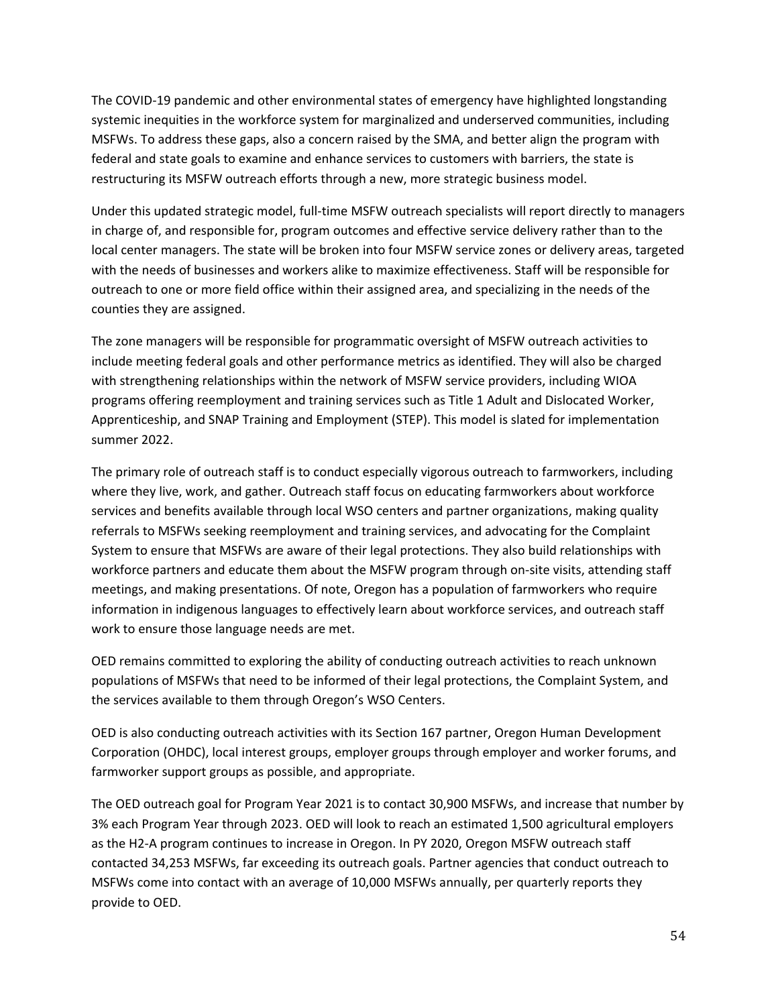The COVID-19 pandemic and other environmental states of emergency have highlighted longstanding systemic inequities in the workforce system for marginalized and underserved communities, including MSFWs. To address these gaps, also a concern raised by the SMA, and better align the program with federal and state goals to examine and enhance services to customers with barriers, the state is restructuring its MSFW outreach efforts through a new, more strategic business model.

Under this updated strategic model, full-time MSFW outreach specialists will report directly to managers in charge of, and responsible for, program outcomes and effective service delivery rather than to the local center managers. The state will be broken into four MSFW service zones or delivery areas, targeted with the needs of businesses and workers alike to maximize effectiveness. Staff will be responsible for outreach to one or more field office within their assigned area, and specializing in the needs of the counties they are assigned.

The zone managers will be responsible for programmatic oversight of MSFW outreach activities to include meeting federal goals and other performance metrics as identified. They will also be charged with strengthening relationships within the network of MSFW service providers, including WIOA programs offering reemployment and training services such as Title 1 Adult and Dislocated Worker, Apprenticeship, and SNAP Training and Employment (STEP). This model is slated for implementation summer 2022.

The primary role of outreach staff is to conduct especially vigorous outreach to farmworkers, including where they live, work, and gather. Outreach staff focus on educating farmworkers about workforce services and benefits available through local WSO centers and partner organizations, making quality referrals to MSFWs seeking reemployment and training services, and advocating for the Complaint System to ensure that MSFWs are aware of their legal protections. They also build relationships with workforce partners and educate them about the MSFW program through on-site visits, attending staff meetings, and making presentations. Of note, Oregon has a population of farmworkers who require information in indigenous languages to effectively learn about workforce services, and outreach staff work to ensure those language needs are met.

OED remains committed to exploring the ability of conducting outreach activities to reach unknown populations of MSFWs that need to be informed of their legal protections, the Complaint System, and the services available to them through Oregon's WSO Centers.

OED is also conducting outreach activities with its Section 167 partner, Oregon Human Development Corporation (OHDC), local interest groups, employer groups through employer and worker forums, and farmworker support groups as possible, and appropriate.

The OED outreach goal for Program Year 2021 is to contact 30,900 MSFWs, and increase that number by 3% each Program Year through 2023. OED will look to reach an estimated 1,500 agricultural employers as the H2-A program continues to increase in Oregon. In PY 2020, Oregon MSFW outreach staff contacted 34,253 MSFWs, far exceeding its outreach goals. Partner agencies that conduct outreach to MSFWs come into contact with an average of 10,000 MSFWs annually, per quarterly reports they provide to OED.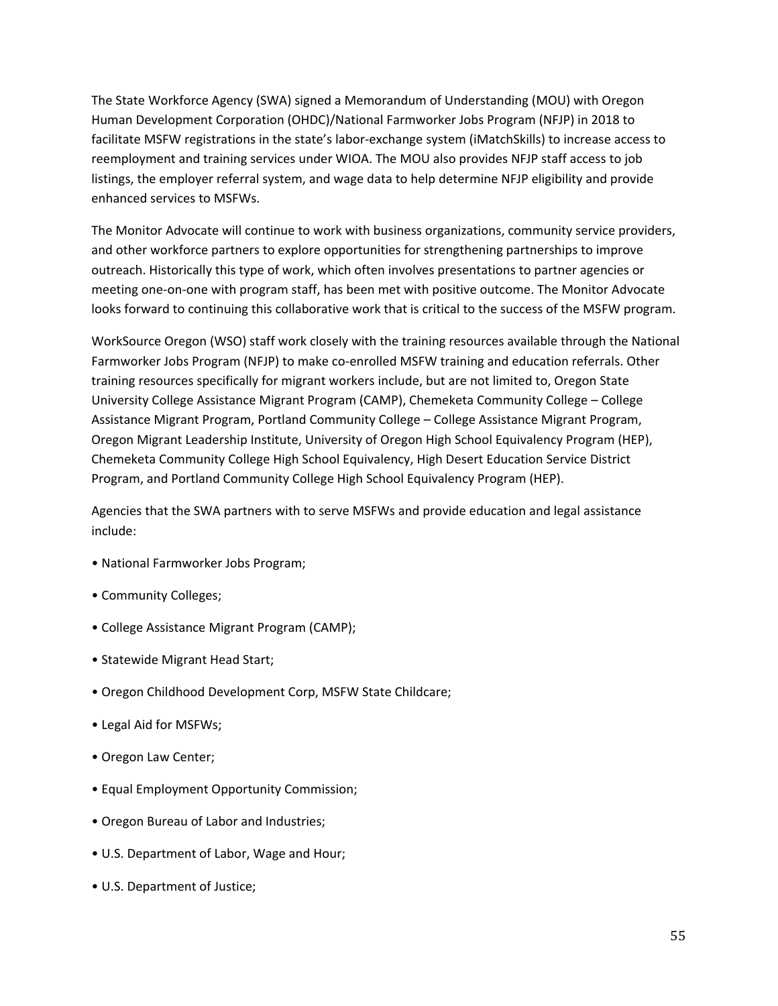The State Workforce Agency (SWA) signed a Memorandum of Understanding (MOU) with Oregon Human Development Corporation (OHDC)/National Farmworker Jobs Program (NFJP) in 2018 to facilitate MSFW registrations in the state's labor-exchange system (iMatchSkills) to increase access to reemployment and training services under WIOA. The MOU also provides NFJP staff access to job listings, the employer referral system, and wage data to help determine NFJP eligibility and provide enhanced services to MSFWs.

The Monitor Advocate will continue to work with business organizations, community service providers, and other workforce partners to explore opportunities for strengthening partnerships to improve outreach. Historically this type of work, which often involves presentations to partner agencies or meeting one-on-one with program staff, has been met with positive outcome. The Monitor Advocate looks forward to continuing this collaborative work that is critical to the success of the MSFW program.

WorkSource Oregon (WSO) staff work closely with the training resources available through the National Farmworker Jobs Program (NFJP) to make co-enrolled MSFW training and education referrals. Other training resources specifically for migrant workers include, but are not limited to, Oregon State University College Assistance Migrant Program (CAMP), Chemeketa Community College – College Assistance Migrant Program, Portland Community College – College Assistance Migrant Program, Oregon Migrant Leadership Institute, University of Oregon High School Equivalency Program (HEP), Chemeketa Community College High School Equivalency, High Desert Education Service District Program, and Portland Community College High School Equivalency Program (HEP).

Agencies that the SWA partners with to serve MSFWs and provide education and legal assistance include:

- National Farmworker Jobs Program;
- Community Colleges;
- College Assistance Migrant Program (CAMP);
- Statewide Migrant Head Start;
- Oregon Childhood Development Corp, MSFW State Childcare;
- Legal Aid for MSFWs;
- Oregon Law Center;
- Equal Employment Opportunity Commission;
- Oregon Bureau of Labor and Industries;
- U.S. Department of Labor, Wage and Hour;
- U.S. Department of Justice;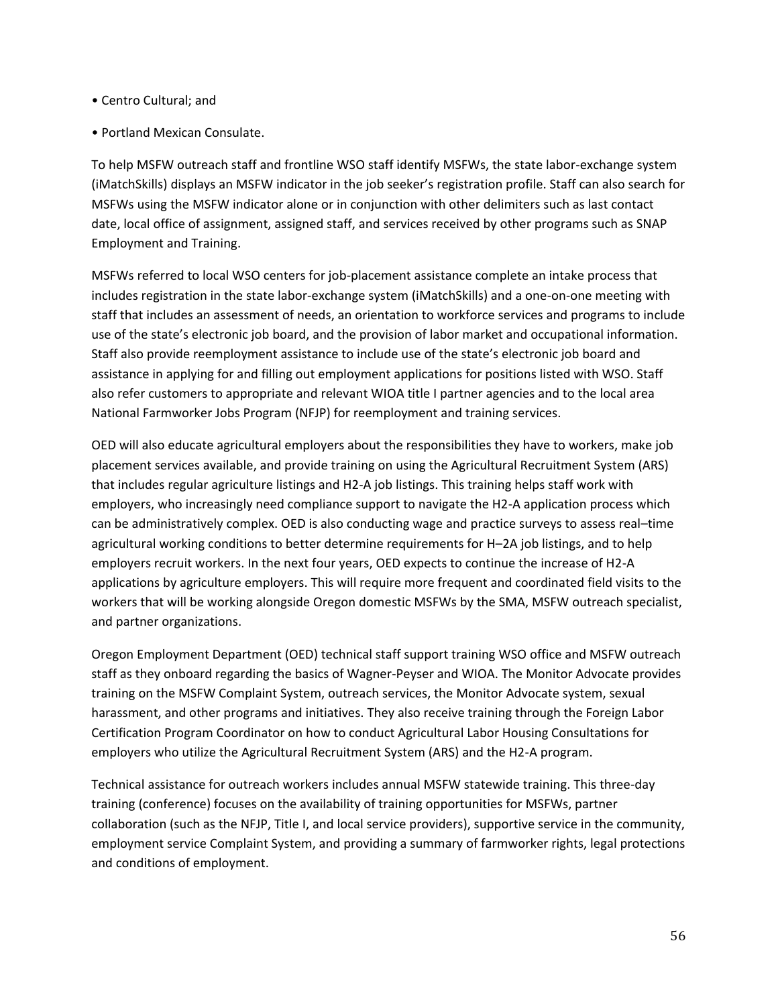- Centro Cultural; and
- Portland Mexican Consulate.

To help MSFW outreach staff and frontline WSO staff identify MSFWs, the state labor-exchange system (iMatchSkills) displays an MSFW indicator in the job seeker's registration profile. Staff can also search for MSFWs using the MSFW indicator alone or in conjunction with other delimiters such as last contact date, local office of assignment, assigned staff, and services received by other programs such as SNAP Employment and Training.

MSFWs referred to local WSO centers for job-placement assistance complete an intake process that includes registration in the state labor-exchange system (iMatchSkills) and a one-on-one meeting with staff that includes an assessment of needs, an orientation to workforce services and programs to include use of the state's electronic job board, and the provision of labor market and occupational information. Staff also provide reemployment assistance to include use of the state's electronic job board and assistance in applying for and filling out employment applications for positions listed with WSO. Staff also refer customers to appropriate and relevant WIOA title I partner agencies and to the local area National Farmworker Jobs Program (NFJP) for reemployment and training services.

OED will also educate agricultural employers about the responsibilities they have to workers, make job placement services available, and provide training on using the Agricultural Recruitment System (ARS) that includes regular agriculture listings and H2-A job listings. This training helps staff work with employers, who increasingly need compliance support to navigate the H2-A application process which can be administratively complex. OED is also conducting wage and practice surveys to assess real–time agricultural working conditions to better determine requirements for H–2A job listings, and to help employers recruit workers. In the next four years, OED expects to continue the increase of H2-A applications by agriculture employers. This will require more frequent and coordinated field visits to the workers that will be working alongside Oregon domestic MSFWs by the SMA, MSFW outreach specialist, and partner organizations.

Oregon Employment Department (OED) technical staff support training WSO office and MSFW outreach staff as they onboard regarding the basics of Wagner-Peyser and WIOA. The Monitor Advocate provides training on the MSFW Complaint System, outreach services, the Monitor Advocate system, sexual harassment, and other programs and initiatives. They also receive training through the Foreign Labor Certification Program Coordinator on how to conduct Agricultural Labor Housing Consultations for employers who utilize the Agricultural Recruitment System (ARS) and the H2-A program.

Technical assistance for outreach workers includes annual MSFW statewide training. This three-day training (conference) focuses on the availability of training opportunities for MSFWs, partner collaboration (such as the NFJP, Title I, and local service providers), supportive service in the community, employment service Complaint System, and providing a summary of farmworker rights, legal protections and conditions of employment.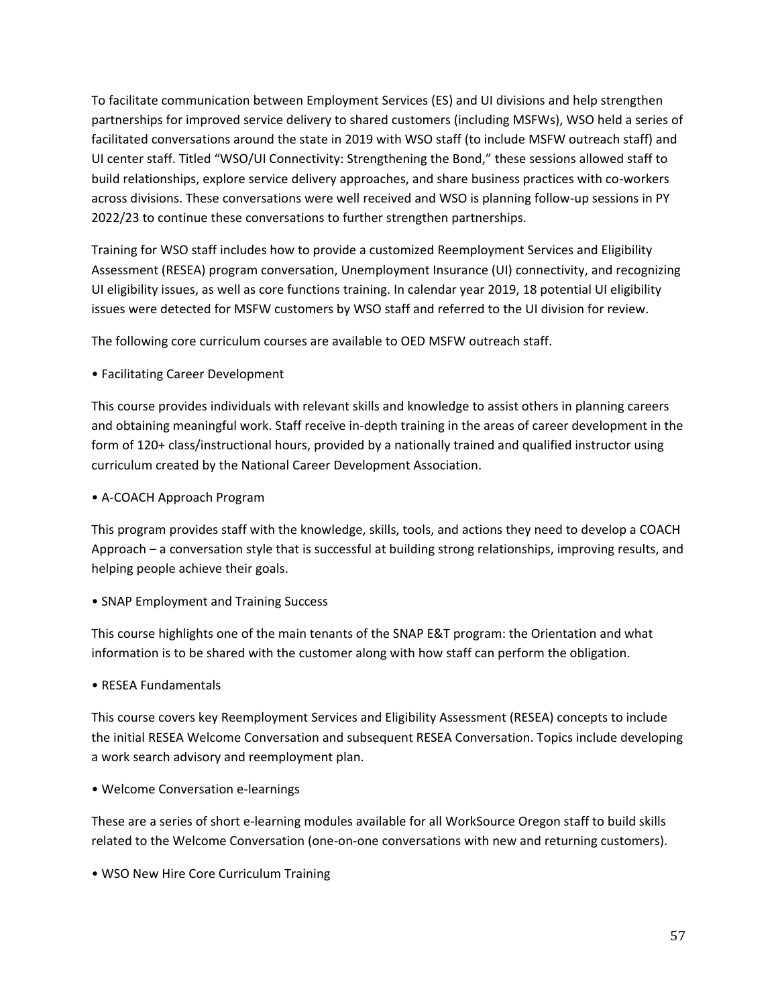To facilitate communication between Employment Services (ES) and UI divisions and help strengthen partnerships for improved service delivery to shared customers (including MSFWs), WSO held a series of facilitated conversations around the state in 2019 with WSO staff (to include MSFW outreach staff) and UI center staff. Titled "WSO/UI Connectivity: Strengthening the Bond," these sessions allowed staff to build relationships, explore service delivery approaches, and share business practices with co-workers across divisions. These conversations were well received and WSO is planning follow-up sessions in PY 2022/23 to continue these conversations to further strengthen partnerships.

Training for WSO staff includes how to provide a customized Reemployment Services and Eligibility Assessment (RESEA) program conversation, Unemployment Insurance (UI) connectivity, and recognizing UI eligibility issues, as well as core functions training. In calendar year 2019, 18 potential UI eligibility issues were detected for MSFW customers by WSO staff and referred to the UI division for review.

The following core curriculum courses are available to OED MSFW outreach staff.

• Facilitating Career Development

This course provides individuals with relevant skills and knowledge to assist others in planning careers and obtaining meaningful work. Staff receive in-depth training in the areas of career development in the form of 120+ class/instructional hours, provided by a nationally trained and qualified instructor using curriculum created by the National Career Development Association.

• A-COACH Approach Program

This program provides staff with the knowledge, skills, tools, and actions they need to develop a COACH Approach – a conversation style that is successful at building strong relationships, improving results, and helping people achieve their goals.

• SNAP Employment and Training Success

This course highlights one of the main tenants of the SNAP E&T program: the Orientation and what information is to be shared with the customer along with how staff can perform the obligation.

### • RESEA Fundamentals

This course covers key Reemployment Services and Eligibility Assessment (RESEA) concepts to include the initial RESEA Welcome Conversation and subsequent RESEA Conversation. Topics include developing a work search advisory and reemployment plan.

• Welcome Conversation e-learnings

These are a series of short e-learning modules available for all WorkSource Oregon staff to build skills related to the Welcome Conversation (one-on-one conversations with new and returning customers).

• WSO New Hire Core Curriculum Training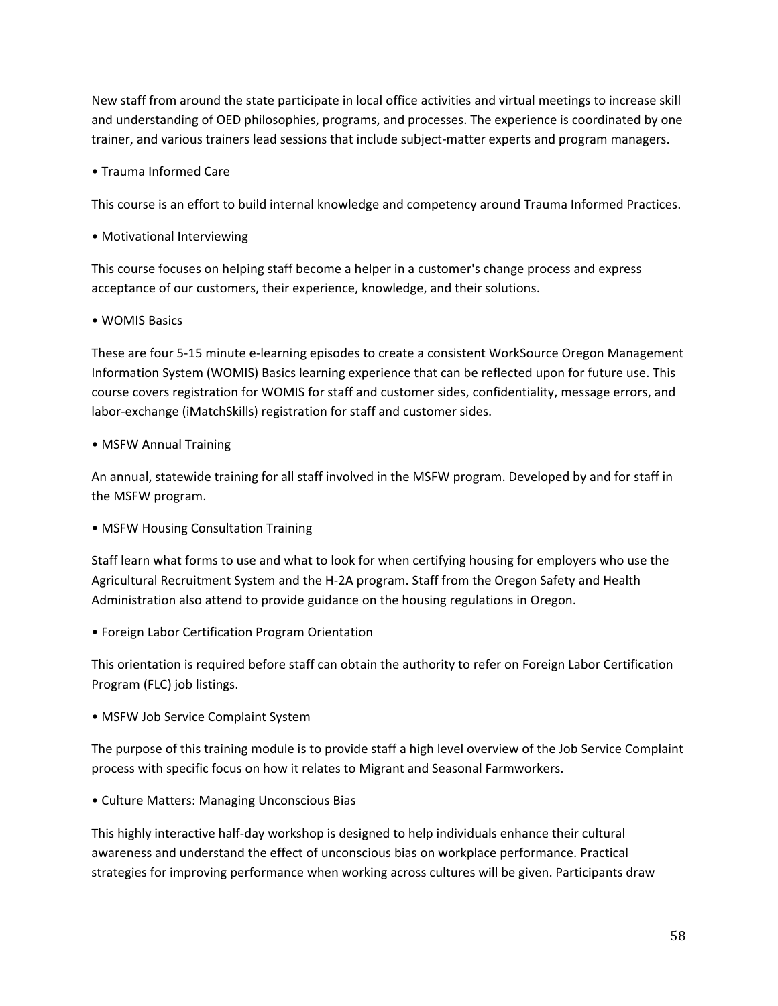New staff from around the state participate in local office activities and virtual meetings to increase skill and understanding of OED philosophies, programs, and processes. The experience is coordinated by one trainer, and various trainers lead sessions that include subject-matter experts and program managers.

### • Trauma Informed Care

This course is an effort to build internal knowledge and competency around Trauma Informed Practices.

• Motivational Interviewing

This course focuses on helping staff become a helper in a customer's change process and express acceptance of our customers, their experience, knowledge, and their solutions.

• WOMIS Basics

These are four 5-15 minute e-learning episodes to create a consistent WorkSource Oregon Management Information System (WOMIS) Basics learning experience that can be reflected upon for future use. This course covers registration for WOMIS for staff and customer sides, confidentiality, message errors, and labor-exchange (iMatchSkills) registration for staff and customer sides.

### • MSFW Annual Training

An annual, statewide training for all staff involved in the MSFW program. Developed by and for staff in the MSFW program.

• MSFW Housing Consultation Training

Staff learn what forms to use and what to look for when certifying housing for employers who use the Agricultural Recruitment System and the H-2A program. Staff from the Oregon Safety and Health Administration also attend to provide guidance on the housing regulations in Oregon.

• Foreign Labor Certification Program Orientation

This orientation is required before staff can obtain the authority to refer on Foreign Labor Certification Program (FLC) job listings.

• MSFW Job Service Complaint System

The purpose of this training module is to provide staff a high level overview of the Job Service Complaint process with specific focus on how it relates to Migrant and Seasonal Farmworkers.

• Culture Matters: Managing Unconscious Bias

This highly interactive half-day workshop is designed to help individuals enhance their cultural awareness and understand the effect of unconscious bias on workplace performance. Practical strategies for improving performance when working across cultures will be given. Participants draw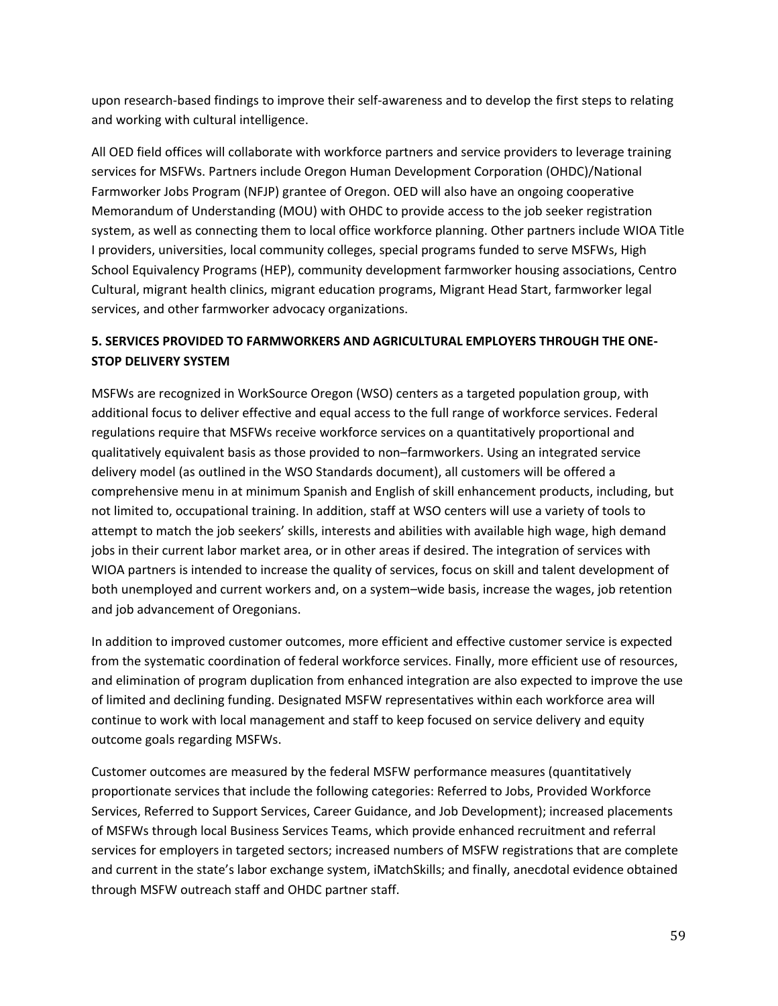upon research-based findings to improve their self-awareness and to develop the first steps to relating and working with cultural intelligence.

All OED field offices will collaborate with workforce partners and service providers to leverage training services for MSFWs. Partners include Oregon Human Development Corporation (OHDC)/National Farmworker Jobs Program (NFJP) grantee of Oregon. OED will also have an ongoing cooperative Memorandum of Understanding (MOU) with OHDC to provide access to the job seeker registration system, as well as connecting them to local office workforce planning. Other partners include WIOA Title I providers, universities, local community colleges, special programs funded to serve MSFWs, High School Equivalency Programs (HEP), community development farmworker housing associations, Centro Cultural, migrant health clinics, migrant education programs, Migrant Head Start, farmworker legal services, and other farmworker advocacy organizations.

# **5. SERVICES PROVIDED TO FARMWORKERS AND AGRICULTURAL EMPLOYERS THROUGH THE ONE-STOP DELIVERY SYSTEM**

MSFWs are recognized in WorkSource Oregon (WSO) centers as a targeted population group, with additional focus to deliver effective and equal access to the full range of workforce services. Federal regulations require that MSFWs receive workforce services on a quantitatively proportional and qualitatively equivalent basis as those provided to non–farmworkers. Using an integrated service delivery model (as outlined in the WSO Standards document), all customers will be offered a comprehensive menu in at minimum Spanish and English of skill enhancement products, including, but not limited to, occupational training. In addition, staff at WSO centers will use a variety of tools to attempt to match the job seekers' skills, interests and abilities with available high wage, high demand jobs in their current labor market area, or in other areas if desired. The integration of services with WIOA partners is intended to increase the quality of services, focus on skill and talent development of both unemployed and current workers and, on a system–wide basis, increase the wages, job retention and job advancement of Oregonians.

In addition to improved customer outcomes, more efficient and effective customer service is expected from the systematic coordination of federal workforce services. Finally, more efficient use of resources, and elimination of program duplication from enhanced integration are also expected to improve the use of limited and declining funding. Designated MSFW representatives within each workforce area will continue to work with local management and staff to keep focused on service delivery and equity outcome goals regarding MSFWs.

Customer outcomes are measured by the federal MSFW performance measures (quantitatively proportionate services that include the following categories: Referred to Jobs, Provided Workforce Services, Referred to Support Services, Career Guidance, and Job Development); increased placements of MSFWs through local Business Services Teams, which provide enhanced recruitment and referral services for employers in targeted sectors; increased numbers of MSFW registrations that are complete and current in the state's labor exchange system, iMatchSkills; and finally, anecdotal evidence obtained through MSFW outreach staff and OHDC partner staff.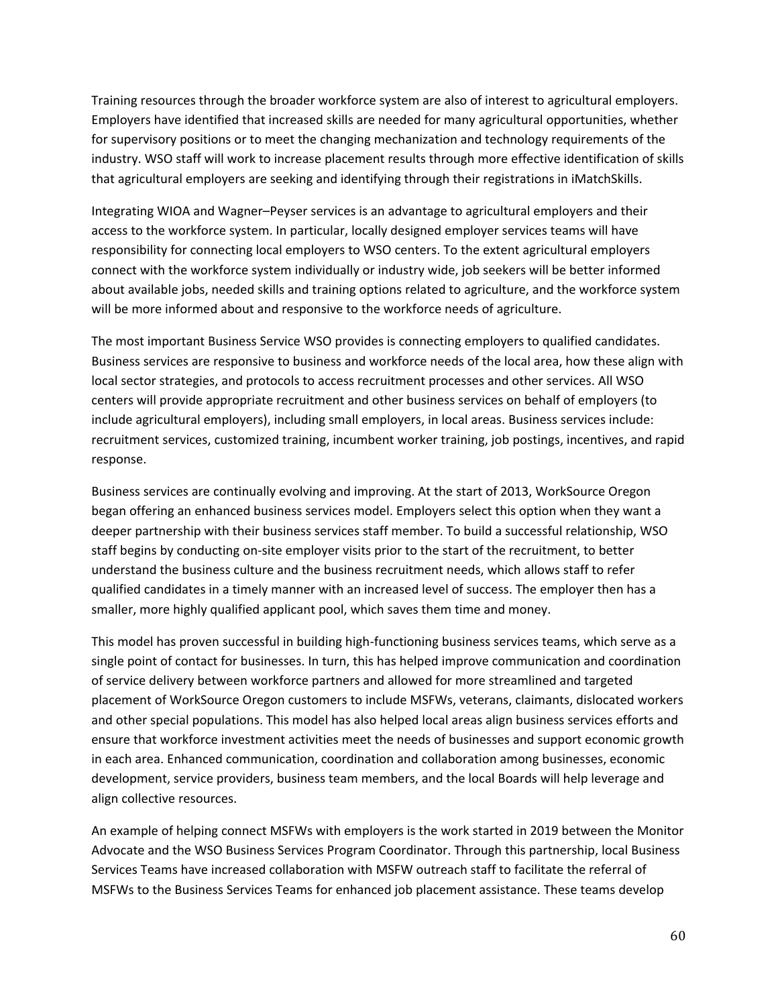Training resources through the broader workforce system are also of interest to agricultural employers. Employers have identified that increased skills are needed for many agricultural opportunities, whether for supervisory positions or to meet the changing mechanization and technology requirements of the industry. WSO staff will work to increase placement results through more effective identification of skills that agricultural employers are seeking and identifying through their registrations in iMatchSkills.

Integrating WIOA and Wagner–Peyser services is an advantage to agricultural employers and their access to the workforce system. In particular, locally designed employer services teams will have responsibility for connecting local employers to WSO centers. To the extent agricultural employers connect with the workforce system individually or industry wide, job seekers will be better informed about available jobs, needed skills and training options related to agriculture, and the workforce system will be more informed about and responsive to the workforce needs of agriculture.

The most important Business Service WSO provides is connecting employers to qualified candidates. Business services are responsive to business and workforce needs of the local area, how these align with local sector strategies, and protocols to access recruitment processes and other services. All WSO centers will provide appropriate recruitment and other business services on behalf of employers (to include agricultural employers), including small employers, in local areas. Business services include: recruitment services, customized training, incumbent worker training, job postings, incentives, and rapid response.

Business services are continually evolving and improving. At the start of 2013, WorkSource Oregon began offering an enhanced business services model. Employers select this option when they want a deeper partnership with their business services staff member. To build a successful relationship, WSO staff begins by conducting on-site employer visits prior to the start of the recruitment, to better understand the business culture and the business recruitment needs, which allows staff to refer qualified candidates in a timely manner with an increased level of success. The employer then has a smaller, more highly qualified applicant pool, which saves them time and money.

This model has proven successful in building high-functioning business services teams, which serve as a single point of contact for businesses. In turn, this has helped improve communication and coordination of service delivery between workforce partners and allowed for more streamlined and targeted placement of WorkSource Oregon customers to include MSFWs, veterans, claimants, dislocated workers and other special populations. This model has also helped local areas align business services efforts and ensure that workforce investment activities meet the needs of businesses and support economic growth in each area. Enhanced communication, coordination and collaboration among businesses, economic development, service providers, business team members, and the local Boards will help leverage and align collective resources.

An example of helping connect MSFWs with employers is the work started in 2019 between the Monitor Advocate and the WSO Business Services Program Coordinator. Through this partnership, local Business Services Teams have increased collaboration with MSFW outreach staff to facilitate the referral of MSFWs to the Business Services Teams for enhanced job placement assistance. These teams develop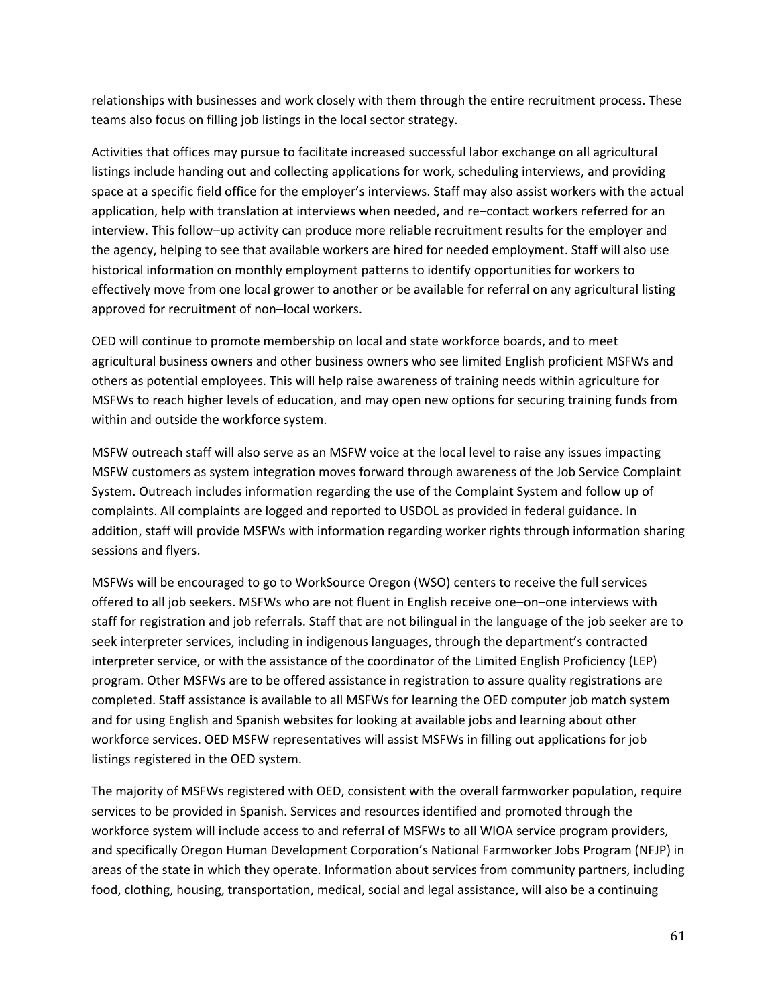relationships with businesses and work closely with them through the entire recruitment process. These teams also focus on filling job listings in the local sector strategy.

Activities that offices may pursue to facilitate increased successful labor exchange on all agricultural listings include handing out and collecting applications for work, scheduling interviews, and providing space at a specific field office for the employer's interviews. Staff may also assist workers with the actual application, help with translation at interviews when needed, and re–contact workers referred for an interview. This follow–up activity can produce more reliable recruitment results for the employer and the agency, helping to see that available workers are hired for needed employment. Staff will also use historical information on monthly employment patterns to identify opportunities for workers to effectively move from one local grower to another or be available for referral on any agricultural listing approved for recruitment of non–local workers.

OED will continue to promote membership on local and state workforce boards, and to meet agricultural business owners and other business owners who see limited English proficient MSFWs and others as potential employees. This will help raise awareness of training needs within agriculture for MSFWs to reach higher levels of education, and may open new options for securing training funds from within and outside the workforce system.

MSFW outreach staff will also serve as an MSFW voice at the local level to raise any issues impacting MSFW customers as system integration moves forward through awareness of the Job Service Complaint System. Outreach includes information regarding the use of the Complaint System and follow up of complaints. All complaints are logged and reported to USDOL as provided in federal guidance. In addition, staff will provide MSFWs with information regarding worker rights through information sharing sessions and flyers.

MSFWs will be encouraged to go to WorkSource Oregon (WSO) centers to receive the full services offered to all job seekers. MSFWs who are not fluent in English receive one–on–one interviews with staff for registration and job referrals. Staff that are not bilingual in the language of the job seeker are to seek interpreter services, including in indigenous languages, through the department's contracted interpreter service, or with the assistance of the coordinator of the Limited English Proficiency (LEP) program. Other MSFWs are to be offered assistance in registration to assure quality registrations are completed. Staff assistance is available to all MSFWs for learning the OED computer job match system and for using English and Spanish websites for looking at available jobs and learning about other workforce services. OED MSFW representatives will assist MSFWs in filling out applications for job listings registered in the OED system.

The majority of MSFWs registered with OED, consistent with the overall farmworker population, require services to be provided in Spanish. Services and resources identified and promoted through the workforce system will include access to and referral of MSFWs to all WIOA service program providers, and specifically Oregon Human Development Corporation's National Farmworker Jobs Program (NFJP) in areas of the state in which they operate. Information about services from community partners, including food, clothing, housing, transportation, medical, social and legal assistance, will also be a continuing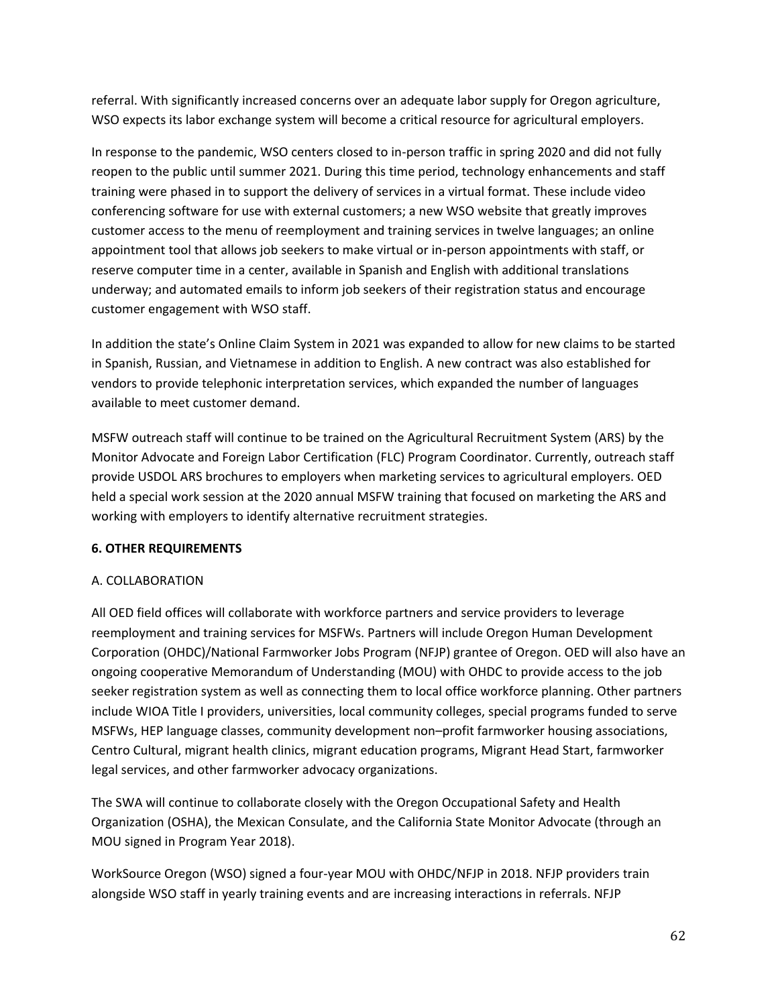referral. With significantly increased concerns over an adequate labor supply for Oregon agriculture, WSO expects its labor exchange system will become a critical resource for agricultural employers.

In response to the pandemic, WSO centers closed to in-person traffic in spring 2020 and did not fully reopen to the public until summer 2021. During this time period, technology enhancements and staff training were phased in to support the delivery of services in a virtual format. These include video conferencing software for use with external customers; a new WSO website that greatly improves customer access to the menu of reemployment and training services in twelve languages; an online appointment tool that allows job seekers to make virtual or in-person appointments with staff, or reserve computer time in a center, available in Spanish and English with additional translations underway; and automated emails to inform job seekers of their registration status and encourage customer engagement with WSO staff.

In addition the state's Online Claim System in 2021 was expanded to allow for new claims to be started in Spanish, Russian, and Vietnamese in addition to English. A new contract was also established for vendors to provide telephonic interpretation services, which expanded the number of languages available to meet customer demand.

MSFW outreach staff will continue to be trained on the Agricultural Recruitment System (ARS) by the Monitor Advocate and Foreign Labor Certification (FLC) Program Coordinator. Currently, outreach staff provide USDOL ARS brochures to employers when marketing services to agricultural employers. OED held a special work session at the 2020 annual MSFW training that focused on marketing the ARS and working with employers to identify alternative recruitment strategies.

# **6. OTHER REQUIREMENTS**

# A. COLLABORATION

All OED field offices will collaborate with workforce partners and service providers to leverage reemployment and training services for MSFWs. Partners will include Oregon Human Development Corporation (OHDC)/National Farmworker Jobs Program (NFJP) grantee of Oregon. OED will also have an ongoing cooperative Memorandum of Understanding (MOU) with OHDC to provide access to the job seeker registration system as well as connecting them to local office workforce planning. Other partners include WIOA Title I providers, universities, local community colleges, special programs funded to serve MSFWs, HEP language classes, community development non–profit farmworker housing associations, Centro Cultural, migrant health clinics, migrant education programs, Migrant Head Start, farmworker legal services, and other farmworker advocacy organizations.

The SWA will continue to collaborate closely with the Oregon Occupational Safety and Health Organization (OSHA), the Mexican Consulate, and the California State Monitor Advocate (through an MOU signed in Program Year 2018).

WorkSource Oregon (WSO) signed a four-year MOU with OHDC/NFJP in 2018. NFJP providers train alongside WSO staff in yearly training events and are increasing interactions in referrals. NFJP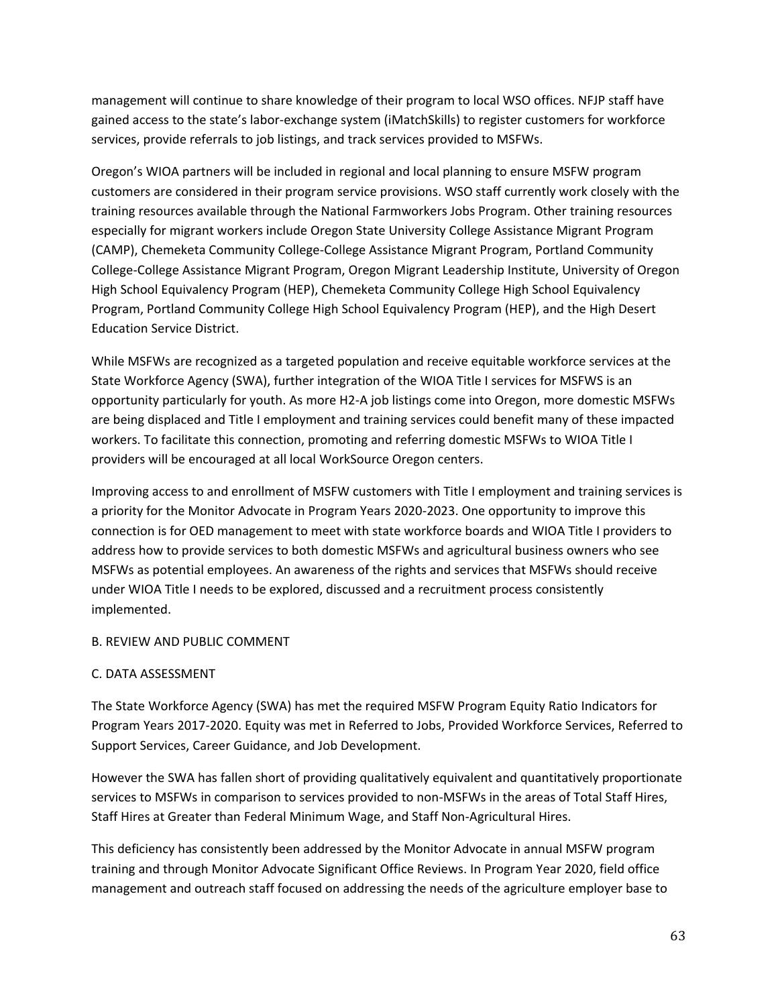management will continue to share knowledge of their program to local WSO offices. NFJP staff have gained access to the state's labor-exchange system (iMatchSkills) to register customers for workforce services, provide referrals to job listings, and track services provided to MSFWs.

Oregon's WIOA partners will be included in regional and local planning to ensure MSFW program customers are considered in their program service provisions. WSO staff currently work closely with the training resources available through the National Farmworkers Jobs Program. Other training resources especially for migrant workers include Oregon State University College Assistance Migrant Program (CAMP), Chemeketa Community College-College Assistance Migrant Program, Portland Community College-College Assistance Migrant Program, Oregon Migrant Leadership Institute, University of Oregon High School Equivalency Program (HEP), Chemeketa Community College High School Equivalency Program, Portland Community College High School Equivalency Program (HEP), and the High Desert Education Service District.

While MSFWs are recognized as a targeted population and receive equitable workforce services at the State Workforce Agency (SWA), further integration of the WIOA Title I services for MSFWS is an opportunity particularly for youth. As more H2-A job listings come into Oregon, more domestic MSFWs are being displaced and Title I employment and training services could benefit many of these impacted workers. To facilitate this connection, promoting and referring domestic MSFWs to WIOA Title I providers will be encouraged at all local WorkSource Oregon centers.

Improving access to and enrollment of MSFW customers with Title I employment and training services is a priority for the Monitor Advocate in Program Years 2020-2023. One opportunity to improve this connection is for OED management to meet with state workforce boards and WIOA Title I providers to address how to provide services to both domestic MSFWs and agricultural business owners who see MSFWs as potential employees. An awareness of the rights and services that MSFWs should receive under WIOA Title I needs to be explored, discussed and a recruitment process consistently implemented.

### B. REVIEW AND PUBLIC COMMENT

### C. DATA ASSESSMENT

The State Workforce Agency (SWA) has met the required MSFW Program Equity Ratio Indicators for Program Years 2017-2020. Equity was met in Referred to Jobs, Provided Workforce Services, Referred to Support Services, Career Guidance, and Job Development.

However the SWA has fallen short of providing qualitatively equivalent and quantitatively proportionate services to MSFWs in comparison to services provided to non-MSFWs in the areas of Total Staff Hires, Staff Hires at Greater than Federal Minimum Wage, and Staff Non-Agricultural Hires.

This deficiency has consistently been addressed by the Monitor Advocate in annual MSFW program training and through Monitor Advocate Significant Office Reviews. In Program Year 2020, field office management and outreach staff focused on addressing the needs of the agriculture employer base to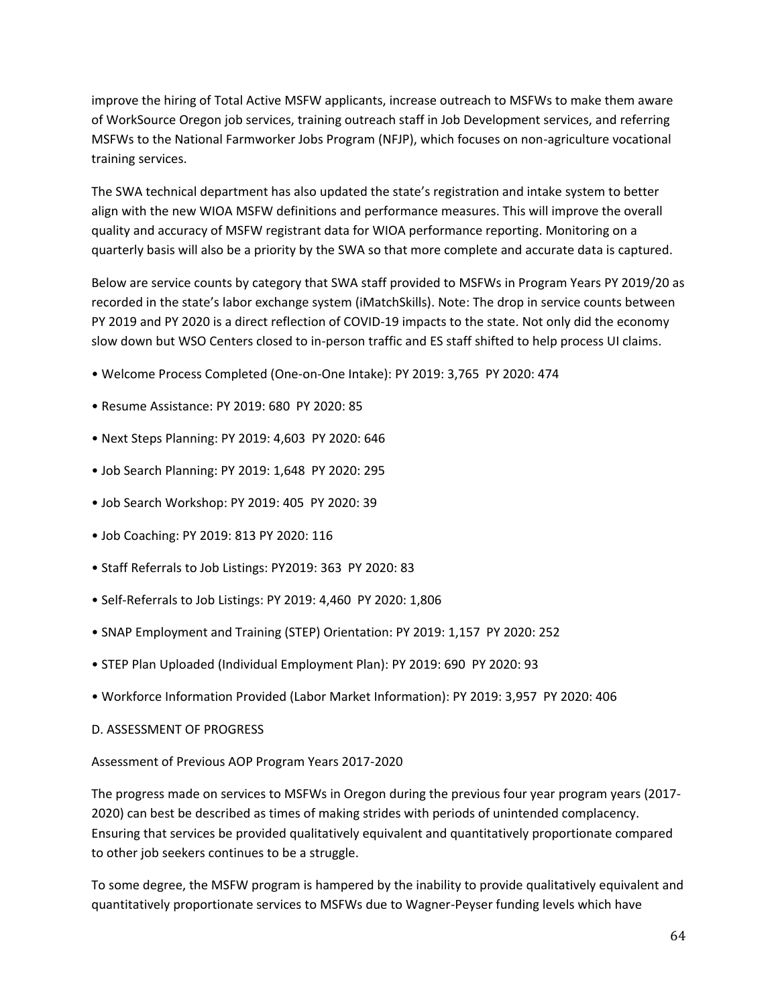improve the hiring of Total Active MSFW applicants, increase outreach to MSFWs to make them aware of WorkSource Oregon job services, training outreach staff in Job Development services, and referring MSFWs to the National Farmworker Jobs Program (NFJP), which focuses on non-agriculture vocational training services.

The SWA technical department has also updated the state's registration and intake system to better align with the new WIOA MSFW definitions and performance measures. This will improve the overall quality and accuracy of MSFW registrant data for WIOA performance reporting. Monitoring on a quarterly basis will also be a priority by the SWA so that more complete and accurate data is captured.

Below are service counts by category that SWA staff provided to MSFWs in Program Years PY 2019/20 as recorded in the state's labor exchange system (iMatchSkills). Note: The drop in service counts between PY 2019 and PY 2020 is a direct reflection of COVID-19 impacts to the state. Not only did the economy slow down but WSO Centers closed to in-person traffic and ES staff shifted to help process UI claims.

- Welcome Process Completed (One-on-One Intake): PY 2019: 3,765 PY 2020: 474
- Resume Assistance: PY 2019: 680 PY 2020: 85
- Next Steps Planning: PY 2019: 4,603 PY 2020: 646
- Job Search Planning: PY 2019: 1,648 PY 2020: 295
- Job Search Workshop: PY 2019: 405 PY 2020: 39
- Job Coaching: PY 2019: 813 PY 2020: 116
- Staff Referrals to Job Listings: PY2019: 363 PY 2020: 83
- Self-Referrals to Job Listings: PY 2019: 4,460 PY 2020: 1,806
- SNAP Employment and Training (STEP) Orientation: PY 2019: 1,157 PY 2020: 252
- STEP Plan Uploaded (Individual Employment Plan): PY 2019: 690 PY 2020: 93
- Workforce Information Provided (Labor Market Information): PY 2019: 3,957 PY 2020: 406
- D. ASSESSMENT OF PROGRESS

Assessment of Previous AOP Program Years 2017-2020

The progress made on services to MSFWs in Oregon during the previous four year program years (2017- 2020) can best be described as times of making strides with periods of unintended complacency. Ensuring that services be provided qualitatively equivalent and quantitatively proportionate compared to other job seekers continues to be a struggle.

To some degree, the MSFW program is hampered by the inability to provide qualitatively equivalent and quantitatively proportionate services to MSFWs due to Wagner-Peyser funding levels which have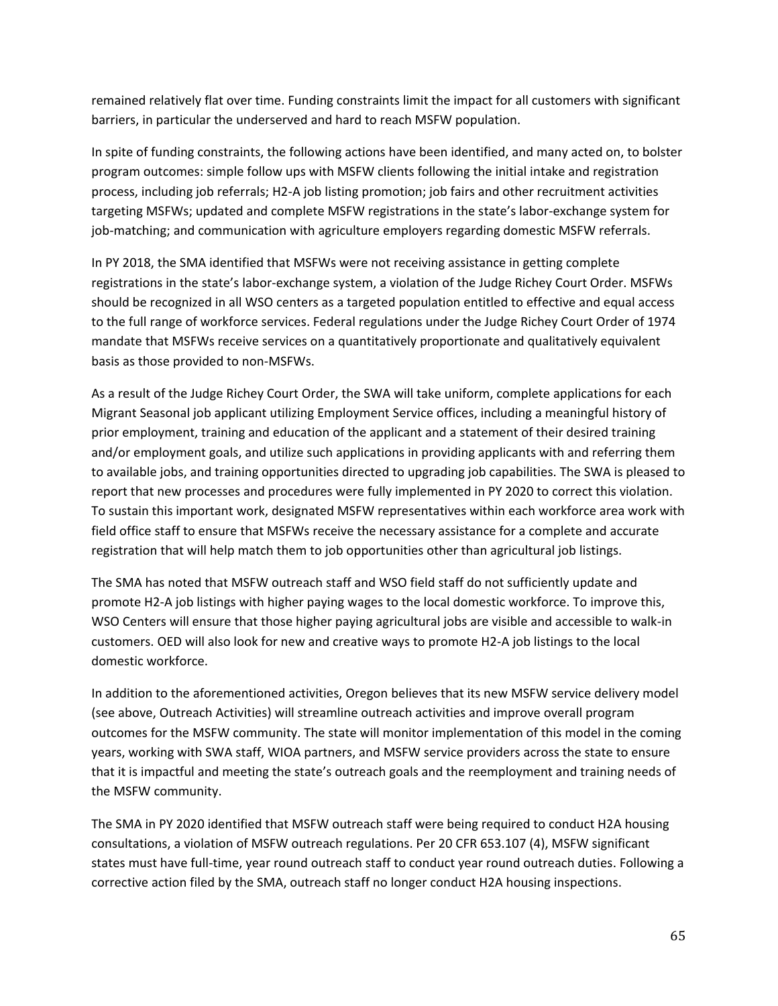remained relatively flat over time. Funding constraints limit the impact for all customers with significant barriers, in particular the underserved and hard to reach MSFW population.

In spite of funding constraints, the following actions have been identified, and many acted on, to bolster program outcomes: simple follow ups with MSFW clients following the initial intake and registration process, including job referrals; H2-A job listing promotion; job fairs and other recruitment activities targeting MSFWs; updated and complete MSFW registrations in the state's labor-exchange system for job-matching; and communication with agriculture employers regarding domestic MSFW referrals.

In PY 2018, the SMA identified that MSFWs were not receiving assistance in getting complete registrations in the state's labor-exchange system, a violation of the Judge Richey Court Order. MSFWs should be recognized in all WSO centers as a targeted population entitled to effective and equal access to the full range of workforce services. Federal regulations under the Judge Richey Court Order of 1974 mandate that MSFWs receive services on a quantitatively proportionate and qualitatively equivalent basis as those provided to non-MSFWs.

As a result of the Judge Richey Court Order, the SWA will take uniform, complete applications for each Migrant Seasonal job applicant utilizing Employment Service offices, including a meaningful history of prior employment, training and education of the applicant and a statement of their desired training and/or employment goals, and utilize such applications in providing applicants with and referring them to available jobs, and training opportunities directed to upgrading job capabilities. The SWA is pleased to report that new processes and procedures were fully implemented in PY 2020 to correct this violation. To sustain this important work, designated MSFW representatives within each workforce area work with field office staff to ensure that MSFWs receive the necessary assistance for a complete and accurate registration that will help match them to job opportunities other than agricultural job listings.

The SMA has noted that MSFW outreach staff and WSO field staff do not sufficiently update and promote H2-A job listings with higher paying wages to the local domestic workforce. To improve this, WSO Centers will ensure that those higher paying agricultural jobs are visible and accessible to walk-in customers. OED will also look for new and creative ways to promote H2-A job listings to the local domestic workforce.

In addition to the aforementioned activities, Oregon believes that its new MSFW service delivery model (see above, Outreach Activities) will streamline outreach activities and improve overall program outcomes for the MSFW community. The state will monitor implementation of this model in the coming years, working with SWA staff, WIOA partners, and MSFW service providers across the state to ensure that it is impactful and meeting the state's outreach goals and the reemployment and training needs of the MSFW community.

The SMA in PY 2020 identified that MSFW outreach staff were being required to conduct H2A housing consultations, a violation of MSFW outreach regulations. Per 20 CFR 653.107 (4), MSFW significant states must have full-time, year round outreach staff to conduct year round outreach duties. Following a corrective action filed by the SMA, outreach staff no longer conduct H2A housing inspections.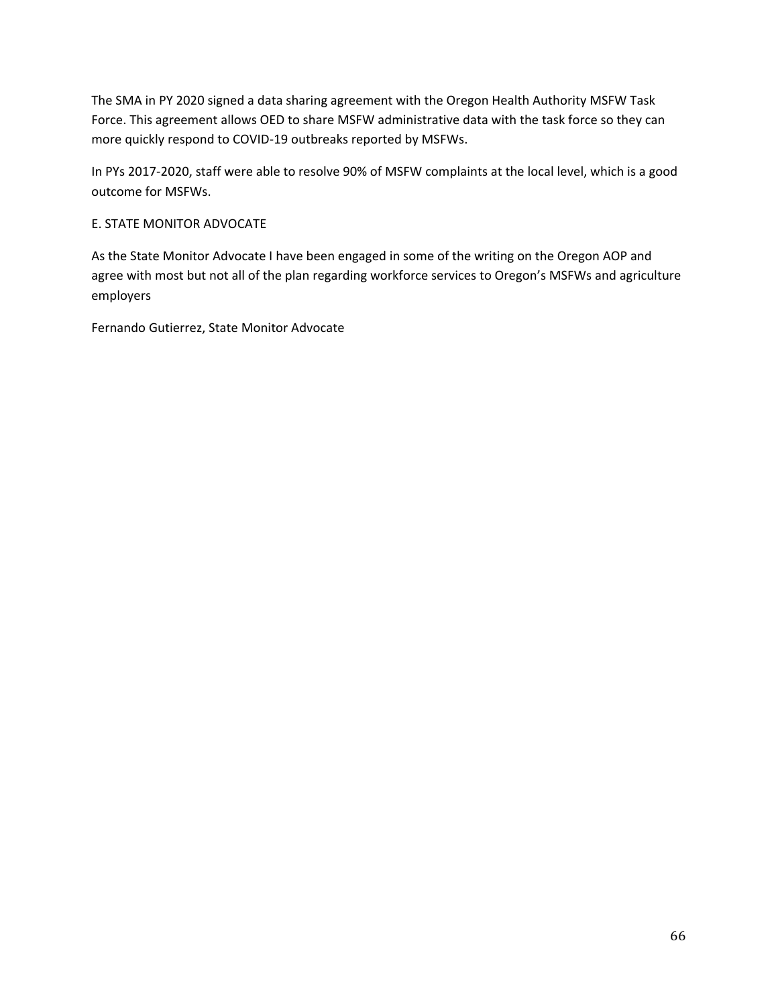The SMA in PY 2020 signed a data sharing agreement with the Oregon Health Authority MSFW Task Force. This agreement allows OED to share MSFW administrative data with the task force so they can more quickly respond to COVID-19 outbreaks reported by MSFWs.

In PYs 2017-2020, staff were able to resolve 90% of MSFW complaints at the local level, which is a good outcome for MSFWs.

### E. STATE MONITOR ADVOCATE

As the State Monitor Advocate I have been engaged in some of the writing on the Oregon AOP and agree with most but not all of the plan regarding workforce services to Oregon's MSFWs and agriculture employers

Fernando Gutierrez, State Monitor Advocate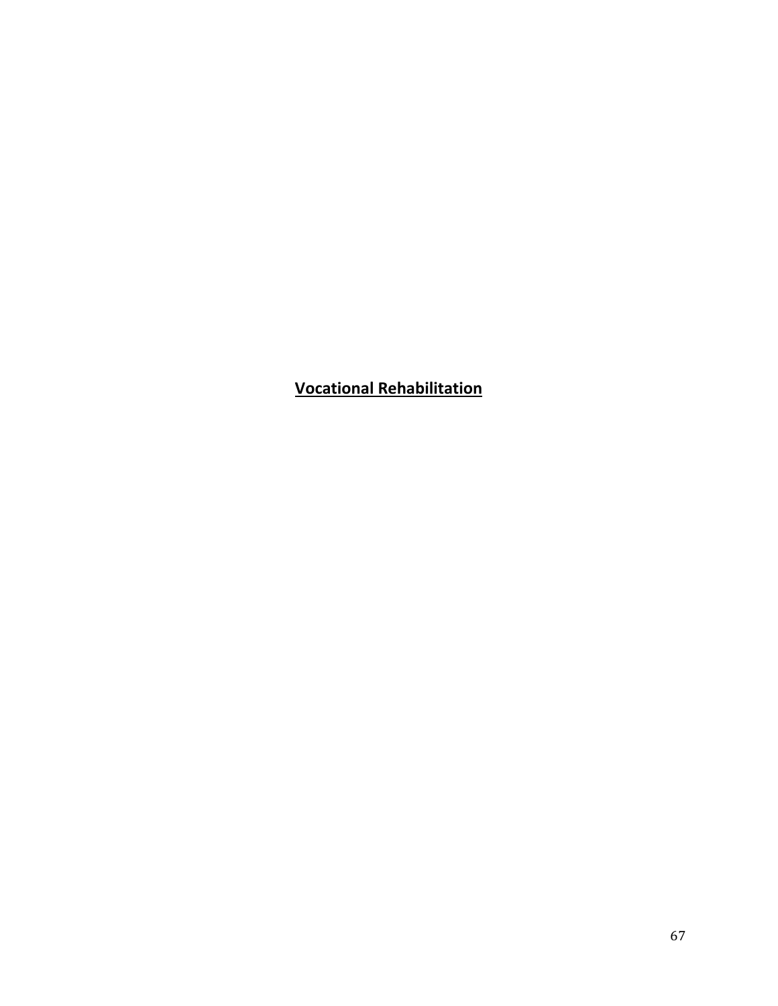**Vocational Rehabilitation**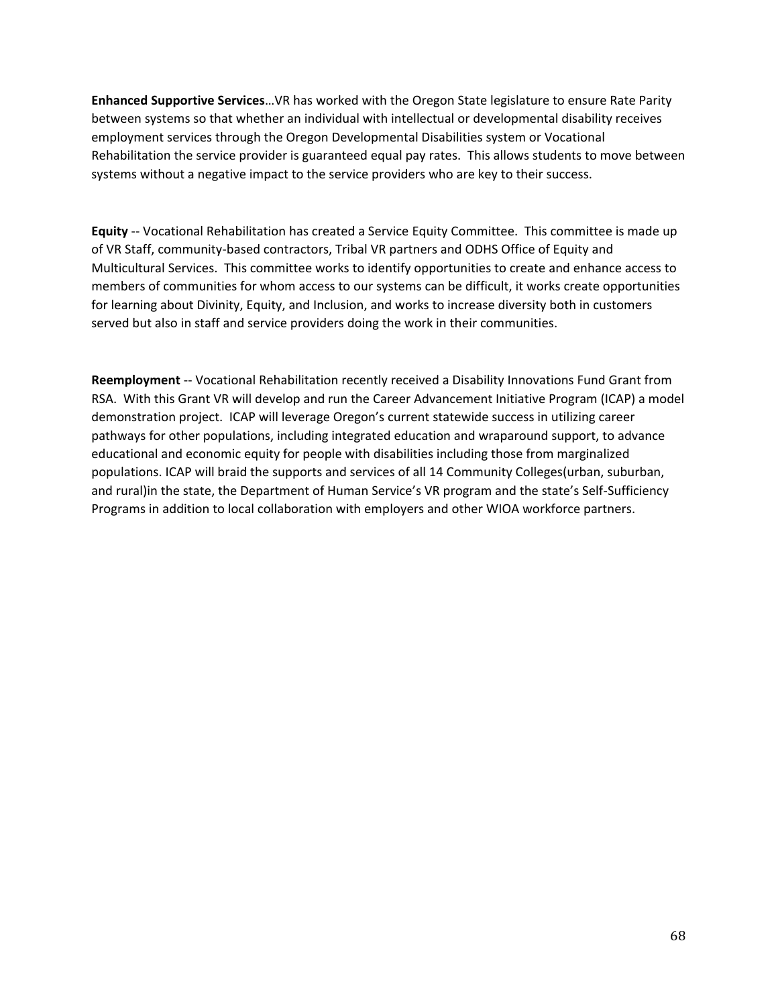**Enhanced Supportive Services**…VR has worked with the Oregon State legislature to ensure Rate Parity between systems so that whether an individual with intellectual or developmental disability receives employment services through the Oregon Developmental Disabilities system or Vocational Rehabilitation the service provider is guaranteed equal pay rates. This allows students to move between systems without a negative impact to the service providers who are key to their success.

**Equity** -- Vocational Rehabilitation has created a Service Equity Committee. This committee is made up of VR Staff, community-based contractors, Tribal VR partners and ODHS Office of Equity and Multicultural Services. This committee works to identify opportunities to create and enhance access to members of communities for whom access to our systems can be difficult, it works create opportunities for learning about Divinity, Equity, and Inclusion, and works to increase diversity both in customers served but also in staff and service providers doing the work in their communities.

**Reemployment** -- Vocational Rehabilitation recently received a Disability Innovations Fund Grant from RSA. With this Grant VR will develop and run the Career Advancement Initiative Program (ICAP) a model demonstration project. ICAP will leverage Oregon's current statewide success in utilizing career pathways for other populations, including integrated education and wraparound support, to advance educational and economic equity for people with disabilities including those from marginalized populations. ICAP will braid the supports and services of all 14 Community Colleges(urban, suburban, and rural)in the state, the Department of Human Service's VR program and the state's Self-Sufficiency Programs in addition to local collaboration with employers and other WIOA workforce partners.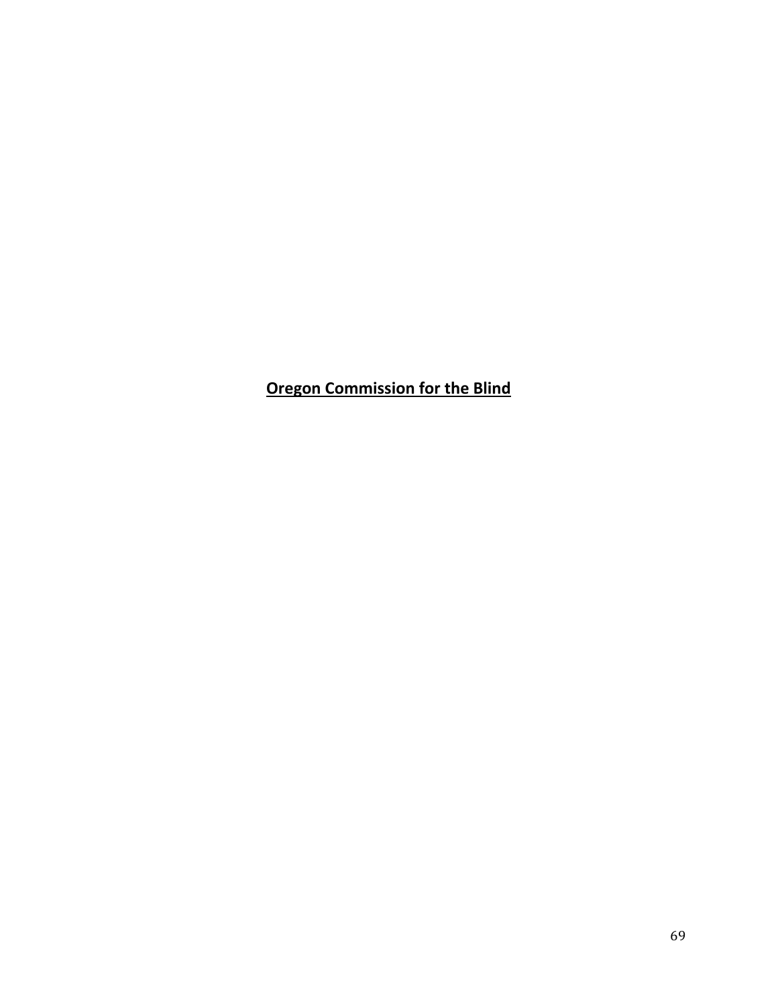**Oregon Commission for the Blind**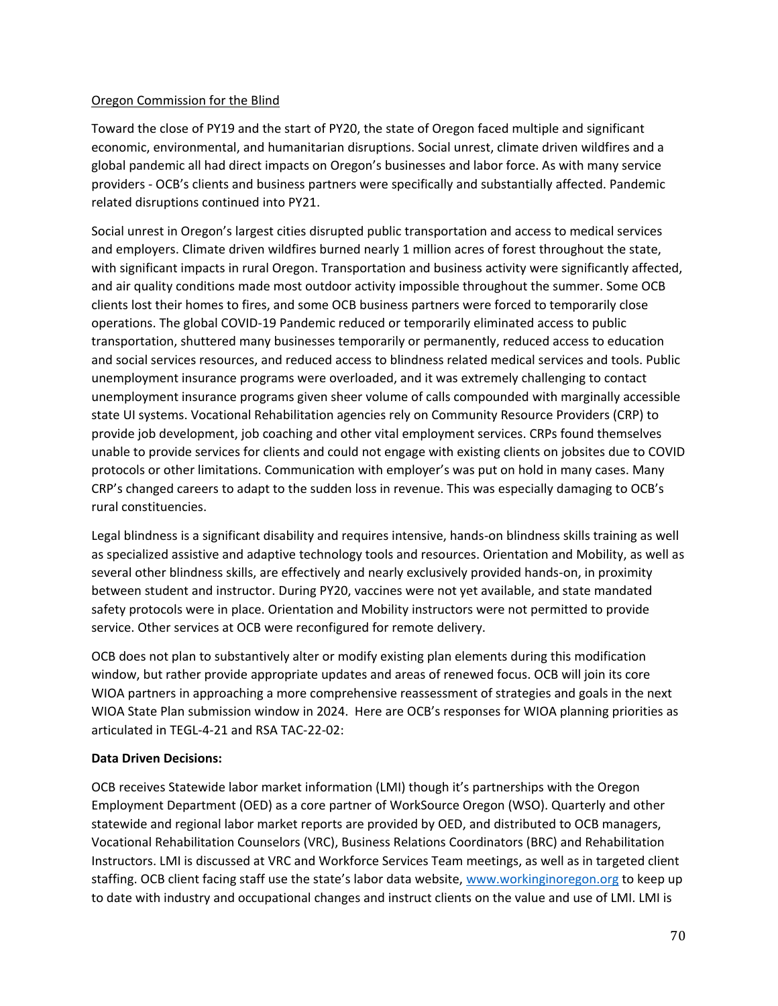### Oregon Commission for the Blind

Toward the close of PY19 and the start of PY20, the state of Oregon faced multiple and significant economic, environmental, and humanitarian disruptions. Social unrest, climate driven wildfires and a global pandemic all had direct impacts on Oregon's businesses and labor force. As with many service providers - OCB's clients and business partners were specifically and substantially affected. Pandemic related disruptions continued into PY21.

Social unrest in Oregon's largest cities disrupted public transportation and access to medical services and employers. Climate driven wildfires burned nearly 1 million acres of forest throughout the state, with significant impacts in rural Oregon. Transportation and business activity were significantly affected, and air quality conditions made most outdoor activity impossible throughout the summer. Some OCB clients lost their homes to fires, and some OCB business partners were forced to temporarily close operations. The global COVID-19 Pandemic reduced or temporarily eliminated access to public transportation, shuttered many businesses temporarily or permanently, reduced access to education and social services resources, and reduced access to blindness related medical services and tools. Public unemployment insurance programs were overloaded, and it was extremely challenging to contact unemployment insurance programs given sheer volume of calls compounded with marginally accessible state UI systems. Vocational Rehabilitation agencies rely on Community Resource Providers (CRP) to provide job development, job coaching and other vital employment services. CRPs found themselves unable to provide services for clients and could not engage with existing clients on jobsites due to COVID protocols or other limitations. Communication with employer's was put on hold in many cases. Many CRP's changed careers to adapt to the sudden loss in revenue. This was especially damaging to OCB's rural constituencies.

Legal blindness is a significant disability and requires intensive, hands-on blindness skills training as well as specialized assistive and adaptive technology tools and resources. Orientation and Mobility, as well as several other blindness skills, are effectively and nearly exclusively provided hands-on, in proximity between student and instructor. During PY20, vaccines were not yet available, and state mandated safety protocols were in place. Orientation and Mobility instructors were not permitted to provide service. Other services at OCB were reconfigured for remote delivery.

OCB does not plan to substantively alter or modify existing plan elements during this modification window, but rather provide appropriate updates and areas of renewed focus. OCB will join its core WIOA partners in approaching a more comprehensive reassessment of strategies and goals in the next WIOA State Plan submission window in 2024. Here are OCB's responses for WIOA planning priorities as articulated in TEGL-4-21 and RSA TAC-22-02:

# **Data Driven Decisions:**

OCB receives Statewide labor market information (LMI) though it's partnerships with the Oregon Employment Department (OED) as a core partner of WorkSource Oregon (WSO). Quarterly and other statewide and regional labor market reports are provided by OED, and distributed to OCB managers, Vocational Rehabilitation Counselors (VRC), Business Relations Coordinators (BRC) and Rehabilitation Instructors. LMI is discussed at VRC and Workforce Services Team meetings, as well as in targeted client staffing. OCB client facing staff use the state's labor data website, [www.workinginoregon.org](http://www.workinginoregon.org/) to keep up to date with industry and occupational changes and instruct clients on the value and use of LMI. LMI is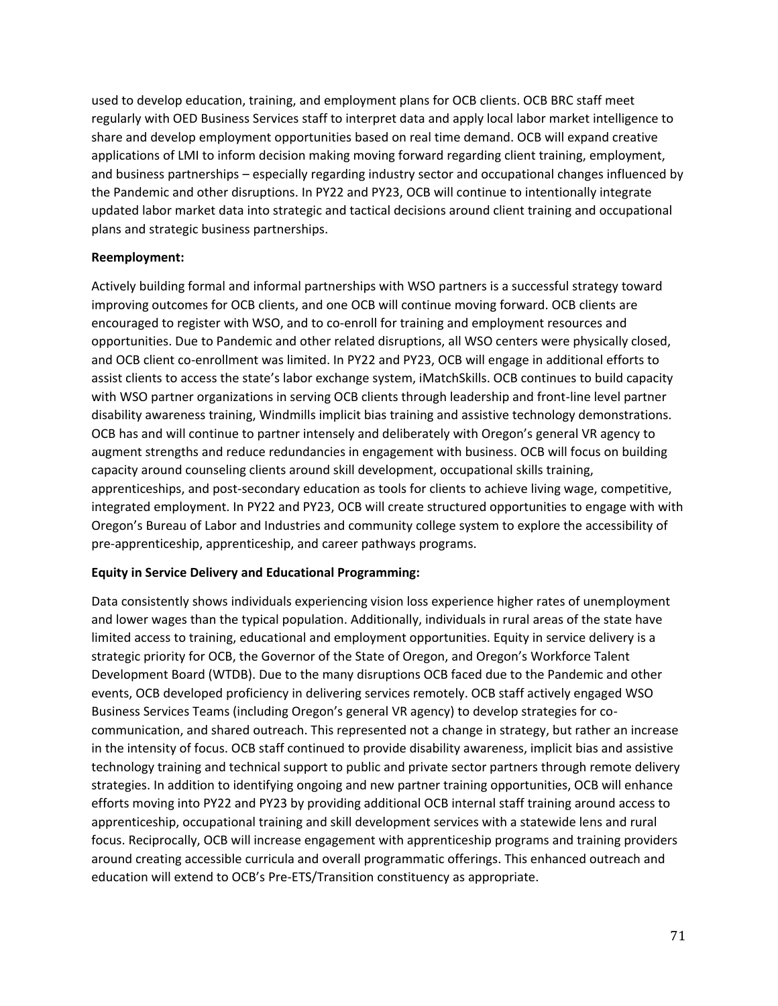used to develop education, training, and employment plans for OCB clients. OCB BRC staff meet regularly with OED Business Services staff to interpret data and apply local labor market intelligence to share and develop employment opportunities based on real time demand. OCB will expand creative applications of LMI to inform decision making moving forward regarding client training, employment, and business partnerships – especially regarding industry sector and occupational changes influenced by the Pandemic and other disruptions. In PY22 and PY23, OCB will continue to intentionally integrate updated labor market data into strategic and tactical decisions around client training and occupational plans and strategic business partnerships.

### **Reemployment:**

Actively building formal and informal partnerships with WSO partners is a successful strategy toward improving outcomes for OCB clients, and one OCB will continue moving forward. OCB clients are encouraged to register with WSO, and to co-enroll for training and employment resources and opportunities. Due to Pandemic and other related disruptions, all WSO centers were physically closed, and OCB client co-enrollment was limited. In PY22 and PY23, OCB will engage in additional efforts to assist clients to access the state's labor exchange system, iMatchSkills. OCB continues to build capacity with WSO partner organizations in serving OCB clients through leadership and front-line level partner disability awareness training, Windmills implicit bias training and assistive technology demonstrations. OCB has and will continue to partner intensely and deliberately with Oregon's general VR agency to augment strengths and reduce redundancies in engagement with business. OCB will focus on building capacity around counseling clients around skill development, occupational skills training, apprenticeships, and post-secondary education as tools for clients to achieve living wage, competitive, integrated employment. In PY22 and PY23, OCB will create structured opportunities to engage with with Oregon's Bureau of Labor and Industries and community college system to explore the accessibility of pre-apprenticeship, apprenticeship, and career pathways programs.

### **Equity in Service Delivery and Educational Programming:**

Data consistently shows individuals experiencing vision loss experience higher rates of unemployment and lower wages than the typical population. Additionally, individuals in rural areas of the state have limited access to training, educational and employment opportunities. Equity in service delivery is a strategic priority for OCB, the Governor of the State of Oregon, and Oregon's Workforce Talent Development Board (WTDB). Due to the many disruptions OCB faced due to the Pandemic and other events, OCB developed proficiency in delivering services remotely. OCB staff actively engaged WSO Business Services Teams (including Oregon's general VR agency) to develop strategies for cocommunication, and shared outreach. This represented not a change in strategy, but rather an increase in the intensity of focus. OCB staff continued to provide disability awareness, implicit bias and assistive technology training and technical support to public and private sector partners through remote delivery strategies. In addition to identifying ongoing and new partner training opportunities, OCB will enhance efforts moving into PY22 and PY23 by providing additional OCB internal staff training around access to apprenticeship, occupational training and skill development services with a statewide lens and rural focus. Reciprocally, OCB will increase engagement with apprenticeship programs and training providers around creating accessible curricula and overall programmatic offerings. This enhanced outreach and education will extend to OCB's Pre-ETS/Transition constituency as appropriate.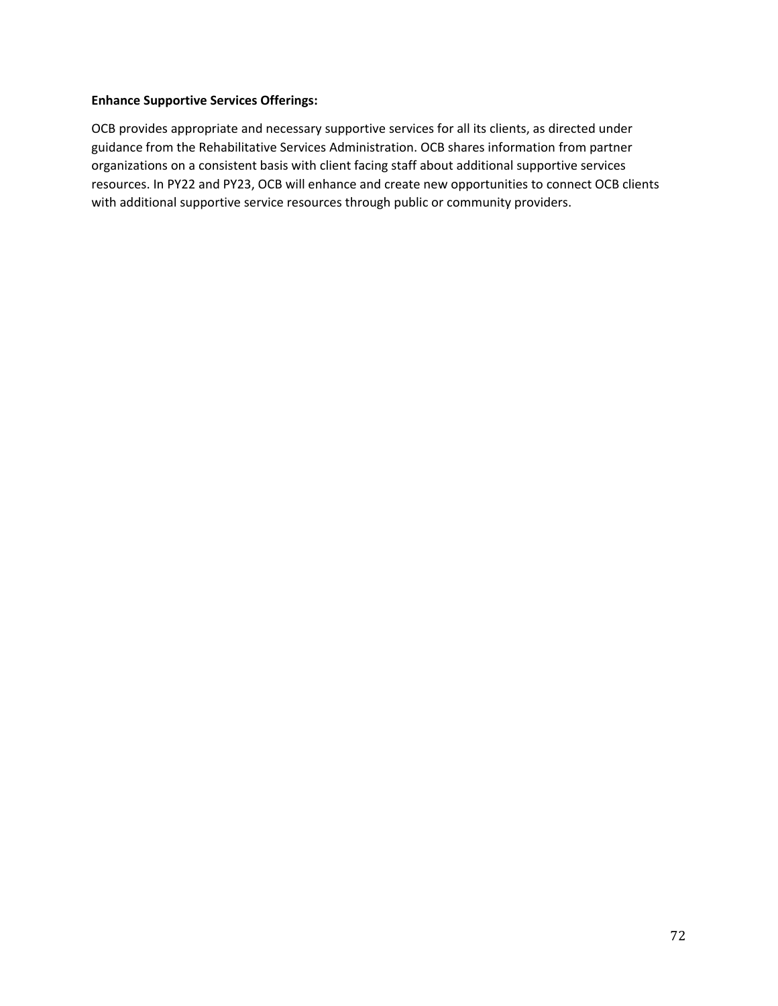### **Enhance Supportive Services Offerings:**

OCB provides appropriate and necessary supportive services for all its clients, as directed under guidance from the Rehabilitative Services Administration. OCB shares information from partner organizations on a consistent basis with client facing staff about additional supportive services resources. In PY22 and PY23, OCB will enhance and create new opportunities to connect OCB clients with additional supportive service resources through public or community providers.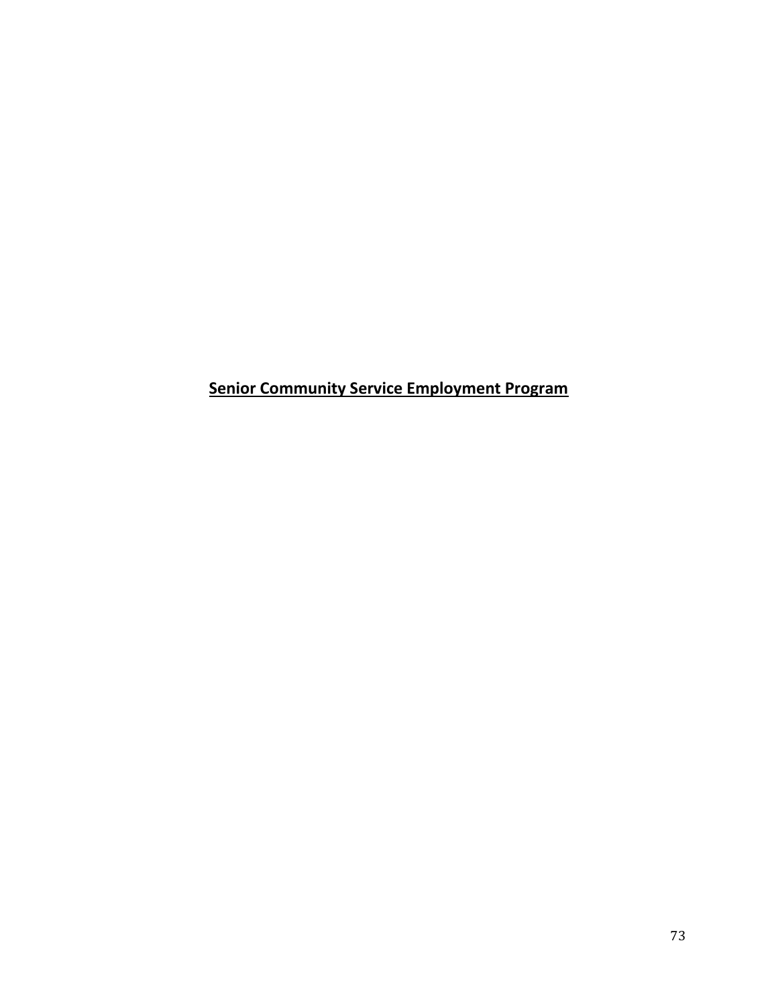**Senior Community Service Employment Program**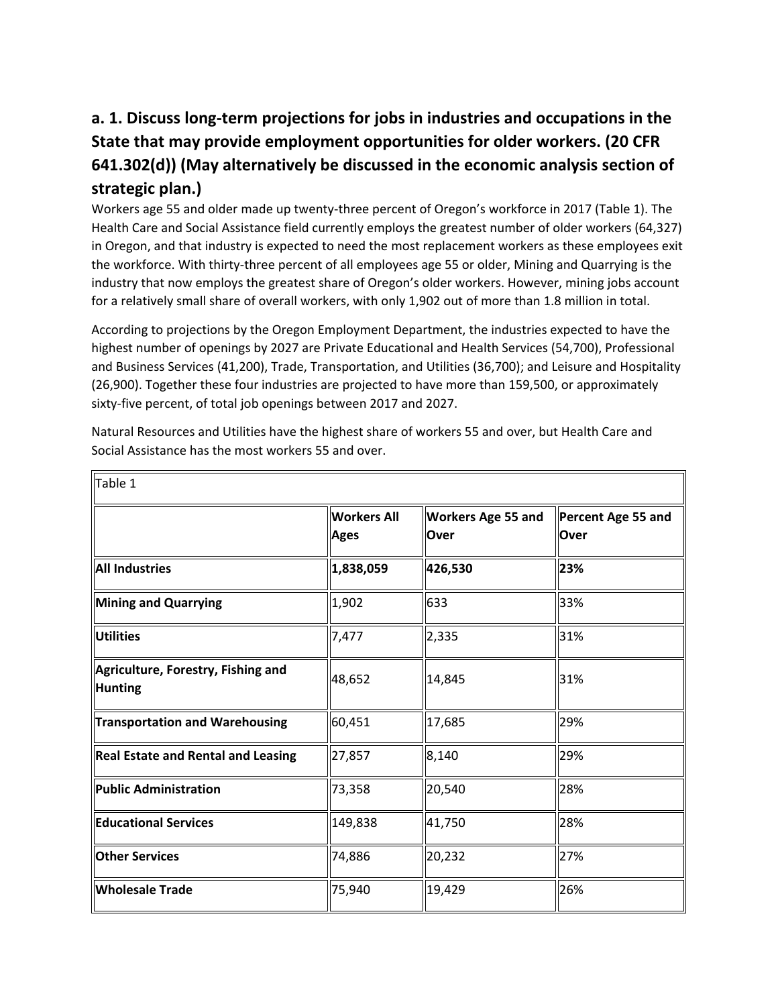# **a. 1. Discuss long-term projections for jobs in industries and occupations in the State that may provide employment opportunities for older workers. (20 CFR 641.302(d)) (May alternatively be discussed in the economic analysis section of strategic plan.)**

Workers age 55 and older made up twenty-three percent of Oregon's workforce in 2017 (Table 1). The Health Care and Social Assistance field currently employs the greatest number of older workers (64,327) in Oregon, and that industry is expected to need the most replacement workers as these employees exit the workforce. With thirty-three percent of all employees age 55 or older, Mining and Quarrying is the industry that now employs the greatest share of Oregon's older workers. However, mining jobs account for a relatively small share of overall workers, with only 1,902 out of more than 1.8 million in total.

According to projections by the Oregon Employment Department, the industries expected to have the highest number of openings by 2027 are Private Educational and Health Services (54,700), Professional and Business Services (41,200), Trade, Transportation, and Utilities (36,700); and Leisure and Hospitality (26,900). Together these four industries are projected to have more than 159,500, or approximately sixty-five percent, of total job openings between 2017 and 2027.

| Table 1                                       |                                   |                                          |                                   |  |
|-----------------------------------------------|-----------------------------------|------------------------------------------|-----------------------------------|--|
|                                               | <b>Workers All</b><br><b>Ages</b> | <b>Workers Age 55 and</b><br><b>Over</b> | Percent Age 55 and<br><b>Over</b> |  |
| All Industries                                | 1,838,059                         | 426,530                                  | 23%                               |  |
| Mining and Quarrying                          | 1,902                             | 633                                      | 33%                               |  |
|                                               | 7,477                             | 2,335                                    | 31%                               |  |
| Agriculture, Forestry, Fishing and<br>Hunting | 48,652                            | 14,845                                   | 31%                               |  |
| Transportation and Warehousing                | 60,451                            | 17,685                                   | 29%                               |  |
| Real Estate and Rental and Leasing            | 27,857                            | 8,140                                    | 29%                               |  |
| Public Administration                         | 73,358                            | 20,540                                   | 28%                               |  |
| <b>Educational Services</b>                   | 149,838                           | 41,750                                   | 28%                               |  |
| <b>Other Services</b>                         | 74,886                            | 20,232                                   | 27%                               |  |
| <b>Wholesale Trade</b>                        | 75,940                            | 19,429                                   | 26%                               |  |

Natural Resources and Utilities have the highest share of workers 55 and over, but Health Care and Social Assistance has the most workers 55 and over.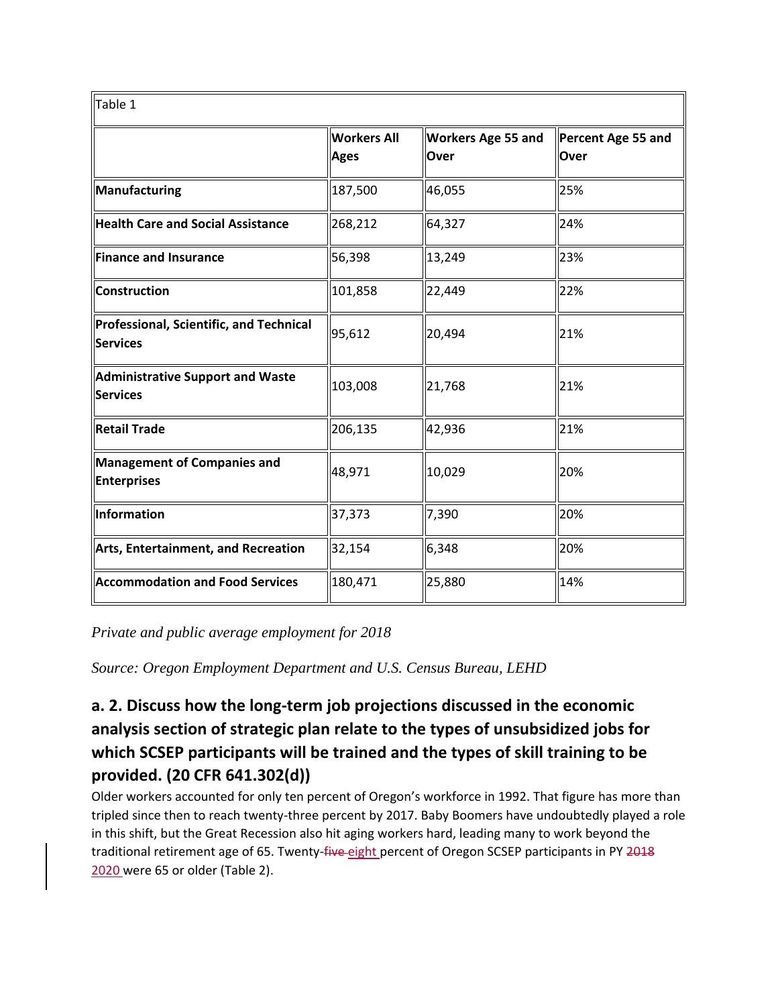| Table 1                                             |                                   |                                          |                            |  |
|-----------------------------------------------------|-----------------------------------|------------------------------------------|----------------------------|--|
|                                                     | <b>Workers All</b><br><b>Ages</b> | <b>Workers Age 55 and</b><br><b>Over</b> | Percent Age 55 and<br>Over |  |
| Manufacturing                                       | 187,500                           | 46,055                                   | 25%                        |  |
| Health Care and Social Assistance                   | 268,212                           | 64,327                                   | 24%                        |  |
| Finance and Insurance                               | 56,398                            | 13,249                                   | 23%                        |  |
| Construction                                        | 101,858                           | 22,449                                   | 22%                        |  |
| Professional, Scientific, and Technical<br>Services | 95,612                            | 20,494                                   | 21%                        |  |
| Administrative Support and Waste<br>Services        | 103,008                           | 21,768                                   | 21%                        |  |
| Retail Trade                                        | 206,135                           | 42,936                                   | 21%                        |  |
| Management of Companies and<br>Enterprises          | 48,971                            | 10,029                                   | 20%                        |  |
| Information                                         | 37,373                            | 7,390                                    | 20%                        |  |
| Arts, Entertainment, and Recreation                 | 32,154                            | 6,348                                    | 20%                        |  |
| <b>Accommodation and Food Services</b>              | 180,471                           | 25,880                                   | 14%                        |  |

*Private and public average employment for 2018*

*Source: Oregon Employment Department and U.S. Census Bureau, LEHD*

# **a. 2. Discuss how the long-term job projections discussed in the economic analysis section of strategic plan relate to the types of unsubsidized jobs for which SCSEP participants will be trained and the types of skill training to be provided. (20 CFR 641.302(d))**

Older workers accounted for only ten percent of Oregon's workforce in 1992. That figure has more than tripled since then to reach twenty-three percent by 2017. Baby Boomers have undoubtedly played a role in this shift, but the Great Recession also hit aging workers hard, leading many to work beyond the traditional retirement age of 65. Twenty-five eight percent of Oregon SCSEP participants in PY 2018 2020 were 65 or older (Table 2).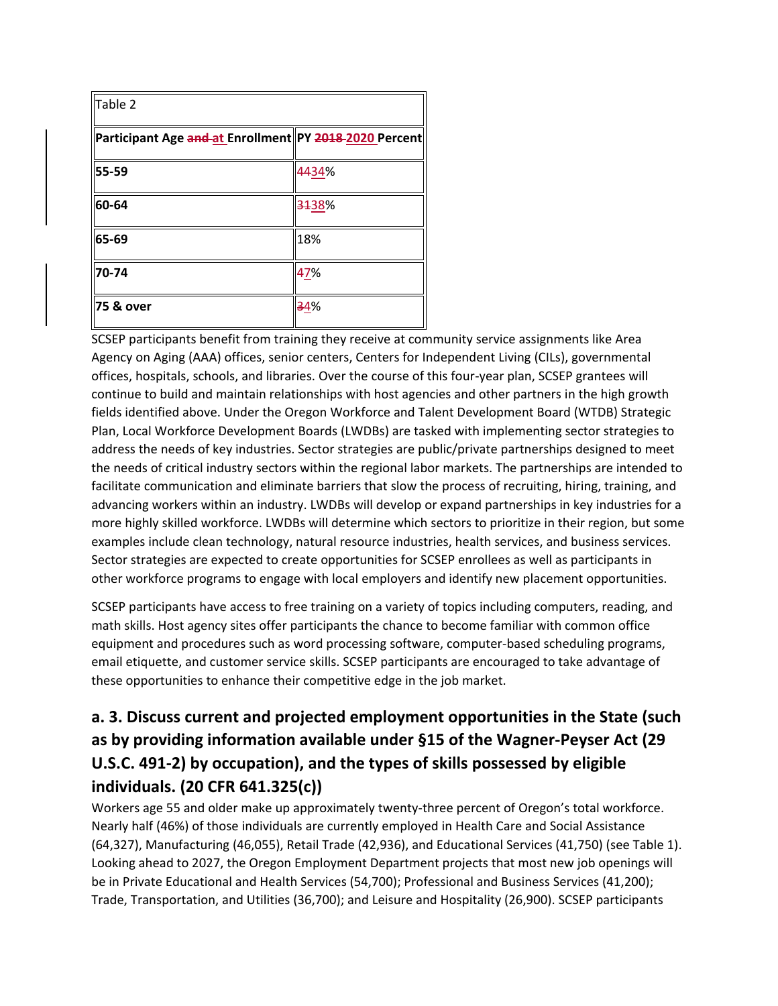| Table 2                                                                               |       |
|---------------------------------------------------------------------------------------|-------|
| Participant Age <del>and <u>at</u> E</del> nrollment  PY <del>2018-2020</del> Percent |       |
| 55-59                                                                                 | 4434% |
| 60-64                                                                                 | 3138% |
| 65-69                                                                                 | 18%   |
| 70-74                                                                                 | 47%   |
| 75 & over                                                                             | 34%   |

SCSEP participants benefit from training they receive at community service assignments like Area Agency on Aging (AAA) offices, senior centers, Centers for Independent Living (CILs), governmental offices, hospitals, schools, and libraries. Over the course of this four-year plan, SCSEP grantees will continue to build and maintain relationships with host agencies and other partners in the high growth fields identified above. Under the Oregon Workforce and Talent Development Board (WTDB) Strategic Plan, Local Workforce Development Boards (LWDBs) are tasked with implementing sector strategies to address the needs of key industries. Sector strategies are public/private partnerships designed to meet the needs of critical industry sectors within the regional labor markets. The partnerships are intended to facilitate communication and eliminate barriers that slow the process of recruiting, hiring, training, and advancing workers within an industry. LWDBs will develop or expand partnerships in key industries for a more highly skilled workforce. LWDBs will determine which sectors to prioritize in their region, but some examples include clean technology, natural resource industries, health services, and business services. Sector strategies are expected to create opportunities for SCSEP enrollees as well as participants in other workforce programs to engage with local employers and identify new placement opportunities.

SCSEP participants have access to free training on a variety of topics including computers, reading, and math skills. Host agency sites offer participants the chance to become familiar with common office equipment and procedures such as word processing software, computer-based scheduling programs, email etiquette, and customer service skills. SCSEP participants are encouraged to take advantage of these opportunities to enhance their competitive edge in the job market.

# **a. 3. Discuss current and projected employment opportunities in the State (such as by providing information available under §15 of the Wagner-Peyser Act (29 U.S.C. 491-2) by occupation), and the types of skills possessed by eligible individuals. (20 CFR 641.325(c))**

Workers age 55 and older make up approximately twenty-three percent of Oregon's total workforce. Nearly half (46%) of those individuals are currently employed in Health Care and Social Assistance (64,327), Manufacturing (46,055), Retail Trade (42,936), and Educational Services (41,750) (see Table 1). Looking ahead to 2027, the Oregon Employment Department projects that most new job openings will be in Private Educational and Health Services (54,700); Professional and Business Services (41,200); Trade, Transportation, and Utilities (36,700); and Leisure and Hospitality (26,900). SCSEP participants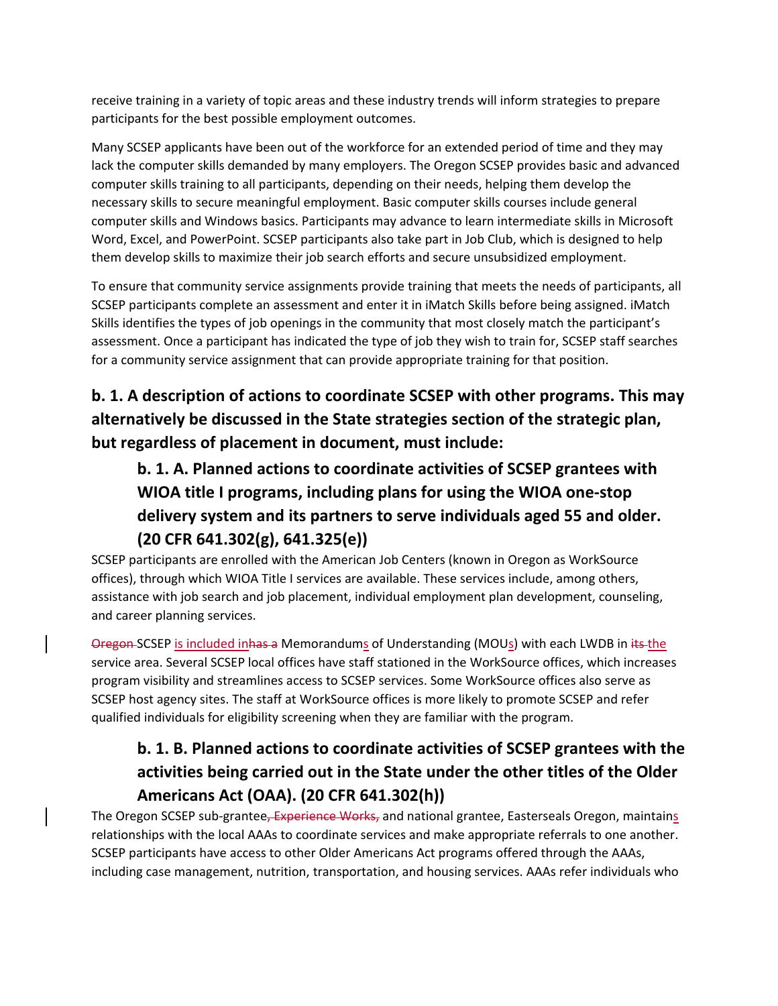receive training in a variety of topic areas and these industry trends will inform strategies to prepare participants for the best possible employment outcomes.

Many SCSEP applicants have been out of the workforce for an extended period of time and they may lack the computer skills demanded by many employers. The Oregon SCSEP provides basic and advanced computer skills training to all participants, depending on their needs, helping them develop the necessary skills to secure meaningful employment. Basic computer skills courses include general computer skills and Windows basics. Participants may advance to learn intermediate skills in Microsoft Word, Excel, and PowerPoint. SCSEP participants also take part in Job Club, which is designed to help them develop skills to maximize their job search efforts and secure unsubsidized employment.

To ensure that community service assignments provide training that meets the needs of participants, all SCSEP participants complete an assessment and enter it in iMatch Skills before being assigned. iMatch Skills identifies the types of job openings in the community that most closely match the participant's assessment. Once a participant has indicated the type of job they wish to train for, SCSEP staff searches for a community service assignment that can provide appropriate training for that position.

# **b. 1. A description of actions to coordinate SCSEP with other programs. This may alternatively be discussed in the State strategies section of the strategic plan, but regardless of placement in document, must include:**

# **b. 1. A. Planned actions to coordinate activities of SCSEP grantees with WIOA title I programs, including plans for using the WIOA one-stop delivery system and its partners to serve individuals aged 55 and older. (20 CFR 641.302(g), 641.325(e))**

SCSEP participants are enrolled with the American Job Centers (known in Oregon as WorkSource offices), through which WIOA Title I services are available. These services include, among others, assistance with job search and job placement, individual employment plan development, counseling, and career planning services.

Oregon SCSEP is included in has a Memorandums of Understanding (MOUs) with each LWDB in its the service area. Several SCSEP local offices have staff stationed in the WorkSource offices, which increases program visibility and streamlines access to SCSEP services. Some WorkSource offices also serve as SCSEP host agency sites. The staff at WorkSource offices is more likely to promote SCSEP and refer qualified individuals for eligibility screening when they are familiar with the program.

### **b. 1. B. Planned actions to coordinate activities of SCSEP grantees with the activities being carried out in the State under the other titles of the Older Americans Act (OAA). (20 CFR 641.302(h))**

The Oregon SCSEP sub-grantee, Experience Works, and national grantee, Easterseals Oregon, maintains relationships with the local AAAs to coordinate services and make appropriate referrals to one another. SCSEP participants have access to other Older Americans Act programs offered through the AAAs, including case management, nutrition, transportation, and housing services. AAAs refer individuals who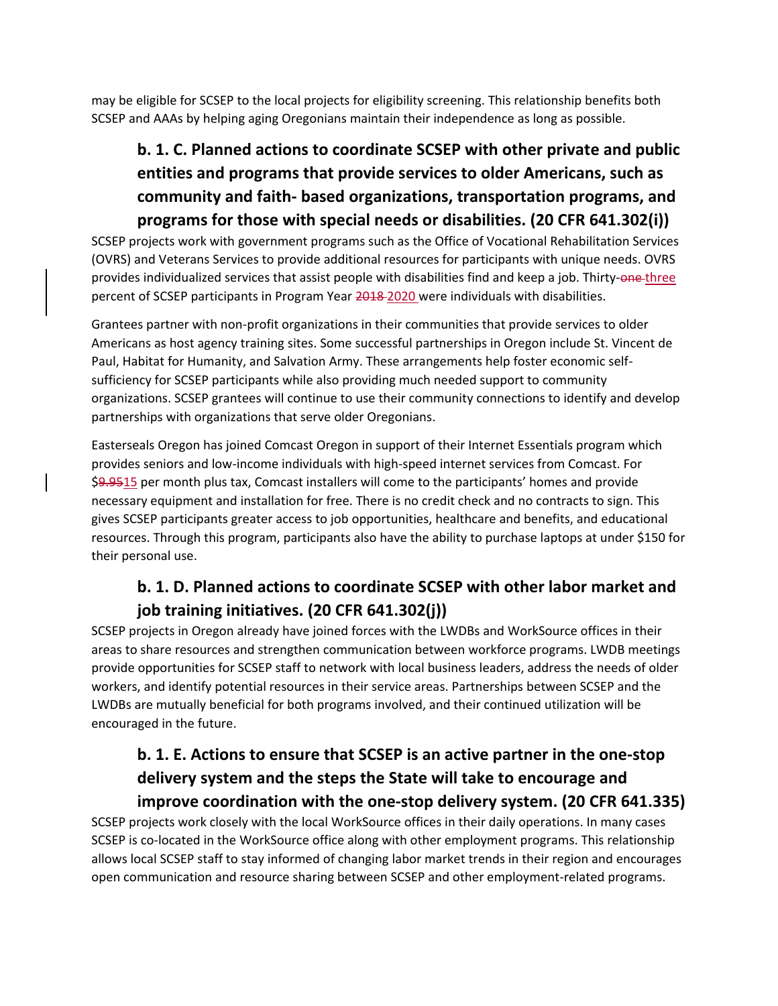may be eligible for SCSEP to the local projects for eligibility screening. This relationship benefits both SCSEP and AAAs by helping aging Oregonians maintain their independence as long as possible.

## **b. 1. C. Planned actions to coordinate SCSEP with other private and public entities and programs that provide services to older Americans, such as community and faith- based organizations, transportation programs, and programs for those with special needs or disabilities. (20 CFR 641.302(i))**

SCSEP projects work with government programs such as the Office of Vocational Rehabilitation Services (OVRS) and Veterans Services to provide additional resources for participants with unique needs. OVRS provides individualized services that assist people with disabilities find and keep a job. Thirty-one three percent of SCSEP participants in Program Year 2018-2020 were individuals with disabilities.

Grantees partner with non-profit organizations in their communities that provide services to older Americans as host agency training sites. Some successful partnerships in Oregon include St. Vincent de Paul, Habitat for Humanity, and Salvation Army. These arrangements help foster economic selfsufficiency for SCSEP participants while also providing much needed support to community organizations. SCSEP grantees will continue to use their community connections to identify and develop partnerships with organizations that serve older Oregonians.

Easterseals Oregon has joined Comcast Oregon in support of their Internet Essentials program which provides seniors and low-income individuals with high-speed internet services from Comcast. For \$9.9515 per month plus tax, Comcast installers will come to the participants' homes and provide necessary equipment and installation for free. There is no credit check and no contracts to sign. This gives SCSEP participants greater access to job opportunities, healthcare and benefits, and educational resources. Through this program, participants also have the ability to purchase laptops at under \$150 for their personal use.

#### **b. 1. D. Planned actions to coordinate SCSEP with other labor market and job training initiatives. (20 CFR 641.302(j))**

SCSEP projects in Oregon already have joined forces with the LWDBs and WorkSource offices in their areas to share resources and strengthen communication between workforce programs. LWDB meetings provide opportunities for SCSEP staff to network with local business leaders, address the needs of older workers, and identify potential resources in their service areas. Partnerships between SCSEP and the LWDBs are mutually beneficial for both programs involved, and their continued utilization will be encouraged in the future.

# **b. 1. E. Actions to ensure that SCSEP is an active partner in the one-stop delivery system and the steps the State will take to encourage and improve coordination with the one-stop delivery system. (20 CFR 641.335)**

SCSEP projects work closely with the local WorkSource offices in their daily operations. In many cases SCSEP is co-located in the WorkSource office along with other employment programs. This relationship allows local SCSEP staff to stay informed of changing labor market trends in their region and encourages open communication and resource sharing between SCSEP and other employment-related programs.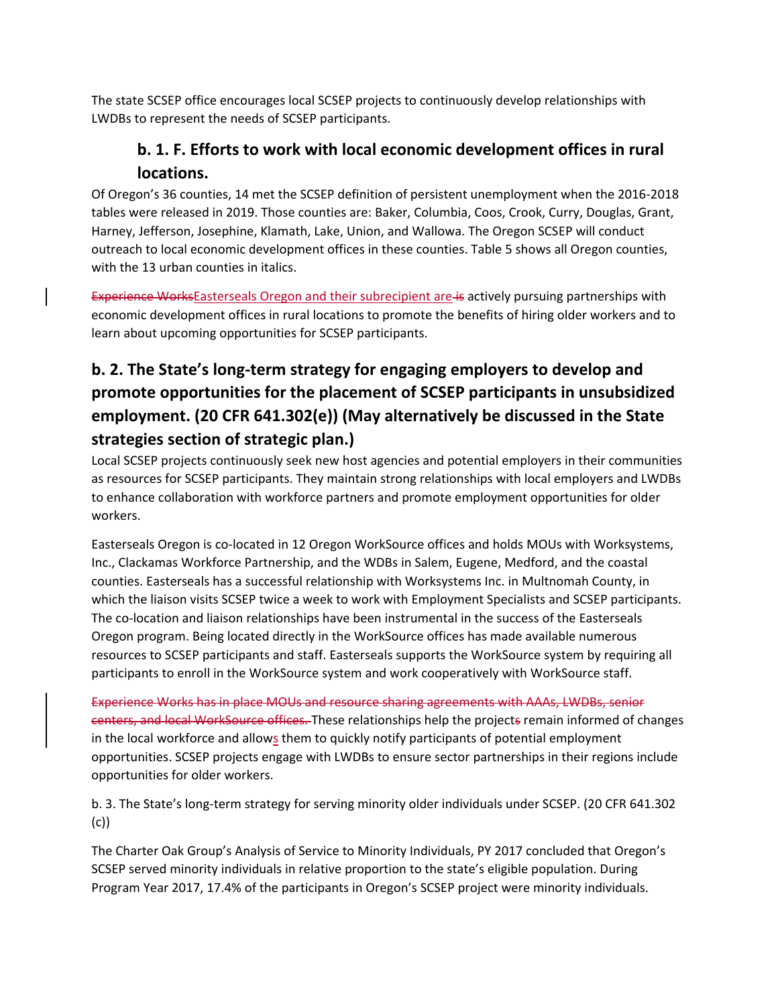The state SCSEP office encourages local SCSEP projects to continuously develop relationships with LWDBs to represent the needs of SCSEP participants.

#### **b. 1. F. Efforts to work with local economic development offices in rural locations.**

Of Oregon's 36 counties, 14 met the SCSEP definition of persistent unemployment when the 2016-2018 tables were released in 2019. Those counties are: Baker, Columbia, Coos, Crook, Curry, Douglas, Grant, Harney, Jefferson, Josephine, Klamath, Lake, Union, and Wallowa. The Oregon SCSEP will conduct outreach to local economic development offices in these counties. Table 5 shows all Oregon counties, with the 13 urban counties in italics.

Experience WorksEasterseals Oregon and their subrecipient are is actively pursuing partnerships with economic development offices in rural locations to promote the benefits of hiring older workers and to learn about upcoming opportunities for SCSEP participants.

### **b. 2. The State's long-term strategy for engaging employers to develop and promote opportunities for the placement of SCSEP participants in unsubsidized employment. (20 CFR 641.302(e)) (May alternatively be discussed in the State strategies section of strategic plan.)**

Local SCSEP projects continuously seek new host agencies and potential employers in their communities as resources for SCSEP participants. They maintain strong relationships with local employers and LWDBs to enhance collaboration with workforce partners and promote employment opportunities for older workers.

Easterseals Oregon is co-located in 12 Oregon WorkSource offices and holds MOUs with Worksystems, Inc., Clackamas Workforce Partnership, and the WDBs in Salem, Eugene, Medford, and the coastal counties. Easterseals has a successful relationship with Worksystems Inc. in Multnomah County, in which the liaison visits SCSEP twice a week to work with Employment Specialists and SCSEP participants. The co-location and liaison relationships have been instrumental in the success of the Easterseals Oregon program. Being located directly in the WorkSource offices has made available numerous resources to SCSEP participants and staff. Easterseals supports the WorkSource system by requiring all participants to enroll in the WorkSource system and work cooperatively with WorkSource staff.

Experience Works has in place MOUs and resource sharing agreements with AAAs, LWDBs, senior centers, and local WorkSource offices. These relationships help the projects remain informed of changes in the local workforce and allows them to quickly notify participants of potential employment opportunities. SCSEP projects engage with LWDBs to ensure sector partnerships in their regions include opportunities for older workers.

b. 3. The State's long-term strategy for serving minority older individuals under SCSEP. (20 CFR 641.302 (c))

The Charter Oak Group's Analysis of Service to Minority Individuals, PY 2017 concluded that Oregon's SCSEP served minority individuals in relative proportion to the state's eligible population. During Program Year 2017, 17.4% of the participants in Oregon's SCSEP project were minority individuals.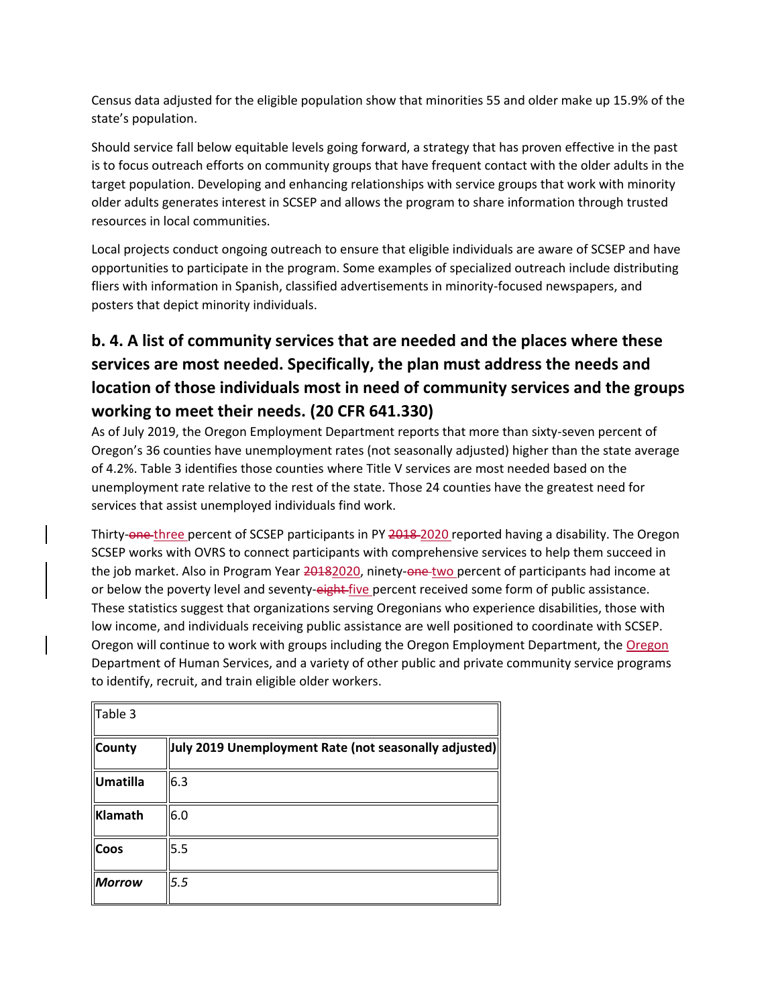Census data adjusted for the eligible population show that minorities 55 and older make up 15.9% of the state's population.

Should service fall below equitable levels going forward, a strategy that has proven effective in the past is to focus outreach efforts on community groups that have frequent contact with the older adults in the target population. Developing and enhancing relationships with service groups that work with minority older adults generates interest in SCSEP and allows the program to share information through trusted resources in local communities.

Local projects conduct ongoing outreach to ensure that eligible individuals are aware of SCSEP and have opportunities to participate in the program. Some examples of specialized outreach include distributing fliers with information in Spanish, classified advertisements in minority-focused newspapers, and posters that depict minority individuals.

# **b. 4. A list of community services that are needed and the places where these services are most needed. Specifically, the plan must address the needs and location of those individuals most in need of community services and the groups working to meet their needs. (20 CFR 641.330)**

As of July 2019, the Oregon Employment Department reports that more than sixty-seven percent of Oregon's 36 counties have unemployment rates (not seasonally adjusted) higher than the state average of 4.2%. Table 3 identifies those counties where Title V services are most needed based on the unemployment rate relative to the rest of the state. Those 24 counties have the greatest need for services that assist unemployed individuals find work.

Thirty-one-three percent of SCSEP participants in PY 2018-2020 reported having a disability. The Oregon SCSEP works with OVRS to connect participants with comprehensive services to help them succeed in the job market. Also in Program Year 20182020, ninety-one-two percent of participants had income at or below the poverty level and seventy-eight-five percent received some form of public assistance. These statistics suggest that organizations serving Oregonians who experience disabilities, those with low income, and individuals receiving public assistance are well positioned to coordinate with SCSEP. Oregon will continue to work with groups including the Oregon Employment Department, the Oregon Department of Human Services, and a variety of other public and private community service programs to identify, recruit, and train eligible older workers.

| Table 3       |                                                       |
|---------------|-------------------------------------------------------|
| <b>County</b> | July 2019 Unemployment Rate (not seasonally adjusted) |
| Umatilla      | 6.3                                                   |
| Klamath       | 6.0                                                   |
| <b>Coos</b>   | 5.5                                                   |
| Morrow        | 5.5                                                   |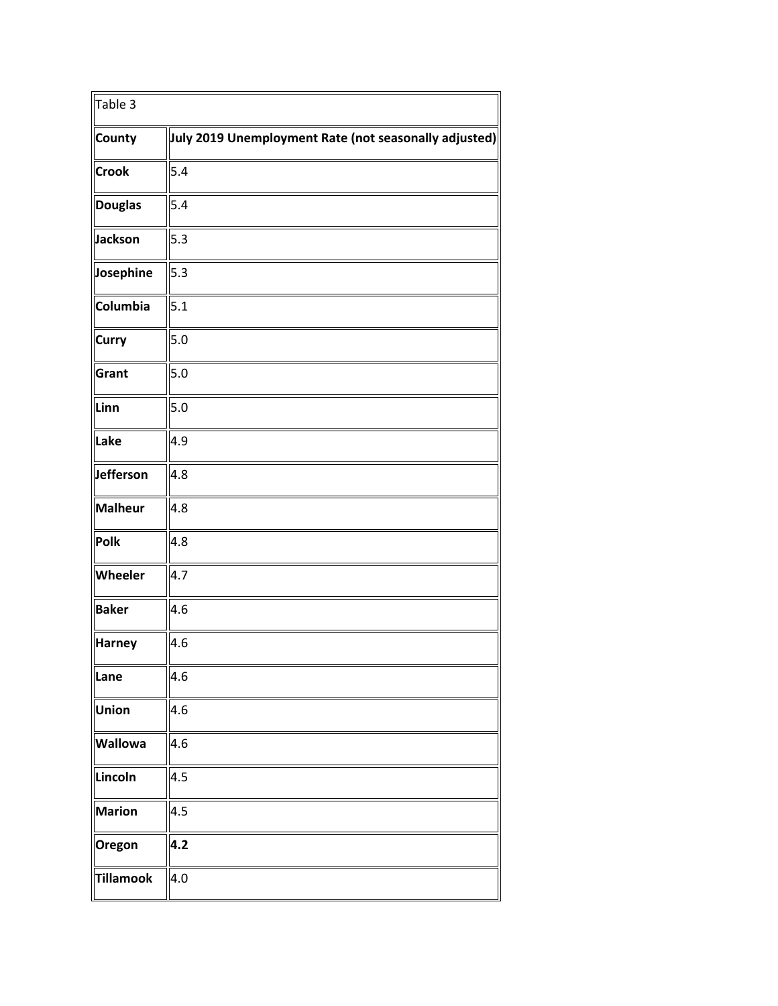| Table 3          |                                                       |
|------------------|-------------------------------------------------------|
| <b>County</b>    | July 2019 Unemployment Rate (not seasonally adjusted) |
| <b>Crook</b>     | 5.4                                                   |
| <b>Douglas</b>   | 5.4                                                   |
| Jackson          | 5.3                                                   |
| Josephine        | 5.3                                                   |
| Columbia         | 5.1                                                   |
| <b>Curry</b>     | 5.0                                                   |
| Grant            | $5.0$                                                 |
| Linn             | 5.0                                                   |
| Lake             | 4.9                                                   |
| Jefferson        | 4.8                                                   |
| <b>Malheur</b>   | 4.8                                                   |
| <b>Polk</b>      | 4.8                                                   |
| Wheeler          | 4.7                                                   |
| <b>Baker</b>     | 4.6                                                   |
| <b>Harney</b>    | 4.6                                                   |
| Lane             | 4.6                                                   |
| <b>Union</b>     | 4.6                                                   |
| <b>Wallowa</b>   | 4.6                                                   |
| Lincoln          | 4.5                                                   |
| <b>Marion</b>    | 4.5                                                   |
| Oregon           | 4.2                                                   |
| <b>Tillamook</b> | 4.0                                                   |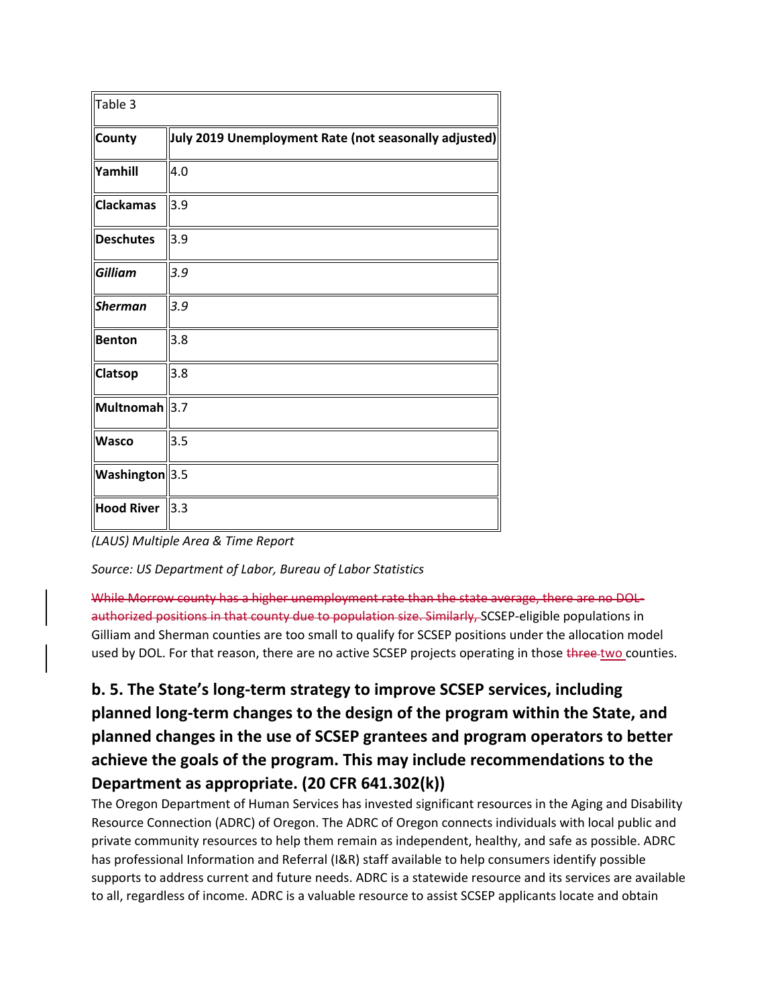| Table 3           |                                                       |
|-------------------|-------------------------------------------------------|
| <b>County</b>     | July 2019 Unemployment Rate (not seasonally adjusted) |
| <b>Yamhill</b>    | 4.0                                                   |
| <b>Clackamas</b>  | 3.9                                                   |
| <b>Deschutes</b>  | 3.9                                                   |
| <b>Gilliam</b>    | 3.9                                                   |
| <b>Sherman</b>    | 3.9                                                   |
| Benton            | 3.8                                                   |
| Clatsop           | 3.8                                                   |
| Multnomah 3.7     |                                                       |
| <b>Wasco</b>      | 3.5                                                   |
| Washington 3.5    |                                                       |
| <b>Hood River</b> | $\parallel$ 3.3                                       |

*(LAUS) Multiple Area & Time Report*

*Source: US Department of Labor, Bureau of Labor Statistics*

While Morrow county has a higher unemployment rate than the state average, there are no DOLauthorized positions in that county due to population size. Similarly, SCSEP-eligible populations in Gilliam and Sherman counties are too small to qualify for SCSEP positions under the allocation model used by DOL. For that reason, there are no active SCSEP projects operating in those three two counties.

**b. 5. The State's long-term strategy to improve SCSEP services, including planned long-term changes to the design of the program within the State, and planned changes in the use of SCSEP grantees and program operators to better achieve the goals of the program. This may include recommendations to the Department as appropriate. (20 CFR 641.302(k))**

The Oregon Department of Human Services has invested significant resources in the Aging and Disability Resource Connection (ADRC) of Oregon. The ADRC of Oregon connects individuals with local public and private community resources to help them remain as independent, healthy, and safe as possible. ADRC has professional Information and Referral (I&R) staff available to help consumers identify possible supports to address current and future needs. ADRC is a statewide resource and its services are available to all, regardless of income. ADRC is a valuable resource to assist SCSEP applicants locate and obtain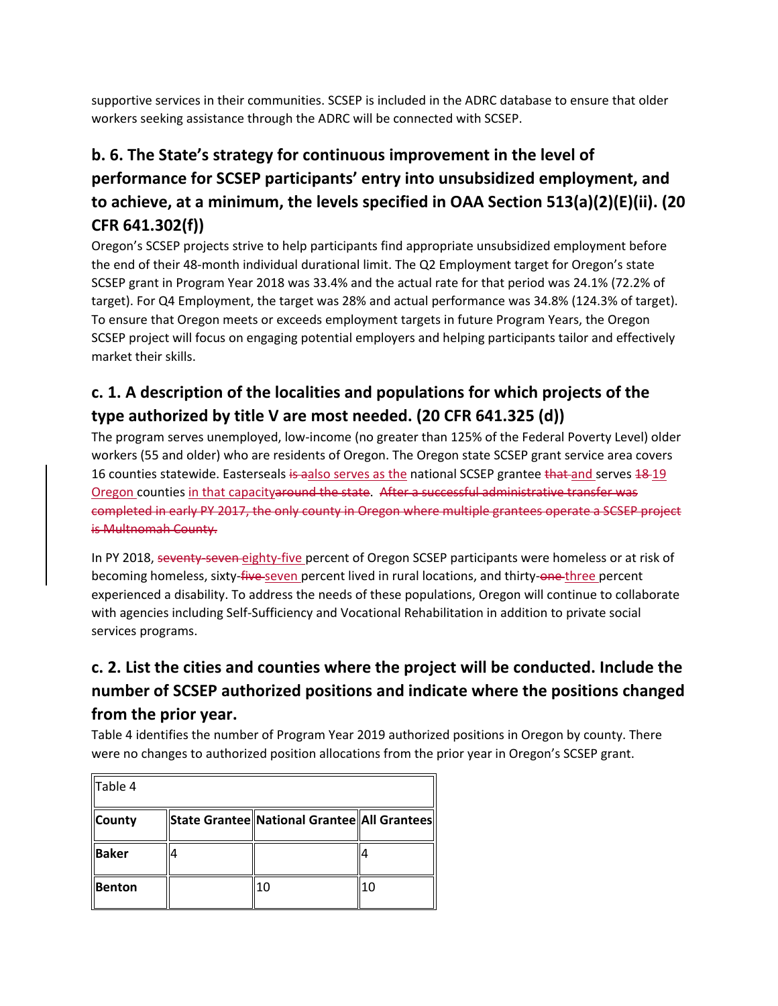supportive services in their communities. SCSEP is included in the ADRC database to ensure that older workers seeking assistance through the ADRC will be connected with SCSEP.

# **b. 6. The State's strategy for continuous improvement in the level of performance for SCSEP participants' entry into unsubsidized employment, and to achieve, at a minimum, the levels specified in OAA Section 513(a)(2)(E)(ii). (20 CFR 641.302(f))**

Oregon's SCSEP projects strive to help participants find appropriate unsubsidized employment before the end of their 48-month individual durational limit. The Q2 Employment target for Oregon's state SCSEP grant in Program Year 2018 was 33.4% and the actual rate for that period was 24.1% (72.2% of target). For Q4 Employment, the target was 28% and actual performance was 34.8% (124.3% of target). To ensure that Oregon meets or exceeds employment targets in future Program Years, the Oregon SCSEP project will focus on engaging potential employers and helping participants tailor and effectively market their skills.

# **c. 1. A description of the localities and populations for which projects of the type authorized by title V are most needed. (20 CFR 641.325 (d))**

The program serves unemployed, low-income (no greater than 125% of the Federal Poverty Level) older workers (55 and older) who are residents of Oregon. The Oregon state SCSEP grant service area covers 16 counties statewide. Easterseals is aalso serves as the national SCSEP grantee that and serves 18-19 Oregon counties in that capacityaround the state. After a successful administrative transfer was completed in early PY 2017, the only county in Oregon where multiple grantees operate a SCSEP project is Multnomah County.

In PY 2018, seventy-seven eighty-five percent of Oregon SCSEP participants were homeless or at risk of becoming homeless, sixty-five-seven percent lived in rural locations, and thirty-one-three percent experienced a disability. To address the needs of these populations, Oregon will continue to collaborate with agencies including Self-Sufficiency and Vocational Rehabilitation in addition to private social services programs.

### **c. 2. List the cities and counties where the project will be conducted. Include the number of SCSEP authorized positions and indicate where the positions changed from the prior year.**

Table 4 identifies the number of Program Year 2019 authorized positions in Oregon by county. There were no changes to authorized position allocations from the prior year in Oregon's SCSEP grant.

| Table 4       |   |                                               |    |
|---------------|---|-----------------------------------------------|----|
| <b>County</b> |   | State Grantee National Grantee   All Grantees |    |
| Baker         | 4 |                                               |    |
| <b>Benton</b> |   | 10                                            | 10 |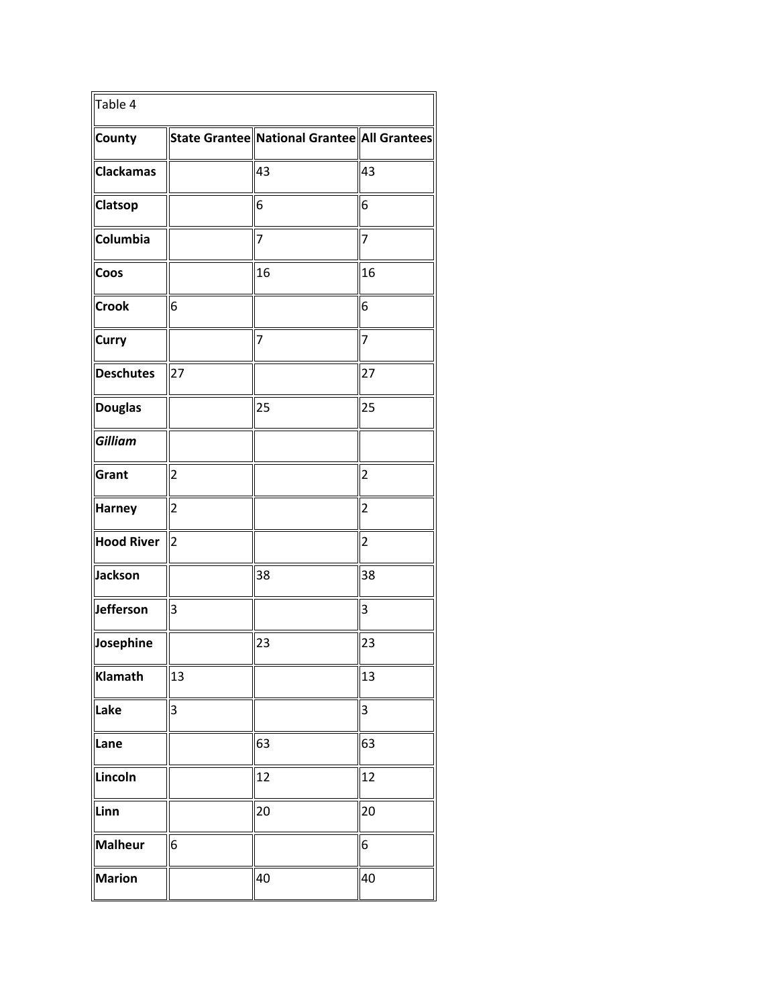| Table 4           |                         |                                             |                         |  |
|-------------------|-------------------------|---------------------------------------------|-------------------------|--|
| County            |                         | State Grantee National Grantee All Grantees |                         |  |
| <b>Clackamas</b>  |                         | 43                                          | 43                      |  |
| Clatsop           |                         | 6                                           | 6                       |  |
| Columbia          |                         | 7                                           | $\overline{7}$          |  |
| Coos              |                         | 16                                          | 16                      |  |
| <b>Crook</b>      | 6                       |                                             | 6                       |  |
| Curry             |                         | 7                                           | 7                       |  |
| <b>Deschutes</b>  | 27                      |                                             | 27                      |  |
| <b>Douglas</b>    |                         | 25                                          | 25                      |  |
| Gilliam           |                         |                                             |                         |  |
| Grant             | $\overline{\mathbf{c}}$ |                                             | $\overline{\mathbf{c}}$ |  |
| <b>Harney</b>     | $\overline{2}$          |                                             | $\overline{\mathbf{c}}$ |  |
| <b>Hood River</b> | $\overline{2}$          |                                             | $\overline{2}$          |  |
| Jackson           |                         | 38                                          | 38                      |  |
| <b>Jefferson</b>  | 3                       |                                             | 3                       |  |
| Josephine         |                         | 23                                          | 23                      |  |
| <b>Klamath</b>    | 13                      |                                             | 13                      |  |
| Lake              | 3                       |                                             | 3                       |  |
| Lane              |                         | 63                                          | 63                      |  |
| Lincoln           |                         | 12                                          | 12                      |  |
| Linn              |                         | 20                                          | 20                      |  |
| <b>Malheur</b>    | 6                       |                                             | 6                       |  |
| <b>Marion</b>     |                         | 40                                          | 40                      |  |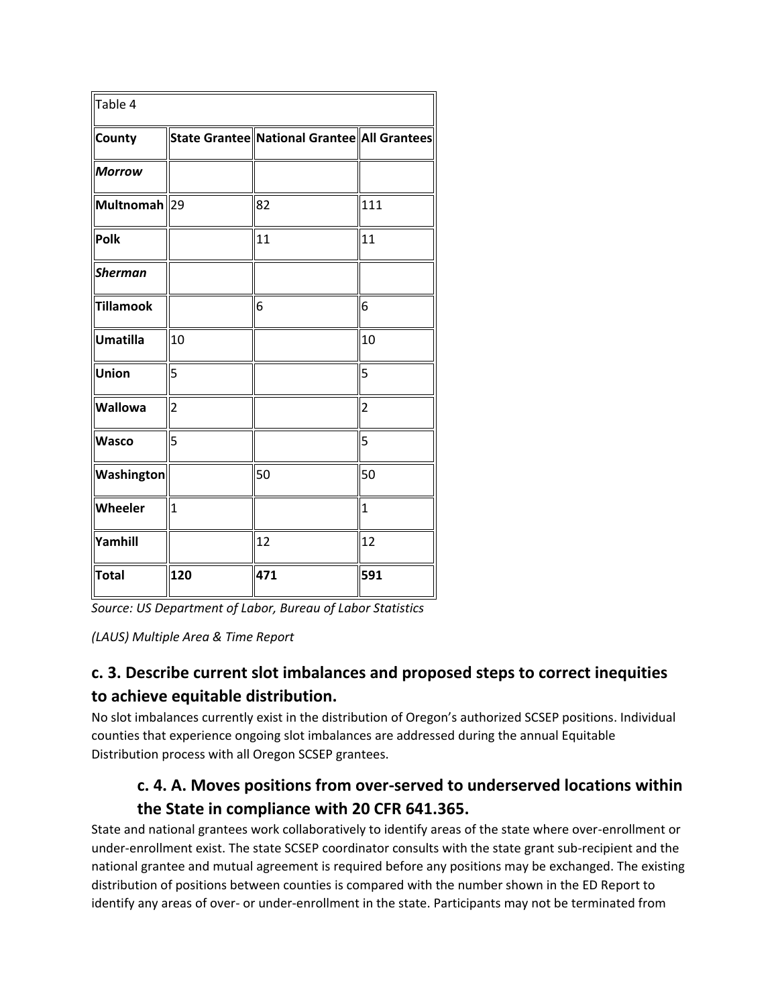| Table 4                   |                |                                               |                |
|---------------------------|----------------|-----------------------------------------------|----------------|
| <b>County</b>             |                | State Grantee National Grantee   All Grantees |                |
| <b>Morrow</b>             |                |                                               |                |
| Multnomah <sup>1</sup> 29 |                | 82                                            | 111            |
| Polk                      |                | 11                                            | 11             |
| <b>Sherman</b>            |                |                                               |                |
| Tillamook                 |                | 6                                             | 6              |
| Umatilla                  | 10             |                                               | 10             |
| Union                     | 5              |                                               | 5              |
| <b>Wallowa</b>            | $\overline{2}$ |                                               | $\overline{2}$ |
| <b>Wasco</b>              | 5              |                                               | 5              |
| Washington                |                | 50                                            | 50             |
| Wheeler                   | $\mathbf 1$    |                                               | $\overline{1}$ |
| Yamhill                   |                | 12                                            | 12             |
| Total                     | 120            | 471                                           | 591            |

*Source: US Department of Labor, Bureau of Labor Statistics*

*(LAUS) Multiple Area & Time Report*

### **c. 3. Describe current slot imbalances and proposed steps to correct inequities to achieve equitable distribution.**

No slot imbalances currently exist in the distribution of Oregon's authorized SCSEP positions. Individual counties that experience ongoing slot imbalances are addressed during the annual Equitable Distribution process with all Oregon SCSEP grantees.

### **c. 4. A. Moves positions from over-served to underserved locations within the State in compliance with 20 CFR 641.365.**

State and national grantees work collaboratively to identify areas of the state where over-enrollment or under-enrollment exist. The state SCSEP coordinator consults with the state grant sub-recipient and the national grantee and mutual agreement is required before any positions may be exchanged. The existing distribution of positions between counties is compared with the number shown in the ED Report to identify any areas of over- or under-enrollment in the state. Participants may not be terminated from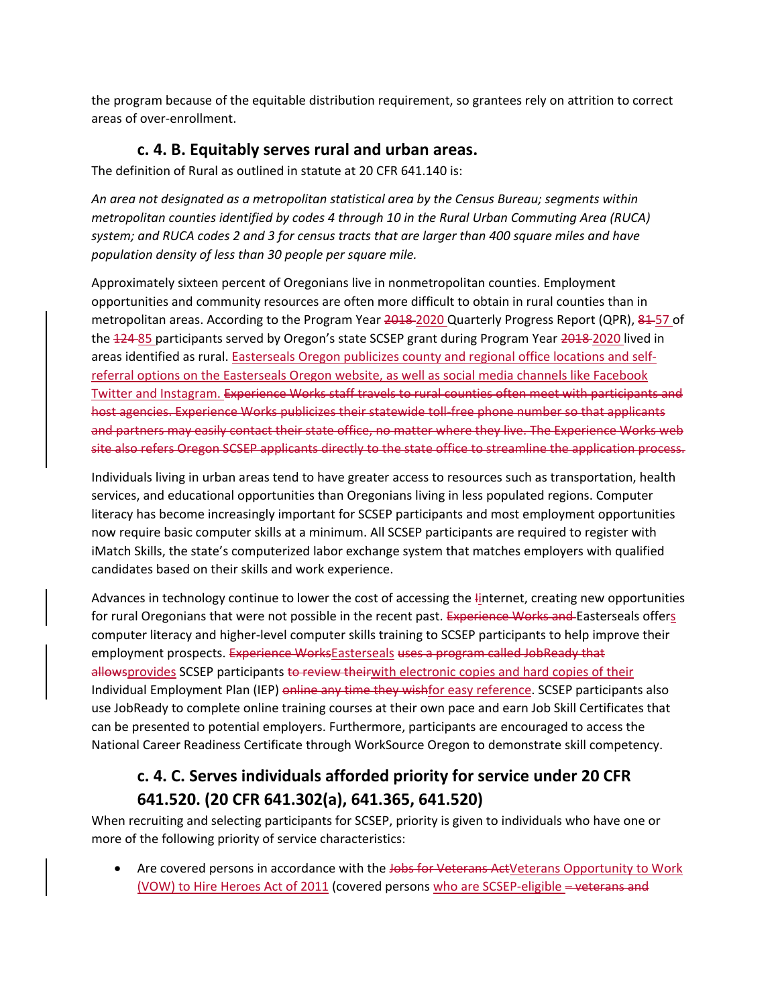the program because of the equitable distribution requirement, so grantees rely on attrition to correct areas of over-enrollment.

#### **c. 4. B. Equitably serves rural and urban areas.**

The definition of Rural as outlined in statute at 20 CFR 641.140 is:

*An area not designated as a metropolitan statistical area by the Census Bureau; segments within metropolitan counties identified by codes 4 through 10 in the Rural Urban Commuting Area (RUCA) system; and RUCA codes 2 and 3 for census tracts that are larger than 400 square miles and have population density of less than 30 people per square mile.*

Approximately sixteen percent of Oregonians live in nonmetropolitan counties. Employment opportunities and community resources are often more difficult to obtain in rural counties than in metropolitan areas. According to the Program Year 2018-2020 Quarterly Progress Report (QPR), 81-57 of the 124-85 participants served by Oregon's state SCSEP grant during Program Year 2018-2020 lived in areas identified as rural. Easterseals Oregon publicizes county and regional office locations and selfreferral options on the Easterseals Oregon website, as well as social media channels like Facebook Twitter and Instagram. Experience Works staff travels to rural counties often meet with participants and host agencies. Experience Works publicizes their statewide toll-free phone number so that applicants and partners may easily contact their state office, no matter where they live. The Experience Works web site also refers Oregon SCSEP applicants directly to the state office to streamline the application process.

Individuals living in urban areas tend to have greater access to resources such as transportation, health services, and educational opportunities than Oregonians living in less populated regions. Computer literacy has become increasingly important for SCSEP participants and most employment opportunities now require basic computer skills at a minimum. All SCSEP participants are required to register with iMatch Skills, the state's computerized labor exchange system that matches employers with qualified candidates based on their skills and work experience.

Advances in technology continue to lower the cost of accessing the Iinternet, creating new opportunities for rural Oregonians that were not possible in the recent past. Experience Works and Easterseals offers computer literacy and higher-level computer skills training to SCSEP participants to help improve their employment prospects. Experience WorksEasterseals uses a program called JobReady that allowsprovides SCSEP participants to review theirwith electronic copies and hard copies of their Individual Employment Plan (IEP) online any time they wishfor easy reference. SCSEP participants also use JobReady to complete online training courses at their own pace and earn Job Skill Certificates that can be presented to potential employers. Furthermore, participants are encouraged to access the National Career Readiness Certificate through WorkSource Oregon to demonstrate skill competency.

#### **c. 4. C. Serves individuals afforded priority for service under 20 CFR 641.520. (20 CFR 641.302(a), 641.365, 641.520)**

When recruiting and selecting participants for SCSEP, priority is given to individuals who have one or more of the following priority of service characteristics:

• Are covered persons in accordance with the Jobs for Veterans ActVeterans Opportunity to Work (VOW) to Hire Heroes Act of 2011 (covered persons who are SCSEP-eligible – veterans and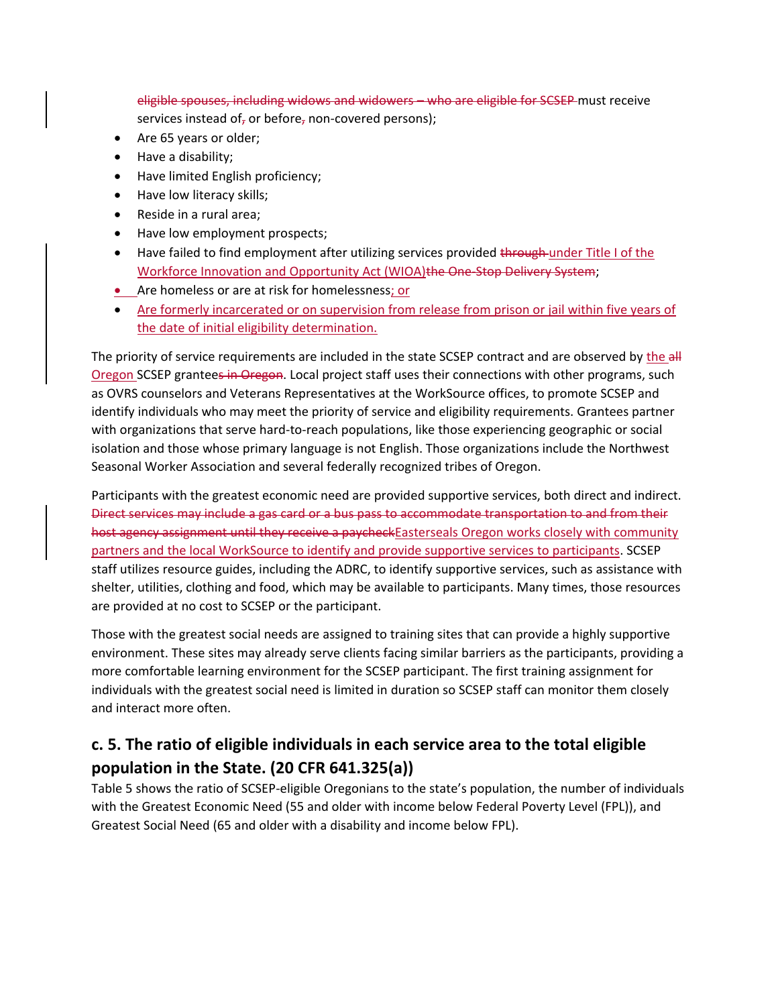eligible spouses, including widows and widowers – who are eligible for SCSEP must receive services instead of, or before, non-covered persons);

- Are 65 years or older;
- Have a disability;
- Have limited English proficiency;
- Have low literacy skills;
- Reside in a rural area;
- Have low employment prospects;
- Have failed to find employment after utilizing services provided through under Title I of the Workforce Innovation and Opportunity Act (WIOA)the One-Stop Delivery System;
- Are homeless or are at risk for homelessness; or
- Are formerly incarcerated or on supervision from release from prison or jail within five years of the date of initial eligibility determination.

The priority of service requirements are included in the state SCSEP contract and are observed by the all Oregon SCSEP grantees in Oregon. Local project staff uses their connections with other programs, such as OVRS counselors and Veterans Representatives at the WorkSource offices, to promote SCSEP and identify individuals who may meet the priority of service and eligibility requirements. Grantees partner with organizations that serve hard-to-reach populations, like those experiencing geographic or social isolation and those whose primary language is not English. Those organizations include the Northwest Seasonal Worker Association and several federally recognized tribes of Oregon.

Participants with the greatest economic need are provided supportive services, both direct and indirect. Direct services may include a gas card or a bus pass to accommodate transportation to and from their host agency assignment until they receive a paycheckEasterseals Oregon works closely with community partners and the local WorkSource to identify and provide supportive services to participants. SCSEP staff utilizes resource guides, including the ADRC, to identify supportive services, such as assistance with shelter, utilities, clothing and food, which may be available to participants. Many times, those resources are provided at no cost to SCSEP or the participant.

Those with the greatest social needs are assigned to training sites that can provide a highly supportive environment. These sites may already serve clients facing similar barriers as the participants, providing a more comfortable learning environment for the SCSEP participant. The first training assignment for individuals with the greatest social need is limited in duration so SCSEP staff can monitor them closely and interact more often.

#### **c. 5. The ratio of eligible individuals in each service area to the total eligible population in the State. (20 CFR 641.325(a))**

Table 5 shows the ratio of SCSEP-eligible Oregonians to the state's population, the number of individuals with the Greatest Economic Need (55 and older with income below Federal Poverty Level (FPL)), and Greatest Social Need (65 and older with a disability and income below FPL).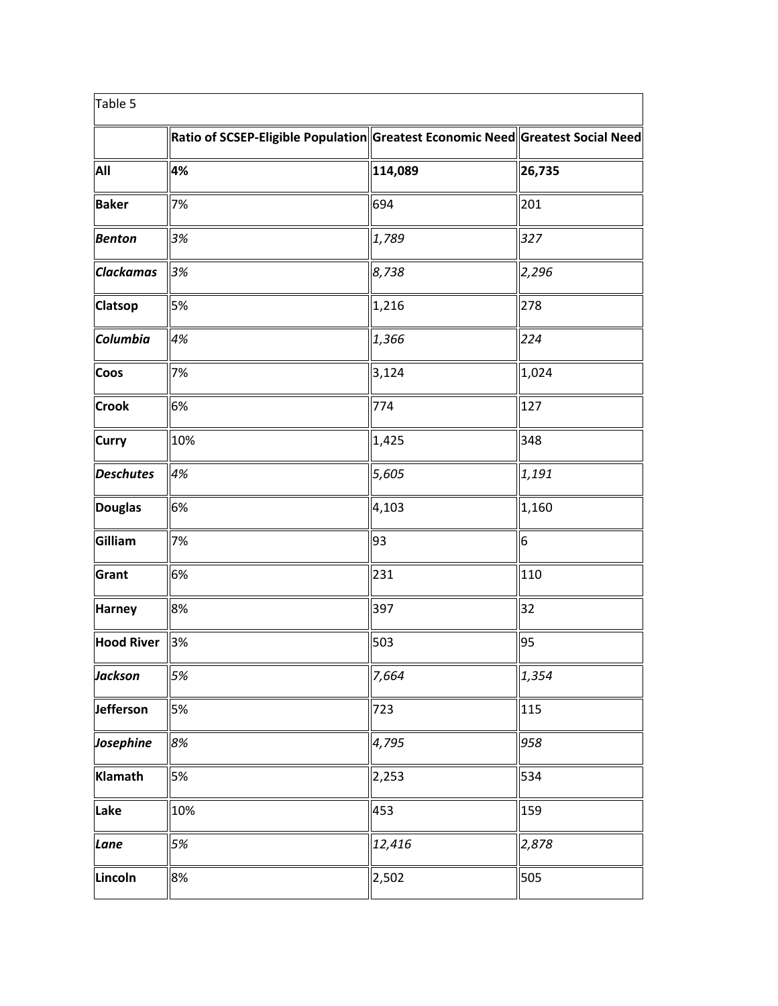| Table 5           |                                                                                                    |         |        |
|-------------------|----------------------------------------------------------------------------------------------------|---------|--------|
|                   | $\ $ Ratio of SCSEP-Eligible Population $\ $ Greatest Economic Need $\ $ Greatest Social Need $\ $ |         |        |
| All               | 4%                                                                                                 | 114,089 | 26,735 |
| <b>Baker</b>      | 7%                                                                                                 | 694     | 201    |
| <b>Benton</b>     | 3%                                                                                                 | 1,789   | 327    |
| <b>Clackamas</b>  | 3%                                                                                                 | 8,738   | 2,296  |
| <b>Clatsop</b>    | 5%                                                                                                 | 1,216   | 278    |
| Columbia          | 4%                                                                                                 | 1,366   | 224    |
| <b>Coos</b>       | 7%                                                                                                 | 3,124   | 1,024  |
| <b>Crook</b>      | 6%                                                                                                 | 774     | 127    |
| <b>Curry</b>      | 10%                                                                                                | 1,425   | 348    |
| <b>Deschutes</b>  | 4%                                                                                                 | 5,605   | 1,191  |
| <b>Douglas</b>    | 6%                                                                                                 | 4,103   | 1,160  |
| Gilliam           | 7%                                                                                                 | 93      | 6      |
| Grant             | 6%                                                                                                 | 231     | 110    |
| <b>Harney</b>     | 8%                                                                                                 | 397     | 32     |
| <b>Hood River</b> | 3%                                                                                                 | 503     | 95     |
| Jackson           | 5%                                                                                                 | 7,664   | 1,354  |
| Jefferson         | 5%                                                                                                 | 723     | 115    |
| Josephine         | 8%                                                                                                 | 4,795   | 958    |
| <b>Klamath</b>    | 5%                                                                                                 | 2,253   | 534    |
| Lake              | 10%                                                                                                | 453     | 159    |
| Lane              | 5%                                                                                                 | 12,416  | 2,878  |
| Lincoln           | 8%                                                                                                 | 2,502   | 505    |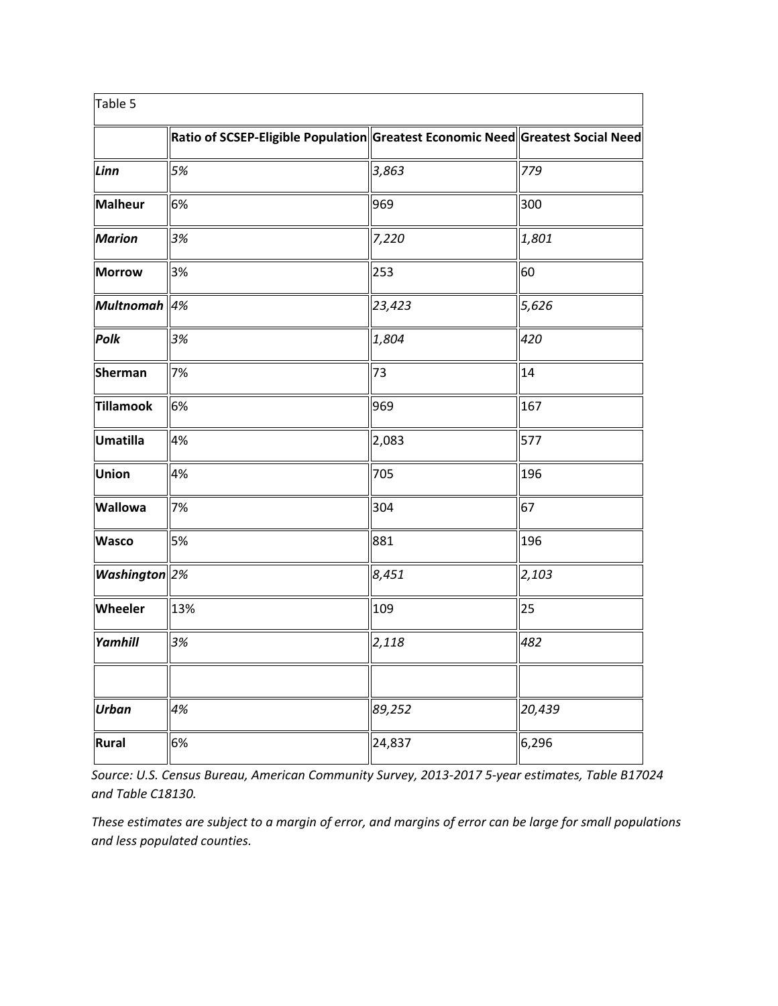| Table 5                                            |                                                                                |        |        |
|----------------------------------------------------|--------------------------------------------------------------------------------|--------|--------|
|                                                    | Ratio of SCSEP-Eligible Population Greatest Economic Need Greatest Social Need |        |        |
| Linn                                               | 5%                                                                             | 3,863  | 779    |
| <b>Malheur</b>                                     | 6%                                                                             | 969    | 300    |
| <b>Marion</b>                                      | 3%                                                                             | 7,220  | 1,801  |
| <b>Morrow</b>                                      | 3%                                                                             | 253    | 60     |
| Multnomah $\parallel 4\%$                          |                                                                                | 23,423 | 5,626  |
| Polk                                               | 3%                                                                             | 1,804  | 420    |
| Sherman                                            | 7%                                                                             | 73     | 14     |
| <b>Tillamook</b>                                   | 6%                                                                             | 969    | 167    |
| Umatilla                                           | 4%                                                                             | 2,083  | 577    |
| <b>Union</b>                                       | 4%                                                                             | 705    | 196    |
| Wallowa                                            | 7%                                                                             | 304    | 67     |
| <b>Wasco</b>                                       | 5%                                                                             | 881    | 196    |
| $\mathsf{\mid}$ Washington $\mathsf{\parallel}$ 2% |                                                                                | 8,451  | 2,103  |
| Wheeler                                            | 13%                                                                            | 109    | 25     |
| Yamhill                                            | 3%                                                                             | 2,118  | 482    |
|                                                    |                                                                                |        |        |
| <b>Urban</b>                                       | 4%                                                                             | 89,252 | 20,439 |
| Rural                                              | 6%                                                                             | 24,837 | 6,296  |

*Source: U.S. Census Bureau, American Community Survey, 2013-2017 5-year estimates, Table B17024 and Table C18130.*

*These estimates are subject to a margin of error, and margins of error can be large for small populations and less populated counties.*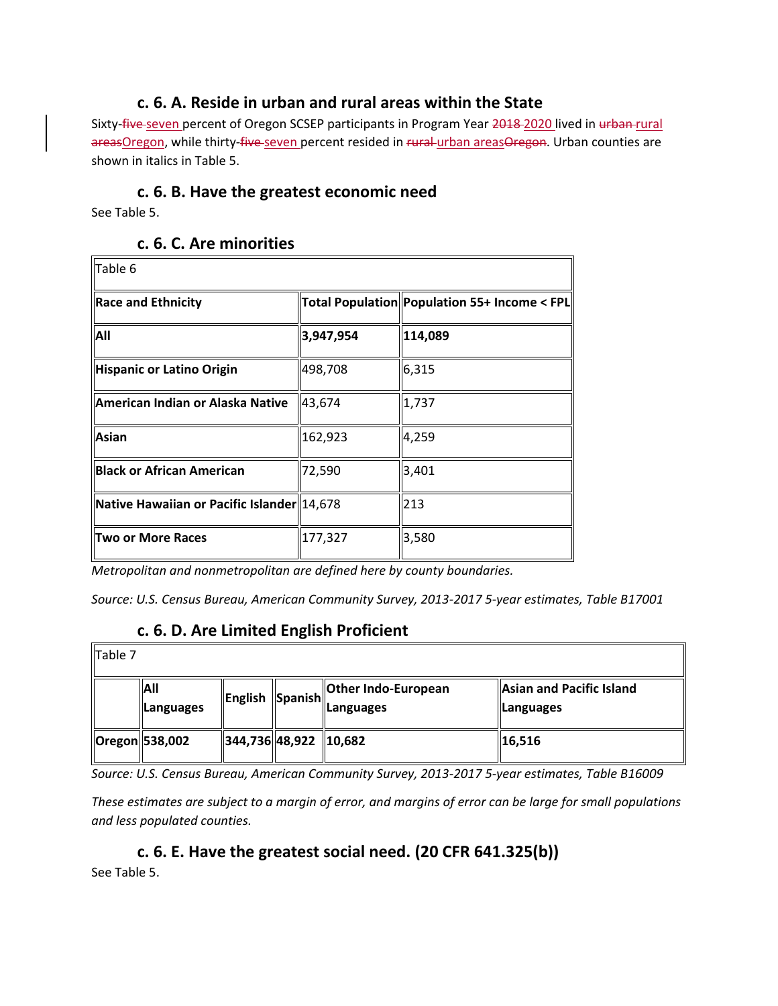#### **c. 6. A. Reside in urban and rural areas within the State**

Sixty-five seven percent of Oregon SCSEP participants in Program Year 2018 2020 lived in urban-rural areasOregon, while thirty-five-seven percent resided in rural urban areasOregon. Urban counties are shown in italics in Table 5.

#### **c. 6. B. Have the greatest economic need**

See Table 5.

#### **c. 6. C. Are minorities**

| lTable 6                                             |           |                                              |  |  |
|------------------------------------------------------|-----------|----------------------------------------------|--|--|
| Race and Ethnicity                                   |           | Total Population Population 55+ Income < FPL |  |  |
| <b>All</b>                                           | 3,947,954 | 114,089                                      |  |  |
| Hispanic or Latino Origin                            | 498,708   | 6,315                                        |  |  |
| American Indian or Alaska Native                     | 43,674    | 1,737                                        |  |  |
| Asian                                                | 162,923   | 4,259                                        |  |  |
| <b>Black or African American</b>                     | 72,590    | 3,401                                        |  |  |
| $\ $ Native Hawaiian or Pacific Islander $\ $ 14,678 |           | 213                                          |  |  |
| <b>Two or More Races</b>                             | 177,327   | 3,580                                        |  |  |

*Metropolitan and nonmetropolitan are defined here by county boundaries.*

*Source: U.S. Census Bureau, American Community Survey, 2013-2017 5-year estimates, Table B17001*

#### **c. 6. D. Are Limited English Proficient**

| Table 7 |                     |                             |  |                                                                        |                                         |
|---------|---------------------|-----------------------------|--|------------------------------------------------------------------------|-----------------------------------------|
|         | IAII<br>  Languages |                             |  | <b>Other Indo-European</b><br>$\ $ English $\ $ Spanish $\ $ Languages | Asian and Pacific Island<br>  Languages |
|         | Oregon  538,002     | $\ 344,736\ 48,922\ 10,682$ |  |                                                                        | 16,516                                  |

*Source: U.S. Census Bureau, American Community Survey, 2013-2017 5-year estimates, Table B16009*

*These estimates are subject to a margin of error, and margins of error can be large for small populations and less populated counties.*

**c. 6. E. Have the greatest social need. (20 CFR 641.325(b))**

See Table 5.